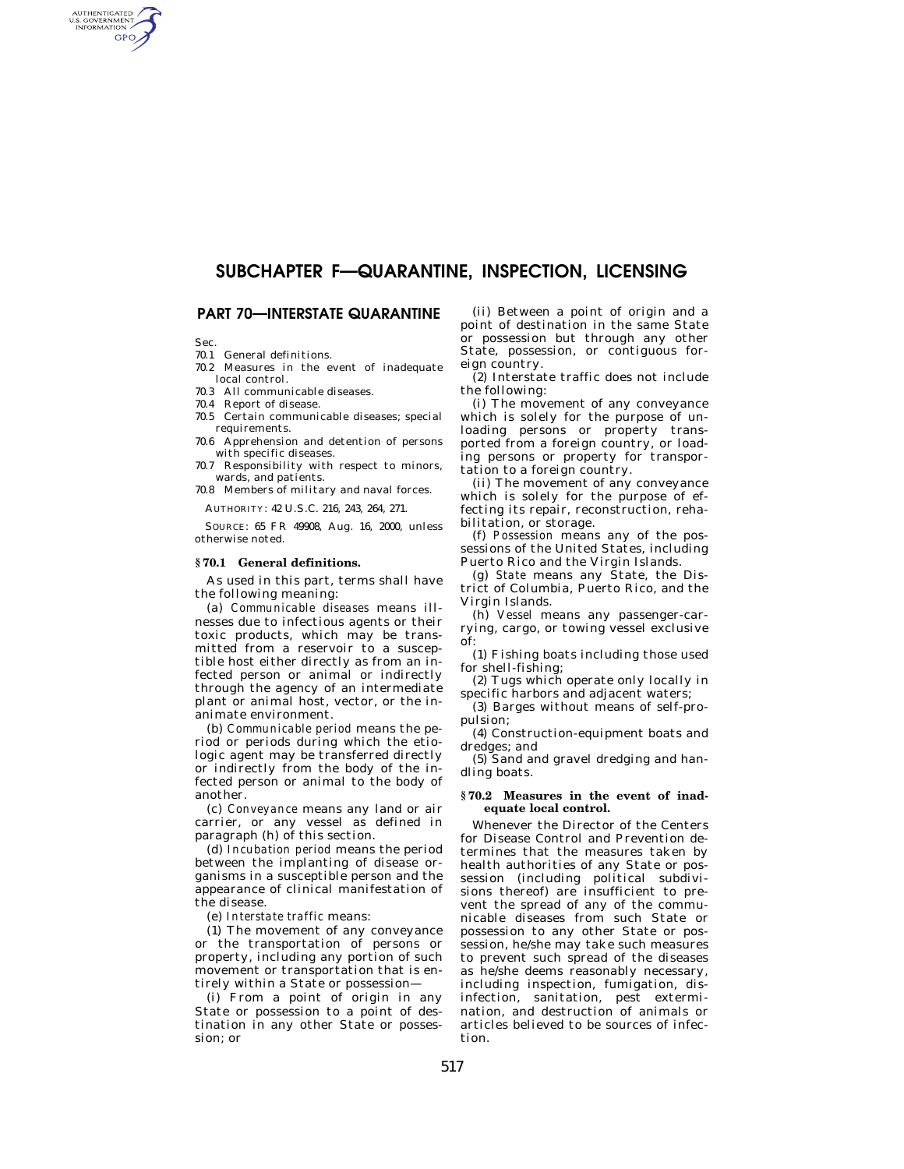# **SUBCHAPTER F—QUARANTINE, INSPECTION, LICENSING**

# **PART 70—INTERSTATE QUARANTINE**

Sec.

AUTHENTICATED<br>U.S. GOVERNMENT<br>INFORMATION **GPO** 

- 70.1 General definitions.
- 70.2 Measures in the event of inadequate local control.

70.3 All communicable diseases.

- 70.4 Report of disease.
- 70.5 Certain communicable diseases; special requirements.
- 70.6 Apprehension and detention of persons with specific diseases.
- 70.7 Responsibility with respect to minors, wards, and patients.
- 70.8 Members of military and naval forces.

AUTHORITY: 42 U.S.C. 216, 243, 264, 271.

SOURCE: 65 FR 49908, Aug. 16, 2000, unless otherwise noted.

#### **§ 70.1 General definitions.**

As used in this part, terms shall have the following meaning:

(a) *Communicable diseases* means illnesses due to infectious agents or their toxic products, which may be transmitted from a reservoir to a susceptible host either directly as from an infected person or animal or indirectly through the agency of an intermediate plant or animal host, vector, or the inanimate environment.

(b) *Communicable period* means the period or periods during which the etiologic agent may be transferred directly or indirectly from the body of the infected person or animal to the body of another.

(c) *Conveyance* means any land or air carrier, or any vessel as defined in paragraph (h) of this section.

(d) *Incubation period* means the period between the implanting of disease organisms in a susceptible person and the appearance of clinical manifestation of the disease.

(e) *Interstate traffic* means:

(1) The movement of any conveyance or the transportation of persons or property, including any portion of such movement or transportation that is entirely within a State or possession—

(i) From a point of origin in any State or possession to a point of destination in any other State or possession; or

(ii) Between a point of origin and a point of destination in the same State or possession but through any other State, possession, or contiguous foreign country.

(2) Interstate traffic does not include the following:

(i) The movement of any conveyance which is solely for the purpose of unloading persons or property transported from a foreign country, or loading persons or property for transportation to a foreign country.

(ii) The movement of any conveyance which is solely for the purpose of effecting its repair, reconstruction, rehabilitation, or storage.

(f) *Possession* means any of the possessions of the United States, including Puerto Rico and the Virgin Islands.

(g) *State* means any State, the District of Columbia, Puerto Rico, and the Virgin Islands.

(h) *Vessel* means any passenger-carrying, cargo, or towing vessel exclusive of:

(1) Fishing boats including those used for shell-fishing;

(2) Tugs which operate only locally in specific harbors and adjacent waters;

(3) Barges without means of self-propulsion;

(4) Construction-equipment boats and dredges; and

(5) Sand and gravel dredging and handling boats.

### **§ 70.2 Measures in the event of inadequate local control.**

Whenever the Director of the Centers for Disease Control and Prevention determines that the measures taken by health authorities of any State or possession (including political subdivisions thereof) are insufficient to prevent the spread of any of the communicable diseases from such State or possession to any other State or possession, he/she may take such measures to prevent such spread of the diseases as he/she deems reasonably necessary, including inspection, fumigation, disinfection, sanitation, pest extermination, and destruction of animals or articles believed to be sources of infection.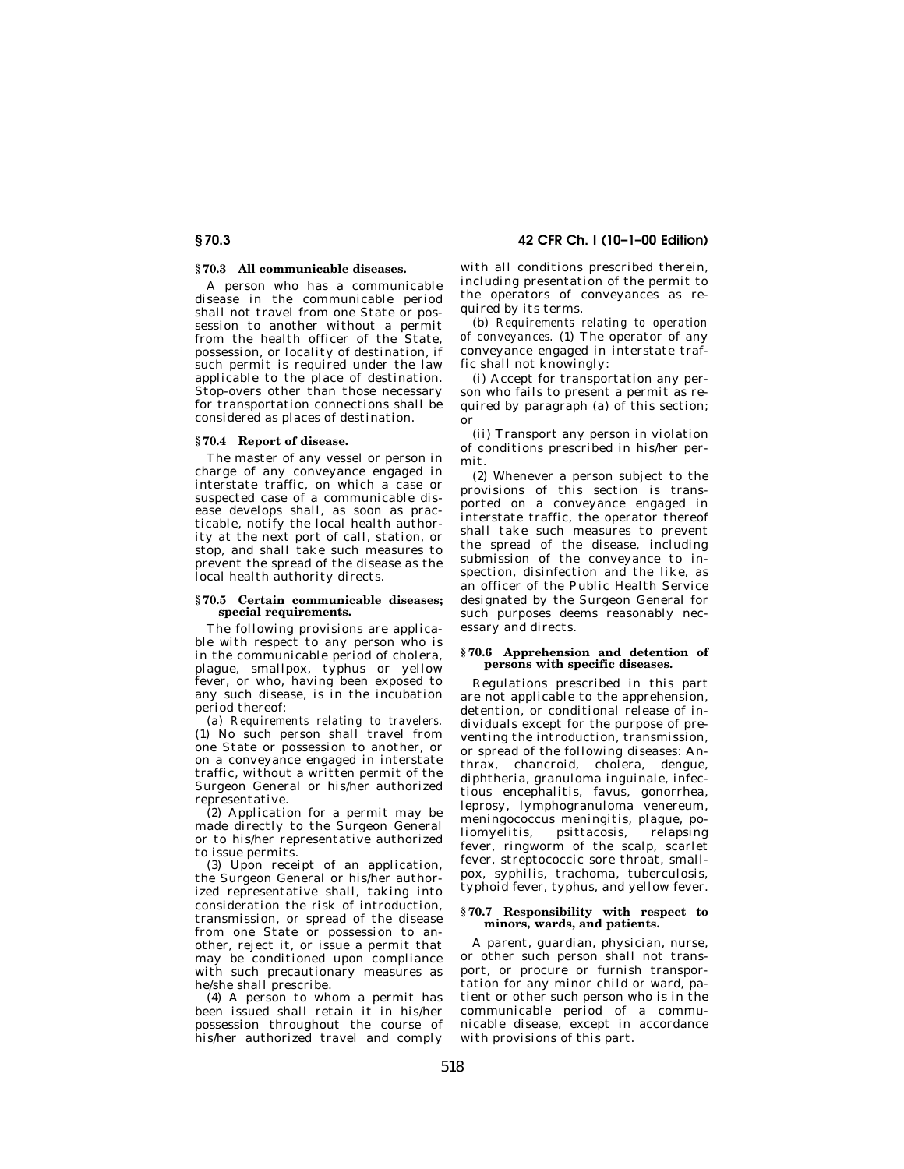# **§ 70.3 42 CFR Ch. I (10–1–00 Edition)**

## **§ 70.3 All communicable diseases.**

A person who has a communicable disease in the communicable period shall not travel from one State or possession to another without a permit from the health officer of the State, possession, or locality of destination, if such permit is required under the law applicable to the place of destination. Stop-overs other than those necessary for transportation connections shall be considered as places of destination.

## **§ 70.4 Report of disease.**

The master of any vessel or person in charge of any conveyance engaged in interstate traffic, on which a case or suspected case of a communicable disease develops shall, as soon as practicable, notify the local health authority at the next port of call, station, or stop, and shall take such measures to prevent the spread of the disease as the local health authority directs.

### **§ 70.5 Certain communicable diseases; special requirements.**

The following provisions are applicable with respect to any person who is in the communicable period of cholera, plague, smallpox, typhus or yellow fever, or who, having been exposed to any such disease, is in the incubation period thereof:

(a) *Requirements relating to travelers.* (1) No such person shall travel from one State or possession to another, or on a conveyance engaged in interstate traffic, without a written permit of the Surgeon General or his/her authorized representative.

(2) Application for a permit may be made directly to the Surgeon General or to his/her representative authorized to issue permits.

(3) Upon receipt of an application, the Surgeon General or his/her authorized representative shall, taking into consideration the risk of introduction, transmission, or spread of the disease from one State or possession to another, reject it, or issue a permit that may be conditioned upon compliance with such precautionary measures as he/she shall prescribe.

(4) A person to whom a permit has been issued shall retain it in his/her possession throughout the course of his/her authorized travel and comply

with all conditions prescribed therein, including presentation of the permit to the operators of conveyances as required by its terms.

(b) *Requirements relating to operation of conveyances.* (1) The operator of any conveyance engaged in interstate traffic shall not knowingly:

(i) Accept for transportation any person who fails to present a permit as required by paragraph (a) of this section; or

(ii) Transport any person in violation of conditions prescribed in his/her permit.

(2) Whenever a person subject to the provisions of this section is transported on a conveyance engaged in interstate traffic, the operator thereof shall take such measures to prevent the spread of the disease, including submission of the conveyance to inspection, disinfection and the like, as an officer of the Public Health Service designated by the Surgeon General for such purposes deems reasonably necessary and directs.

## **§ 70.6 Apprehension and detention of persons with specific diseases.**

Regulations prescribed in this part are not applicable to the apprehension, detention, or conditional release of individuals except for the purpose of preventing the introduction, transmission, or spread of the following diseases: Anthrax, chancroid, cholera, dengue, diphtheria, granuloma inguinale, infectious encephalitis, favus, gonorrhea, leprosy, lymphogranuloma venereum, meningococcus meningitis, plague, poliomyelitis, psittacosis, relapsing fever, ringworm of the scalp, scarlet fever, streptococcic sore throat, smallpox, syphilis, trachoma, tuberculosis, typhoid fever, typhus, and yellow fever.

## **§ 70.7 Responsibility with respect to minors, wards, and patients.**

A parent, guardian, physician, nurse, or other such person shall not transport, or procure or furnish transportation for any minor child or ward, patient or other such person who is in the communicable period of a communicable disease, except in accordance with provisions of this part.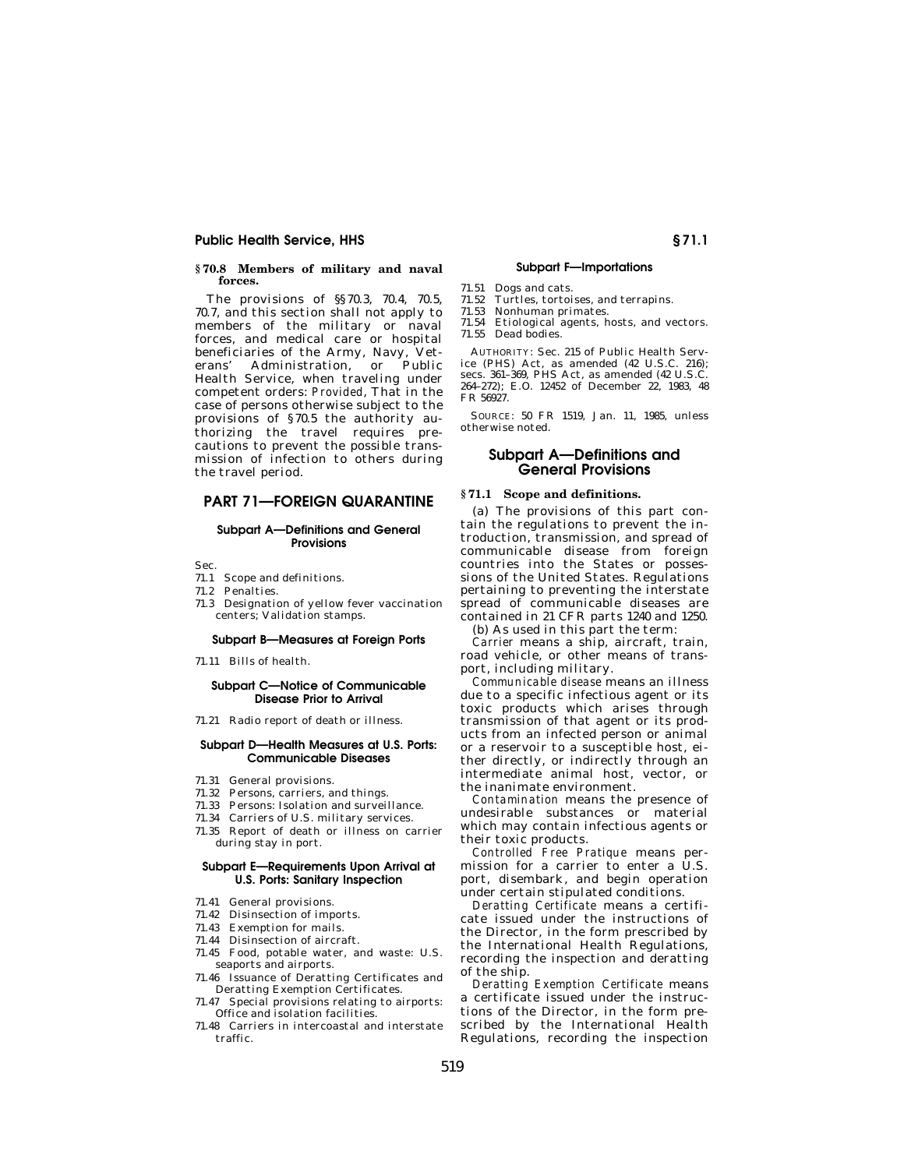## **Public Health Service, HHS § 71.1**

### **§ 70.8 Members of military and naval forces.**

The provisions of §§70.3, 70.4, 70.5, 70.7, and this section shall not apply to members of the military or naval forces, and medical care or hospital beneficiaries of the Army, Navy, Veterans' Administration, or Public Health Service, when traveling under competent orders: *Provided*, That in the case of persons otherwise subject to the provisions of §70.5 the authority authorizing the travel requires precautions to prevent the possible transmission of infection to others during the travel period.

# **PART 71—FOREIGN QUARANTINE**

#### **Subpart A—Definitions and General Provisions**

Sec.

- 71.1 Scope and definitions.
- 71.2 Penalties.
- 71.3 Designation of yellow fever vaccination centers; Validation stamps.

## **Subpart B—Measures at Foreign Ports**

71.11 Bills of health.

## **Subpart C—Notice of Communicable Disease Prior to Arrival**

71.21 Radio report of death or illness.

## **Subpart D—Health Measures at U.S. Ports: Communicable Diseases**

- 71.31 General provisions.
- 71.32 Persons, carriers, and things.
- 71.33 Persons: Isolation and surveillance.
- 71.34 Carriers of U.S. military services.
- 71.35 Report of death or illness on carrier during stay in port.

## **Subpart E—Requirements Upon Arrival at U.S. Ports: Sanitary Inspection**

- 71.41 General provisions.
- 71.42 Disinsection of imports.
- 71.43 Exemption for mails.
- 71.44 Disinsection of aircraft.
- 71.45 Food, potable water, and waste: U.S. seaports and airports.
- 71.46 Issuance of Deratting Certificates and Deratting Exemption Certificates.
- 71.47 Special provisions relating to airports: Office and isolation facilities.
- 71.48 Carriers in intercoastal and interstate traffic.

## **Subpart F—Importations**

- 71.51 Dogs and cats.
- 71.52 Turtles, tortoises, and terrapins.
- 71.53 Nonhuman primates.<br>71.54 Etiological agents h
- Etiological agents, hosts, and vectors. 71.55 Dead bodies.

AUTHORITY: Sec. 215 of Public Health Service (PHS) Act, as amended (42 U.S.C. 216); secs. 361–369, PHS Act, as amended (42 U.S.C. 264–272); E.O. 12452 of December 22, 1983, 48 FR 56927.

SOURCE: 50 FR 1519, Jan. 11, 1985, unless otherwise noted.

# **Subpart A—Definitions and General Provisions**

## **§ 71.1 Scope and definitions.**

(a) The provisions of this part contain the regulations to prevent the introduction, transmission, and spread of communicable disease from foreign countries into the States or possessions of the United States. Regulations pertaining to preventing the interstate spread of communicable diseases are contained in 21 CFR parts 1240 and 1250.

(b) As used in this part the term:

*Carrier* means a ship, aircraft, train, road vehicle, or other means of transport, including military.

*Communicable disease* means an illness due to a specific infectious agent or its toxic products which arises through transmission of that agent or its products from an infected person or animal or a reservoir to a susceptible host, either directly, or indirectly through an intermediate animal host, vector, or the inanimate environment.

*Contamination* means the presence of undesirable substances or material which may contain infectious agents or their toxic products.

*Controlled Free Pratique* means permission for a carrier to enter a U.S. port, disembark, and begin operation under certain stipulated conditions.

*Deratting Certificate* means a certificate issued under the instructions of the Director, in the form prescribed by the International Health Regulations, recording the inspection and deratting of the ship.

*Deratting Exemption Certificate* means a certificate issued under the instructions of the Director, in the form prescribed by the International Health Regulations, recording the inspection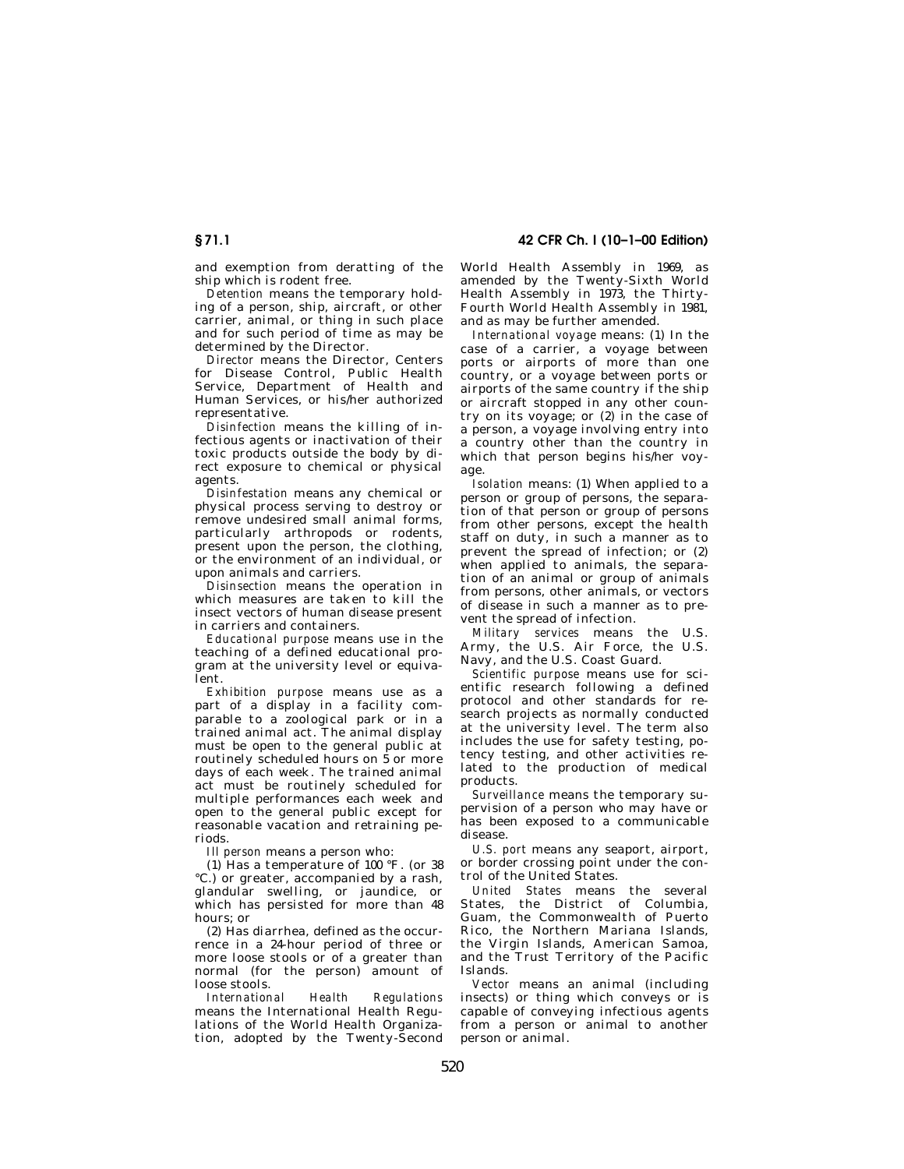**§ 71.1 42 CFR Ch. I (10–1–00 Edition)**

and exemption from deratting of the ship which is rodent free.

*Detention* means the temporary holding of a person, ship, aircraft, or other carrier, animal, or thing in such place and for such period of time as may be determined by the Director.

*Director* means the Director, Centers for Disease Control, Public Health Service, Department of Health and Human Services, or his/her authorized representative.

*Disinfection* means the killing of infectious agents or inactivation of their toxic products outside the body by direct exposure to chemical or physical agents.

*Disinfestation* means any chemical or physical process serving to destroy or remove undesired small animal forms, particularly arthropods or rodents, present upon the person, the clothing, or the environment of an individual, or upon animals and carriers.

*Disinsection* means the operation in which measures are taken to kill the insect vectors of human disease present in carriers and containers.

*Educational purpose* means use in the teaching of a defined educational program at the university level or equivalent.

*Exhibition purpose* means use as a part of a display in a facility comparable to a zoological park or in a trained animal act. The animal display must be open to the general public at routinely scheduled hours on 5 or more days of each week. The trained animal act must be routinely scheduled for multiple performances each week and open to the general public except for reasonable vacation and retraining periods.

*Ill person* means a person who:

(1) Has a temperature of 100 °F. (or 38 °C.) or greater, accompanied by a rash, glandular swelling, or jaundice, or which has persisted for more than 48 hours; or

(2) Has diarrhea, defined as the occurrence in a 24-hour period of three or more loose stools or of a greater than normal (for the person) amount of loose stools.<br>International

*International Health Regulations* means the International Health Regulations of the World Health Organization, adopted by the Twenty-Second World Health Assembly in 1969, as amended by the Twenty-Sixth World Health Assembly in 1973, the Thirty-Fourth World Health Assembly in 1981, and as may be further amended.

*International voyage* means: (1) In the case of a carrier, a voyage between ports or airports of more than one country, or a voyage between ports or airports of the same country if the ship or aircraft stopped in any other country on its voyage; or (2) in the case of a person, a voyage involving entry into a country other than the country in which that person begins his/her voyage.

*Isolation* means: (1) When applied to a person or group of persons, the separation of that person or group of persons from other persons, except the health staff on duty, in such a manner as to prevent the spread of infection; or (2) when applied to animals, the separation of an animal or group of animals from persons, other animals, or vectors of disease in such a manner as to prevent the spread of infection.

*Military services* means the U.S. Army, the U.S. Air Force, the U.S. Navy, and the U.S. Coast Guard.

*Scientific purpose* means use for scientific research following a defined protocol and other standards for research projects as normally conducted at the university level. The term also includes the use for safety testing, potency testing, and other activities related to the production of medical products.

*Surveillance* means the temporary supervision of a person who may have or has been exposed to a communicable disease.

*U.S. port* means any seaport, airport, or border crossing point under the control of the United States.

*United States* means the several States, the District of Columbia, Guam, the Commonwealth of Puerto Rico, the Northern Mariana Islands, the Virgin Islands, American Samoa, and the Trust Territory of the Pacific Islands.

*Vector* means an animal (including insects) or thing which conveys or is capable of conveying infectious agents from a person or animal to another person or animal.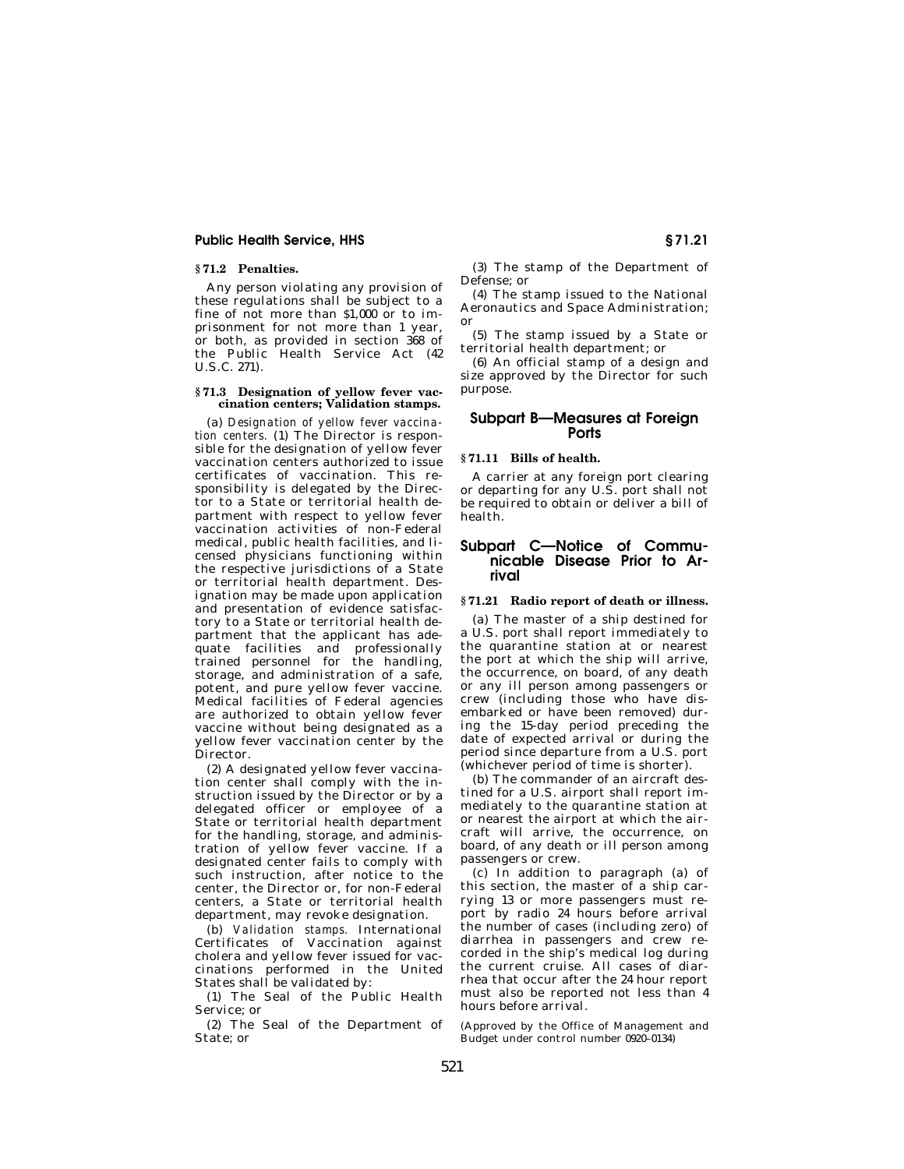## **Public Health Service, HHS § 71.21**

## **§ 71.2 Penalties.**

Any person violating any provision of these regulations shall be subject to a fine of not more than \$1,000 or to imprisonment for not more than 1 year, or both, as provided in section 368 of the Public Health Service Act (42 U.S.C. 271).

### **§ 71.3 Designation of yellow fever vaccination centers; Validation stamps.**

(a) *Designation of yellow fever vaccination centers.* (1) The Director is responsible for the designation of yellow fever vaccination centers authorized to issue certificates of vaccination. This responsibility is delegated by the Director to a State or territorial health department with respect to yellow fever vaccination activities of non-Federal medical, public health facilities, and licensed physicians functioning within the respective jurisdictions of a State or territorial health department. Designation may be made upon application and presentation of evidence satisfactory to a State or territorial health department that the applicant has adequate facilities and professionally trained personnel for the handling, storage, and administration of a safe, potent, and pure yellow fever vaccine. Medical facilities of Federal agencies are authorized to obtain yellow fever vaccine without being designated as a yellow fever vaccination center by the Director.

(2) A designated yellow fever vaccination center shall comply with the instruction issued by the Director or by a delegated officer or employee of a State or territorial health department for the handling, storage, and administration of yellow fever vaccine. If a designated center fails to comply with such instruction, after notice to the center, the Director or, for non-Federal centers, a State or territorial health department, may revoke designation.

(b) *Validation stamps.* International Certificates of Vaccination against cholera and yellow fever issued for vaccinations performed in the United States shall be validated by:

(1) The Seal of the Public Health Service; or

(2) The Seal of the Department of State; or

(3) The stamp of the Department of Defense; or

(4) The stamp issued to the National Aeronautics and Space Administration; or

(5) The stamp issued by a State or territorial health department; or

(6) An official stamp of a design and size approved by the Director for such purpose.

## **Subpart B—Measures at Foreign Ports**

# **§ 71.11 Bills of health.**

A carrier at any foreign port clearing or departing for any U.S. port shall not be required to obtain or deliver a bill of health.

# **Subpart C—Notice of Communicable Disease Prior to Arrival**

## **§ 71.21 Radio report of death or illness.**

(a) The master of a ship destined for a U.S. port shall report immediately to the quarantine station at or nearest the port at which the ship will arrive, the occurrence, on board, of any death or any ill person among passengers or crew (including those who have disembarked or have been removed) during the 15-day period preceding the date of expected arrival or during the period since departure from a U.S. port (whichever period of time is shorter).

(b) The commander of an aircraft destined for a U.S. airport shall report immediately to the quarantine station at or nearest the airport at which the aircraft will arrive, the occurrence, on board, of any death or ill person among passengers or crew.

(c) In addition to paragraph (a) of this section, the master of a ship carrying 13 or more passengers must report by radio 24 hours before arrival the number of cases (including zero) of diarrhea in passengers and crew recorded in the ship's medical log during the current cruise. All cases of diarrhea that occur after the 24 hour report must also be reported not less than 4 hours before arrival.

(Approved by the Office of Management and Budget under control number 0920–0134)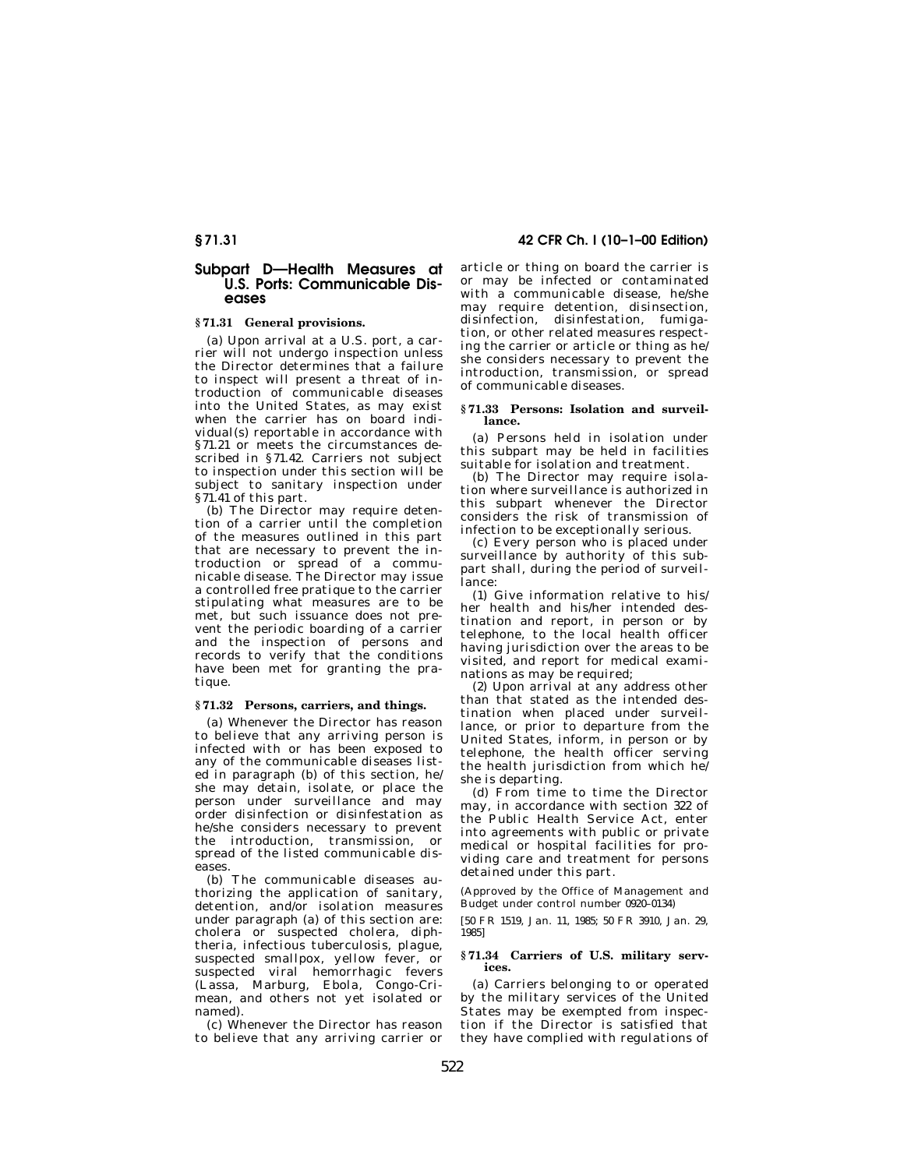# **Subpart D—Health Measures at U.S. Ports: Communicable Diseases**

## **§ 71.31 General provisions.**

(a) Upon arrival at a U.S. port, a carrier will not undergo inspection unless the Director determines that a failure to inspect will present a threat of introduction of communicable diseases into the United States, as may exist when the carrier has on board individual(s) reportable in accordance with §71.21 or meets the circumstances described in §71.42. Carriers not subject to inspection under this section will be subject to sanitary inspection under §71.41 of this part.

(b) The Director may require detention of a carrier until the completion of the measures outlined in this part that are necessary to prevent the introduction or spread of a communicable disease. The Director may issue a controlled free pratique to the carrier stipulating what measures are to be met, but such issuance does not prevent the periodic boarding of a carrier and the inspection of persons and records to verify that the conditions have been met for granting the pratique.

## **§ 71.32 Persons, carriers, and things.**

(a) Whenever the Director has reason to believe that any arriving person is infected with or has been exposed to any of the communicable diseases listed in paragraph (b) of this section, he/ she may detain, isolate, or place the person under surveillance and may order disinfection or disinfestation as he/she considers necessary to prevent the introduction, transmission, or spread of the listed communicable diseases.

(b) The communicable diseases authorizing the application of sanitary, detention, and/or isolation measures under paragraph (a) of this section are: cholera or suspected cholera, diphtheria, infectious tuberculosis, plague, suspected smallpox, yellow fever, or suspected viral hemorrhagic fevers (Lassa, Marburg, Ebola, Congo-Crimean, and others not yet isolated or named).

(c) Whenever the Director has reason to believe that any arriving carrier or

**§ 71.31 42 CFR Ch. I (10–1–00 Edition)**

article or thing on board the carrier is or may be infected or contaminated with a communicable disease, he/she may require detention, disinsection, disinfection, disinfestation, fumigation, or other related measures respecting the carrier or article or thing as he/ she considers necessary to prevent the introduction, transmission, or spread of communicable diseases.

#### **§ 71.33 Persons: Isolation and surveillance.**

(a) Persons held in isolation under this subpart may be held in facilities suitable for isolation and treatment.

(b) The Director may require isolation where surveillance is authorized in this subpart whenever the Director considers the risk of transmission of infection to be exceptionally serious.

(c) Every person who is placed under surveillance by authority of this subpart shall, during the period of surveillance:

(1) Give information relative to his/ her health and his/her intended destination and report, in person or by telephone, to the local health officer having jurisdiction over the areas to be visited, and report for medical examinations as may be required;

(2) Upon arrival at any address other than that stated as the intended destination when placed under surveillance, or prior to departure from the United States, inform, in person or by telephone, the health officer serving the health jurisdiction from which he/ she is departing.

(d) From time to time the Director may, in accordance with section 322 of the Public Health Service Act, enter into agreements with public or private medical or hospital facilities for providing care and treatment for persons detained under this part.

(Approved by the Office of Management and Budget under control number 0920–0134)

[50 FR 1519, Jan. 11, 1985; 50 FR 3910, Jan. 29, 1985]

#### **§ 71.34 Carriers of U.S. military services.**

(a) Carriers belonging to or operated by the military services of the United States may be exempted from inspection if the Director is satisfied that they have complied with regulations of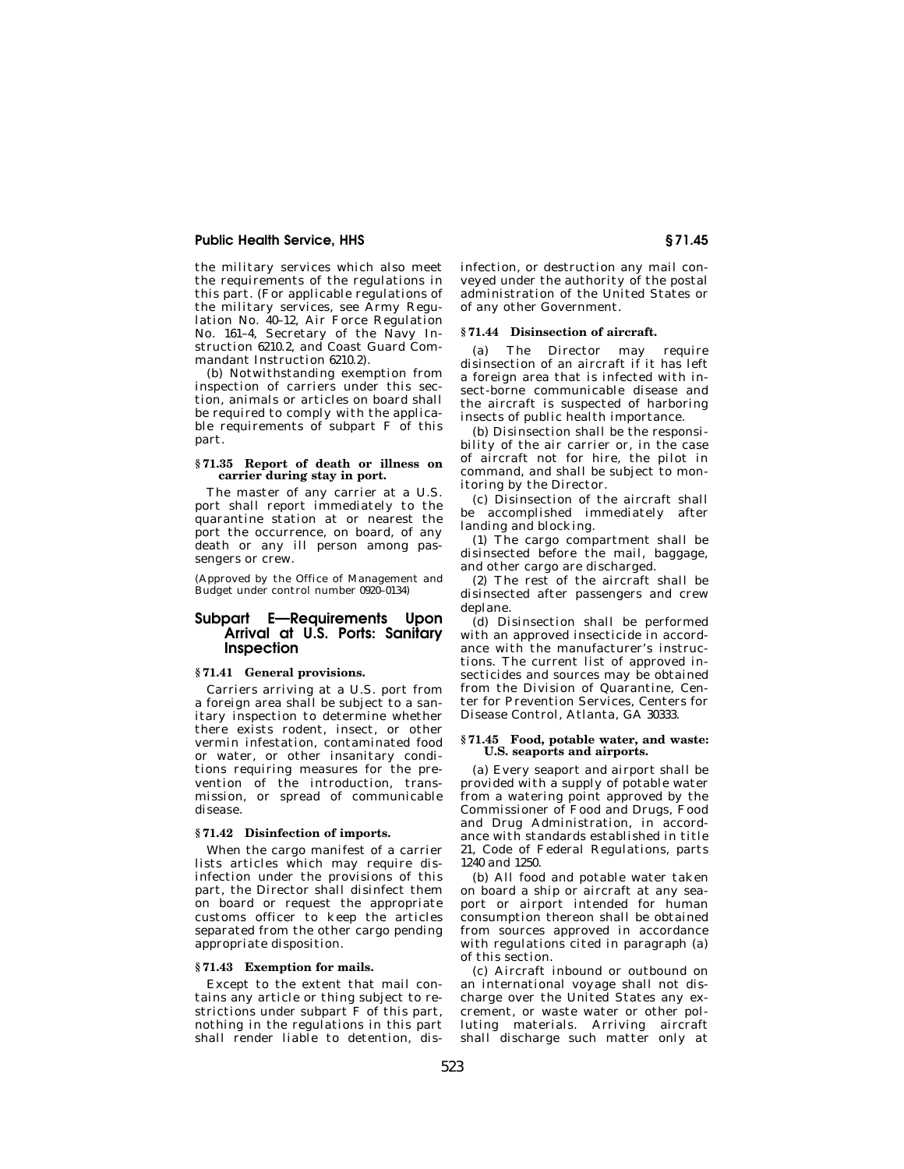## **Public Health Service, HHS § 71.45**

the military services which also meet the requirements of the regulations in this part. (For applicable regulations of the military services, see Army Regulation No. 40–12, Air Force Regulation No. 161–4, Secretary of the Navy Instruction 6210.2, and Coast Guard Commandant Instruction 6210.2).

(b) Notwithstanding exemption from inspection of carriers under this section, animals or articles on board shall be required to comply with the applicable requirements of subpart F of this part.

### **§ 71.35 Report of death or illness on carrier during stay in port.**

The master of any carrier at a U.S. port shall report immediately to the quarantine station at or nearest the port the occurrence, on board, of any death or any ill person among passengers or crew.

(Approved by the Office of Management and Budget under control number 0920–0134)

# **Subpart E—Requirements Upon Arrival at U.S. Ports: Sanitary Inspection**

## **§ 71.41 General provisions.**

Carriers arriving at a U.S. port from a foreign area shall be subject to a sanitary inspection to determine whether there exists rodent, insect, or other vermin infestation, contaminated food or water, or other insanitary conditions requiring measures for the prevention of the introduction, transmission, or spread of communicable disease.

#### **§ 71.42 Disinfection of imports.**

When the cargo manifest of a carrier lists articles which may require disinfection under the provisions of this part, the Director shall disinfect them on board or request the appropriate customs officer to keep the articles separated from the other cargo pending appropriate disposition.

# **§ 71.43 Exemption for mails.**

Except to the extent that mail contains any article or thing subject to restrictions under subpart F of this part, nothing in the regulations in this part shall render liable to detention, dis-

infection, or destruction any mail conveyed under the authority of the postal administration of the United States or of any other Government.

## **§ 71.44 Disinsection of aircraft.**

(a) The Director may require disinsection of an aircraft if it has left a foreign area that is infected with insect-borne communicable disease and the aircraft is suspected of harboring insects of public health importance.

(b) Disinsection shall be the responsibility of the air carrier or, in the case of aircraft not for hire, the pilot in command, and shall be subject to monitoring by the Director.

(c) Disinsection of the aircraft shall be accomplished immediately after landing and blocking.

(1) The cargo compartment shall be disinsected before the mail, baggage, and other cargo are discharged.

(2) The rest of the aircraft shall be disinsected after passengers and crew deplane.

(d) Disinsection shall be performed with an approved insecticide in accordance with the manufacturer's instructions. The current list of approved insecticides and sources may be obtained from the Division of Quarantine, Center for Prevention Services, Centers for Disease Control, Atlanta, GA 30333.

### **§ 71.45 Food, potable water, and waste: U.S. seaports and airports.**

(a) Every seaport and airport shall be provided with a supply of potable water from a watering point approved by the Commissioner of Food and Drugs, Food and Drug Administration, in accordance with standards established in title 21, Code of Federal Regulations, parts 1240 and 1250.

(b) All food and potable water taken on board a ship or aircraft at any seaport or airport intended for human consumption thereon shall be obtained from sources approved in accordance with regulations cited in paragraph (a) of this section.

(c) Aircraft inbound or outbound on an international voyage shall not discharge over the United States any excrement, or waste water or other polluting materials. Arriving aircraft shall discharge such matter only at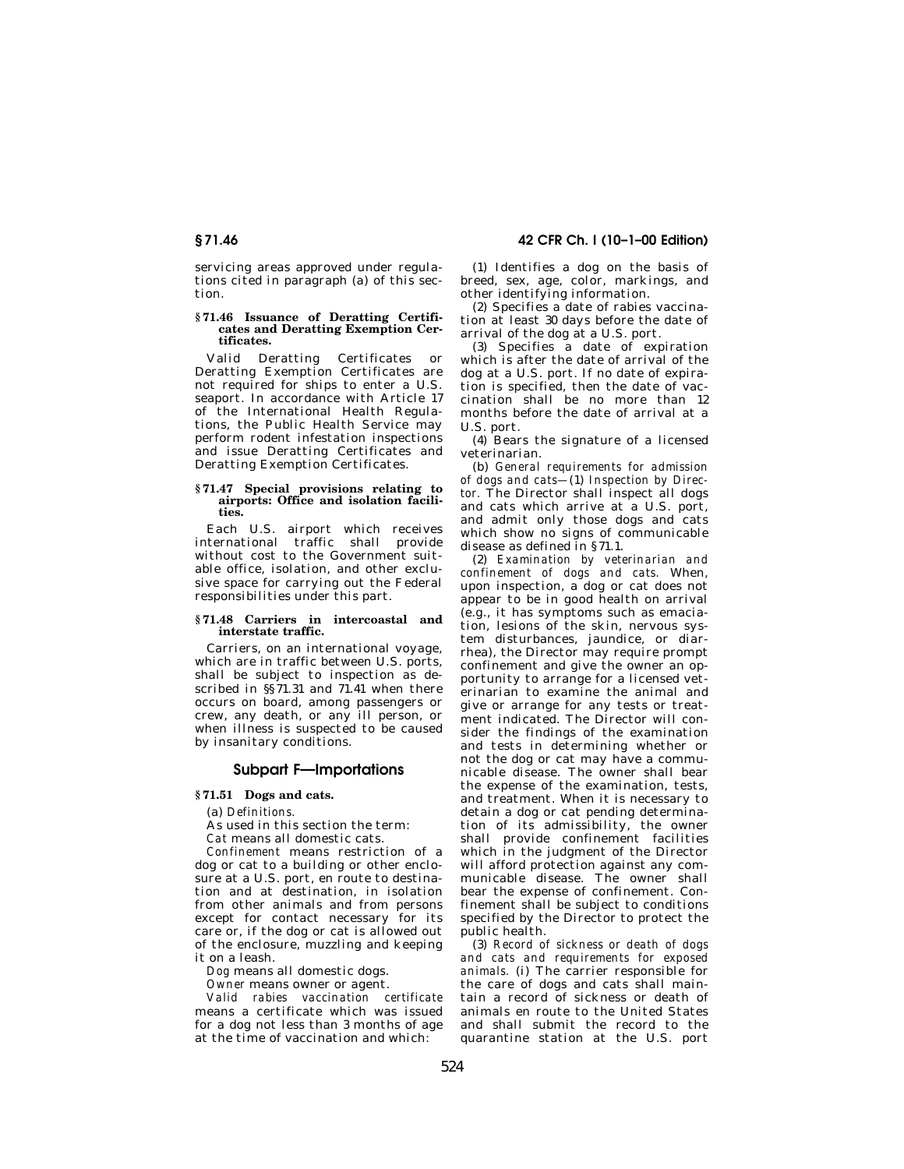servicing areas approved under regulations cited in paragraph (a) of this section.

## **§ 71.46 Issuance of Deratting Certificates and Deratting Exemption Certificates.**

Valid Deratting Certificates or Deratting Exemption Certificates are not required for ships to enter a U.S. seaport. In accordance with Article 17 of the International Health Regulations, the Public Health Service may perform rodent infestation inspections and issue Deratting Certificates and Deratting Exemption Certificates.

#### **§ 71.47 Special provisions relating to airports: Office and isolation facilities.**

Each U.S. airport which receives international traffic shall provide without cost to the Government suitable office, isolation, and other exclusive space for carrying out the Federal responsibilities under this part.

## **§ 71.48 Carriers in intercoastal and interstate traffic.**

Carriers, on an international voyage, which are in traffic between U.S. ports, shall be subject to inspection as described in §§71.31 and 71.41 when there occurs on board, among passengers or crew, any death, or any ill person, or when illness is suspected to be caused by insanitary conditions.

# **Subpart F—Importations**

## **§ 71.51 Dogs and cats.**

(a) *Definitions.*

As used in this section the term: *Cat* means all domestic cats.

*Confinement* means restriction of a dog or cat to a building or other enclosure at a U.S. port, en route to destination and at destination, in isolation from other animals and from persons except for contact necessary for its care or, if the dog or cat is allowed out of the enclosure, muzzling and keeping it on a leash.

*Dog* means all domestic dogs.

*Owner* means owner or agent.

*Valid rabies vaccination certificate* means a certificate which was issued for a dog not less than 3 months of age at the time of vaccination and which:

(1) Identifies a dog on the basis of breed, sex, age, color, markings, and other identifying information.

(2) Specifies a date of rabies vaccination at least 30 days before the date of arrival of the dog at a U.S. port.

(3) Specifies a date of expiration which is after the date of arrival of the dog at a U.S. port. If no date of expiration is specified, then the date of vaccination shall be no more than 12 months before the date of arrival at a U.S. port.

(4) Bears the signature of a licensed veterinarian.

(b) *General requirements for admission of dogs and cats—*(1) *Inspection by Director.* The Director shall inspect all dogs and cats which arrive at a U.S. port, and admit only those dogs and cats which show no signs of communicable disease as defined in §71.1.

(2) *Examination by veterinarian and confinement of dogs and cats.* When, upon inspection, a dog or cat does not appear to be in good health on arrival (e.g., it has symptoms such as emaciation, lesions of the skin, nervous system disturbances, jaundice, or diarrhea), the Director may require prompt confinement and give the owner an opportunity to arrange for a licensed veterinarian to examine the animal and give or arrange for any tests or treatment indicated. The Director will consider the findings of the examination and tests in determining whether or not the dog or cat may have a communicable disease. The owner shall bear the expense of the examination, tests, and treatment. When it is necessary to detain a dog or cat pending determination of its admissibility, the owner shall provide confinement facilities which in the judgment of the Director will afford protection against any communicable disease. The owner shall bear the expense of confinement. Confinement shall be subject to conditions specified by the Director to protect the public health.

(3) *Record of sickness or death of dogs and cats and requirements for exposed animals.* (i) The carrier responsible for the care of dogs and cats shall maintain a record of sickness or death of animals en route to the United States and shall submit the record to the quarantine station at the U.S. port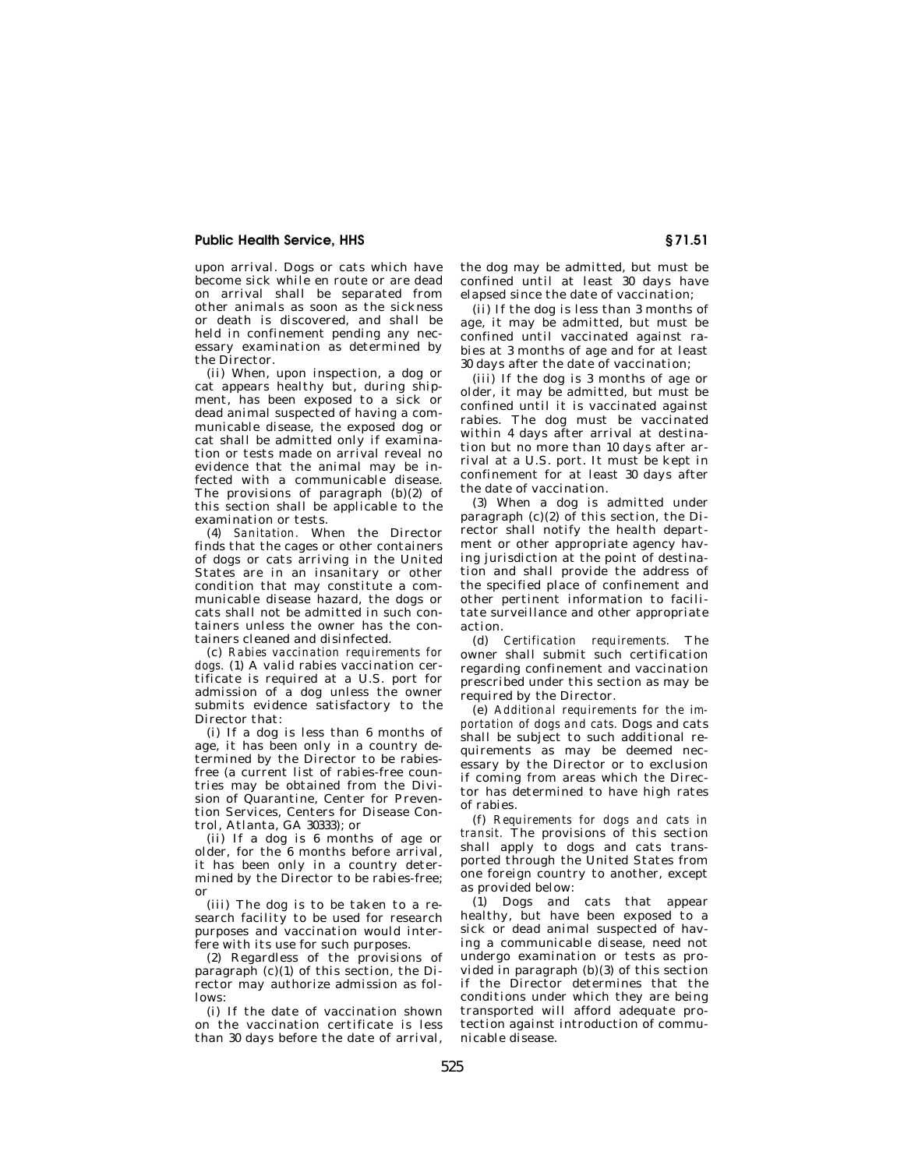## **Public Health Service, HHS § 71.51**

upon arrival. Dogs or cats which have become sick while en route or are dead on arrival shall be separated from other animals as soon as the sickness or death is discovered, and shall be held in confinement pending any necessary examination as determined by the Director.

(ii) When, upon inspection, a dog or cat appears healthy but, during shipment, has been exposed to a sick or dead animal suspected of having a communicable disease, the exposed dog or cat shall be admitted only if examination or tests made on arrival reveal no evidence that the animal may be infected with a communicable disease. The provisions of paragraph (b)(2) of this section shall be applicable to the examination or tests.

(4) *Sanitation.* When the Director finds that the cages or other containers of dogs or cats arriving in the United States are in an insanitary or other condition that may constitute a communicable disease hazard, the dogs or cats shall not be admitted in such containers unless the owner has the containers cleaned and disinfected.

(c) *Rabies vaccination requirements for dogs.* (1) A valid rabies vaccination certificate is required at a U.S. port for admission of a dog unless the owner submits evidence satisfactory to the Director that:

(i) If a dog is less than 6 months of age, it has been only in a country determined by the Director to be rabiesfree (a current list of rabies-free countries may be obtained from the Division of Quarantine, Center for Prevention Services, Centers for Disease Control, Atlanta, GA 30333); or

(ii) If a dog is 6 months of age or older, for the 6 months before arrival, it has been only in a country determined by the Director to be rabies-free; or

(iii) The dog is to be taken to a research facility to be used for research purposes and vaccination would interfere with its use for such purposes.

(2) Regardless of the provisions of paragraph (c)(1) of this section, the Director may authorize admission as follows:

(i) If the date of vaccination shown on the vaccination certificate is less than 30 days before the date of arrival,

the dog may be admitted, but must be confined until at least 30 days have elapsed since the date of vaccination;

(ii) If the dog is less than 3 months of age, it may be admitted, but must be confined until vaccinated against rabies at 3 months of age and for at least 30 days after the date of vaccination;

(iii) If the dog is 3 months of age or older, it may be admitted, but must be confined until it is vaccinated against rabies. The dog must be vaccinated within 4 days after arrival at destination but no more than 10 days after arrival at a U.S. port. It must be kept in confinement for at least 30 days after the date of vaccination.

(3) When a dog is admitted under paragraph (c)(2) of this section, the Director shall notify the health department or other appropriate agency having jurisdiction at the point of destination and shall provide the address of the specified place of confinement and other pertinent information to facilitate surveillance and other appropriate action.

(d) *Certification requirements.* The owner shall submit such certification regarding confinement and vaccination prescribed under this section as may be required by the Director.

(e) *Additional requirements for the importation of dogs and cats.* Dogs and cats shall be subject to such additional requirements as may be deemed necessary by the Director or to exclusion if coming from areas which the Director has determined to have high rates of rabies.

(f) *Requirements for dogs and cats in transit.* The provisions of this section shall apply to dogs and cats transported through the United States from one foreign country to another, except as provided below:

(1) Dogs and cats that appear healthy, but have been exposed to a sick or dead animal suspected of having a communicable disease, need not undergo examination or tests as provided in paragraph (b)(3) of this section if the Director determines that the conditions under which they are being transported will afford adequate protection against introduction of communicable disease.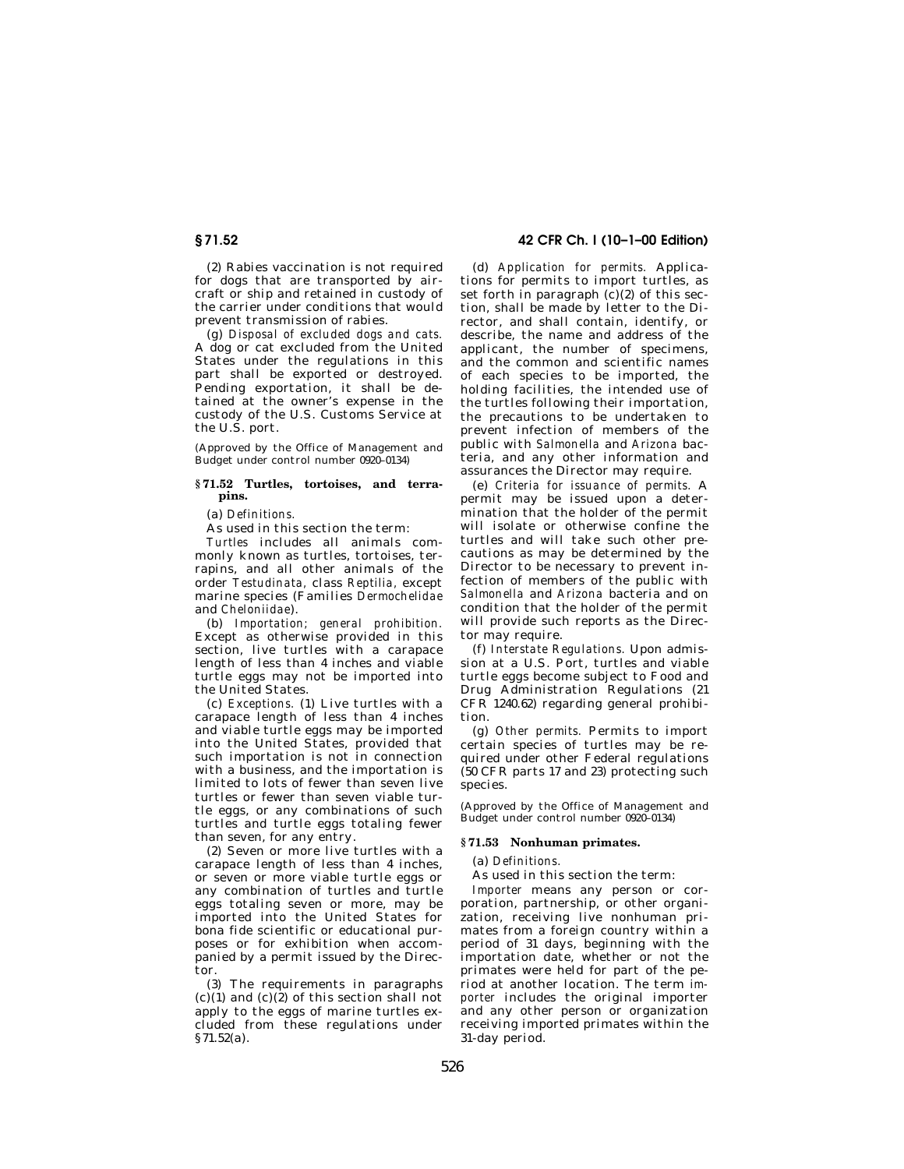(2) Rabies vaccination is not required for dogs that are transported by aircraft or ship and retained in custody of the carrier under conditions that would prevent transmission of rabies.

(g) *Disposal of excluded dogs and cats.* A dog or cat excluded from the United States under the regulations in this part shall be exported or destroyed. Pending exportation, it shall be detained at the owner's expense in the custody of the U.S. Customs Service at the U.S. port.

(Approved by the Office of Management and Budget under control number 0920–0134)

## **§ 71.52 Turtles, tortoises, and terrapins.**

(a) *Definitions.*

As used in this section the term:

*Turtles* includes all animals commonly known as turtles, tortoises, terrapins, and all other animals of the order *Testudinata,* class *Reptilia,* except marine species (Families *Dermochelidae* and *Cheloniidae*).

(b) *Importation; general prohibition.* Except as otherwise provided in this section, live turtles with a carapace length of less than 4 inches and viable turtle eggs may not be imported into the United States.

(c) *Exceptions.* (1) Live turtles with a carapace length of less than 4 inches and viable turtle eggs may be imported into the United States, provided that such importation is not in connection with a business, and the importation is limited to lots of fewer than seven live turtles or fewer than seven viable turtle eggs, or any combinations of such turtles and turtle eggs totaling fewer than seven, for any entry.

(2) Seven or more live turtles with a carapace length of less than 4 inches, or seven or more viable turtle eggs or any combination of turtles and turtle eggs totaling seven or more, may be imported into the United States for bona fide scientific or educational purposes or for exhibition when accompanied by a permit issued by the Director.

(3) The requirements in paragraphs  $(c)(1)$  and  $(c)(2)$  of this section shall not apply to the eggs of marine turtles excluded from these regulations under §71.52(a).

# **§ 71.52 42 CFR Ch. I (10–1–00 Edition)**

(d) *Application for permits.* Applications for permits to import turtles, as set forth in paragraph  $(c)(2)$  of this section, shall be made by letter to the Director, and shall contain, identify, or describe, the name and address of the applicant, the number of specimens, and the common and scientific names of each species to be imported, the holding facilities, the intended use of the turtles following their importation, the precautions to be undertaken to prevent infection of members of the public with *Salmonella* and *Arizona* bacteria, and any other information and assurances the Director may require.

(e) *Criteria for issuance of permits.* A permit may be issued upon a determination that the holder of the permit will isolate or otherwise confine the turtles and will take such other precautions as may be determined by the Director to be necessary to prevent infection of members of the public with *Salmonella* and *Arizona* bacteria and on condition that the holder of the permit will provide such reports as the Director may require.

(f) *Interstate Regulations.* Upon admission at a U.S. Port, turtles and viable turtle eggs become subject to Food and Drug Administration Regulations (21 CFR 1240.62) regarding general prohibition.

(g) *Other permits.* Permits to import certain species of turtles may be required under other Federal regulations (50 CFR parts 17 and 23) protecting such species.

(Approved by the Office of Management and Budget under control number 0920–0134)

### **§ 71.53 Nonhuman primates.**

(a) *Definitions.*

As used in this section the term:

*Importer* means any person or corporation, partnership, or other organization, receiving live nonhuman primates from a foreign country within a period of 31 days, beginning with the importation date, whether or not the primates were held for part of the period at another location. The term *importer* includes the original importer and any other person or organization receiving imported primates within the 31-day period.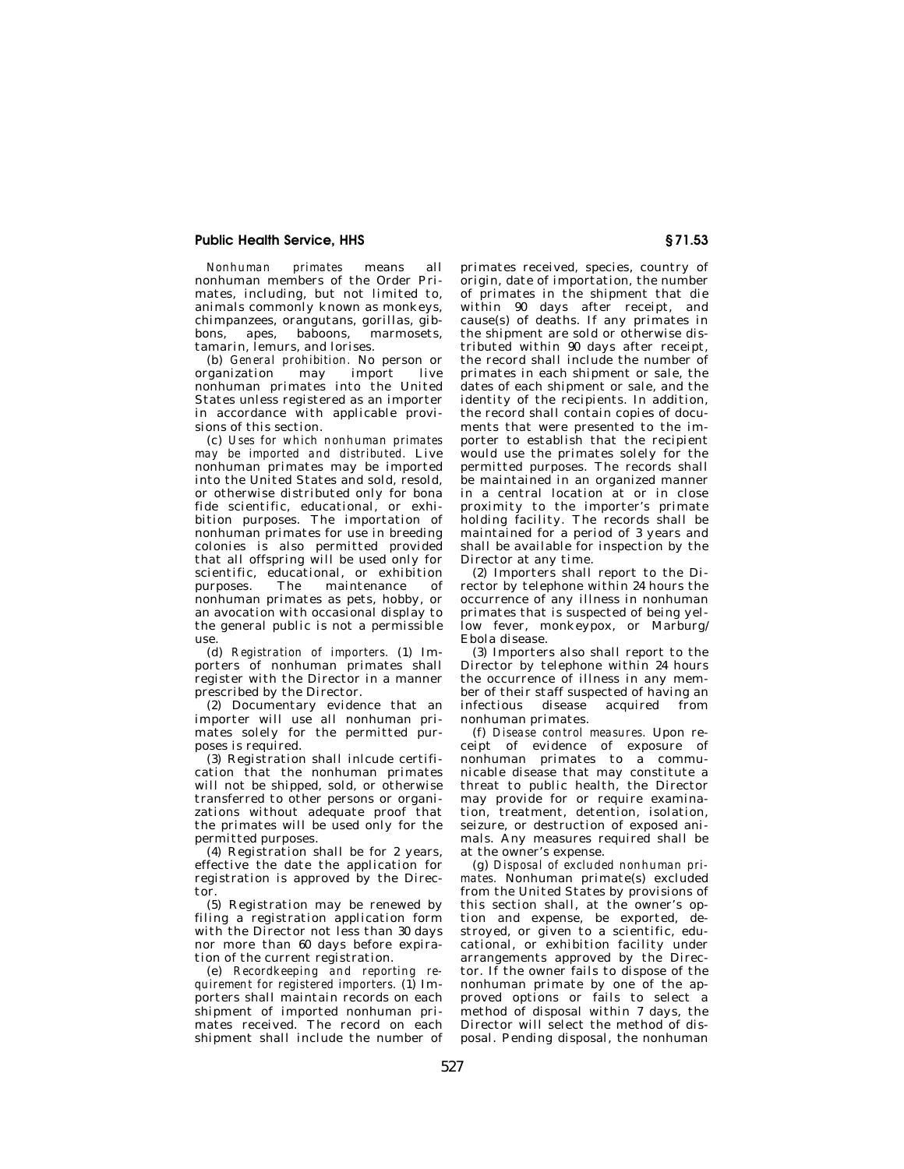## **Public Health Service, HHS § 71.53**

*Nonhuman primates* means all nonhuman members of the Order Primates, including, but not limited to, animals commonly known as monkeys, chimpanzees, orangutans, gorillas, gibbons, apes, baboons, marmosets, tamarin, lemurs, and lorises.

(b) *General prohibition.* No person or organization may import live nonhuman primates into the United States unless registered as an importer in accordance with applicable provisions of this section.

(c) *Uses for which nonhuman primates may be imported and distributed.* Live nonhuman primates may be imported into the United States and sold, resold, or otherwise distributed only for bona fide scientific, educational, or exhibition purposes. The importation of nonhuman primates for use in breeding colonies is also permitted provided that all offspring will be used only for scientific, educational, or exhibition<br>purposes. The maintenance of The maintenance of nonhuman primates as pets, hobby, or an avocation with occasional display to the general public is not a permissible use.

(d) *Registration of importers.* (1) Importers of nonhuman primates shall register with the Director in a manner prescribed by the Director.

(2) Documentary evidence that an importer will use all nonhuman primates solely for the permitted purposes is required.

(3) Registration shall inlcude certification that the nonhuman primates will not be shipped, sold, or otherwise transferred to other persons or organizations without adequate proof that the primates will be used only for the permitted purposes.

(4) Registration shall be for 2 years, effective the date the application for registration is approved by the Director.

(5) Registration may be renewed by filing a registration application form with the Director not less than 30 days nor more than 60 days before expiration of the current registration.

(e) *Recordkeeping and reporting requirement for registered importers.* (1) Importers shall maintain records on each shipment of imported nonhuman primates received. The record on each shipment shall include the number of

primates received, species, country of origin, date of importation, the number of primates in the shipment that die within 90 days after receipt, and cause(s) of deaths. If any primates in the shipment are sold or otherwise distributed within 90 days after receipt, the record shall include the number of primates in each shipment or sale, the dates of each shipment or sale, and the identity of the recipients. In addition, the record shall contain copies of documents that were presented to the importer to establish that the recipient would use the primates solely for the permitted purposes. The records shall be maintained in an organized manner in a central location at or in close proximity to the importer's primate holding facility. The records shall be maintained for a period of 3 years and shall be available for inspection by the Director at any time.

(2) Importers shall report to the Director by telephone within 24 hours the occurrence of any illness in nonhuman primates that is suspected of being yellow fever, monkeypox, or Marburg/ Ebola disease.

(3) Importers also shall report to the Director by telephone within 24 hours the occurrence of illness in any member of their staff suspected of having an<br>infectious disease acquired from infectious disease nonhuman primates.

(f) *Disease control measures.* Upon receipt of evidence of exposure of nonhuman primates to a communicable disease that may constitute a threat to public health, the Director may provide for or require examination, treatment, detention, isolation, seizure, or destruction of exposed animals. Any measures required shall be at the owner's expense.

(g) *Disposal of excluded nonhuman primates.* Nonhuman primate(s) excluded from the United States by provisions of this section shall, at the owner's option and expense, be exported, destroyed, or given to a scientific, educational, or exhibition facility under arrangements approved by the Director. If the owner fails to dispose of the nonhuman primate by one of the approved options or fails to select a method of disposal within 7 days, the Director will select the method of disposal. Pending disposal, the nonhuman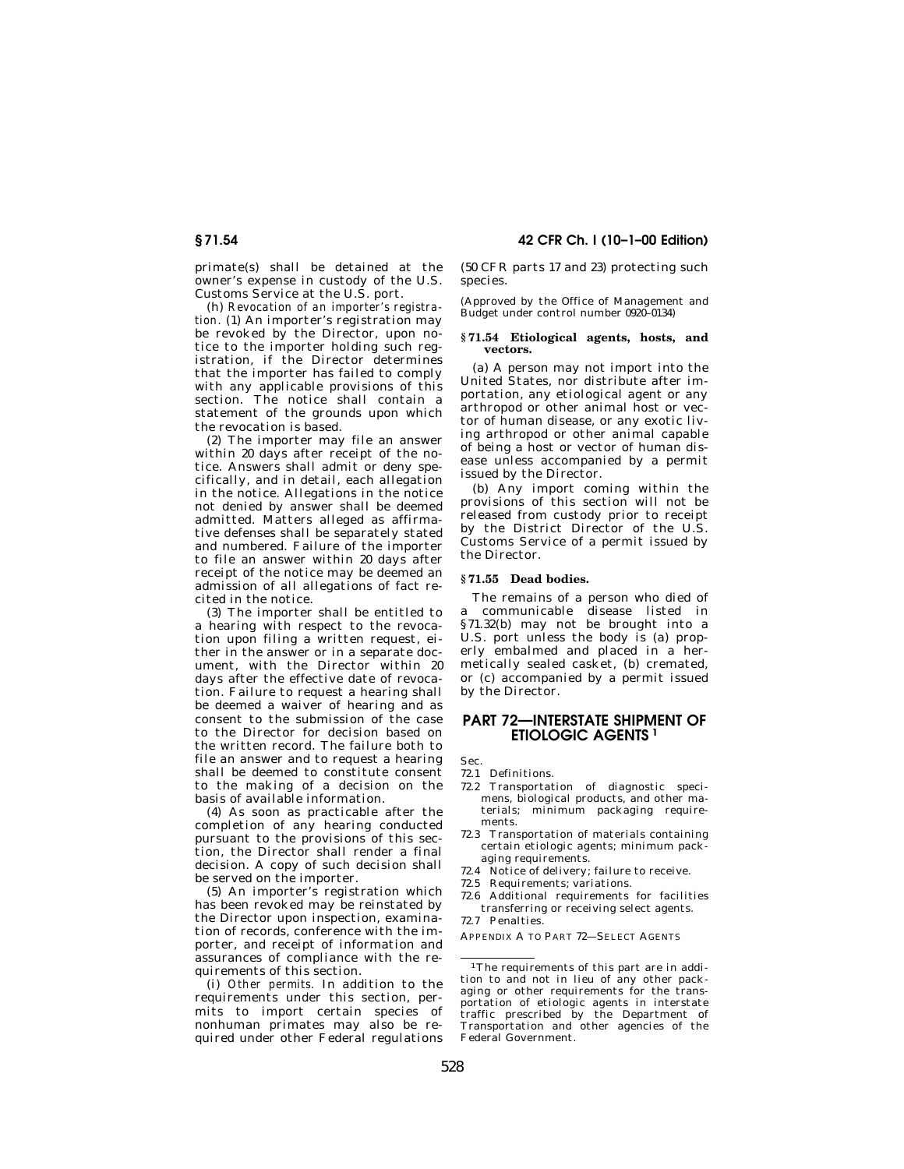primate(s) shall be detained at the owner's expense in custody of the U.S. Customs Service at the U.S. port.

(h) *Revocation of an importer's registration.* (1) An importer's registration may be revoked by the Director, upon notice to the importer holding such registration, if the Director determines that the importer has failed to comply with any applicable provisions of this section. The notice shall contain a statement of the grounds upon which the revocation is based.

(2) The importer may file an answer within 20 days after receipt of the notice. Answers shall admit or deny specifically, and in detail, each allegation in the notice. Allegations in the notice not denied by answer shall be deemed admitted. Matters alleged as affirmative defenses shall be separately stated and numbered. Failure of the importer to file an answer within 20 days after receipt of the notice may be deemed an admission of all allegations of fact recited in the notice.

(3) The importer shall be entitled to a hearing with respect to the revocation upon filing a written request, either in the answer or in a separate document, with the Director within 20 days after the effective date of revocation. Failure to request a hearing shall be deemed a waiver of hearing and as consent to the submission of the case to the Director for decision based on the written record. The failure both to file an answer and to request a hearing shall be deemed to constitute consent to the making of a decision on the basis of available information.

(4) As soon as practicable after the completion of any hearing conducted pursuant to the provisions of this section, the Director shall render a final decision. A copy of such decision shall be served on the importer.

(5) An importer's registration which has been revoked may be reinstated by the Director upon inspection, examination of records, conference with the importer, and receipt of information and assurances of compliance with the requirements of this section.

(i) *Other permits.* In addition to the requirements under this section, permits to import certain species of nonhuman primates may also be required under other Federal regulations

**§ 71.54 42 CFR Ch. I (10–1–00 Edition)**

(50 CFR parts 17 and 23) protecting such species.

(Approved by the Office of Management and Budget under control number 0920–0134)

## **§ 71.54 Etiological agents, hosts, and vectors.**

(a) A person may not import into the United States, nor distribute after importation, any etiological agent or any arthropod or other animal host or vector of human disease, or any exotic living arthropod or other animal capable of being a host or vector of human disease unless accompanied by a permit issued by the Director.

(b) Any import coming within the provisions of this section will not be released from custody prior to receipt by the District Director of the U.S. Customs Service of a permit issued by the Director.

## **§ 71.55 Dead bodies.**

The remains of a person who died of a communicable disease listed in §71.32(b) may not be brought into a U.S. port unless the body is (a) properly embalmed and placed in a hermetically sealed casket, (b) cremated, or (c) accompanied by a permit issued by the Director.

# **PART 72—INTERSTATE SHIPMENT OF ETIOLOGIC AGENTS 1**

Sec.

- 72.1 Definitions.
- 72.2 Transportation of diagnostic specimens, biological products, and other materials; minimum packaging requirements.
- 72.3 Transportation of materials containing certain etiologic agents; minimum packaging requirements.
- 72.4 Notice of delivery; failure to receive.
- 72.5 Requirements; variations.
- 72.6 Additional requirements for facilities transferring or receiving select agents.
- 72.7 Penalties.

APPENDIX A TO PART 72—SELECT AGENTS

<sup>&</sup>lt;sup>1</sup>The requirements of this part are in addition to and not in lieu of any other packaging or other requirements for the transportation of etiologic agents in interstate traffic prescribed by the Department of Transportation and other agencies of the Federal Government.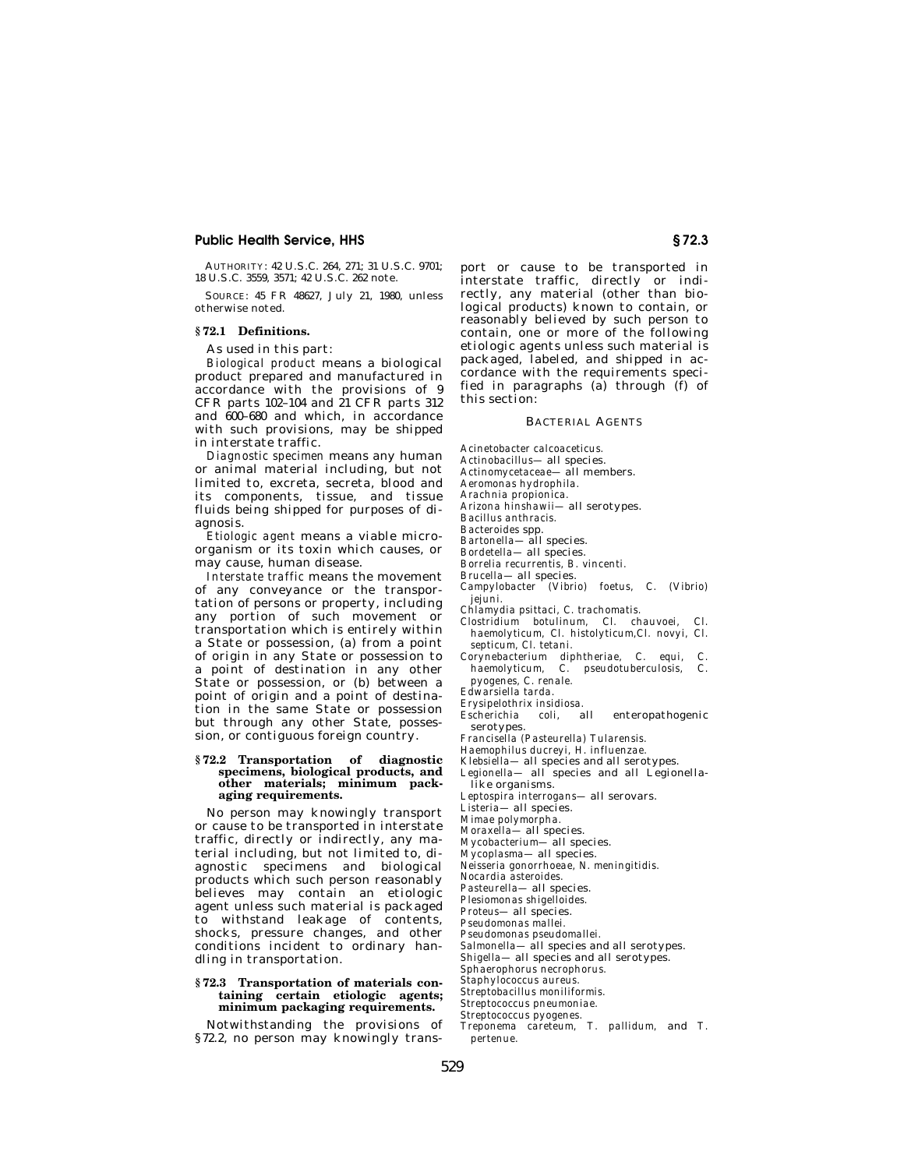## **Public Health Service, HHS § 72.3**

AUTHORITY: 42 U.S.C. 264, 271; 31 U.S.C. 9701; 18 U.S.C. 3559, 3571; 42 U.S.C. 262 note.

SOURCE: 45 FR 48627, July 21, 1980, unless otherwise noted.

## **§ 72.1 Definitions.**

As used in this part:

*Biological product* means a biological product prepared and manufactured in accordance with the provisions of 9 CFR parts 102–104 and 21 CFR parts 312 and 600–680 and which, in accordance with such provisions, may be shipped in interstate traffic.

*Diagnostic specimen* means any human or animal material including, but not limited to, excreta, secreta, blood and its components, tissue, and tissue fluids being shipped for purposes of diagnosis.

*Etiologic agent* means a viable microorganism or its toxin which causes, or may cause, human disease.

*Interstate traffic* means the movement of any conveyance or the transportation of persons or property, including any portion of such movement or transportation which is entirely within a State or possession, (a) from a point of origin in any State or possession to a point of destination in any other State or possession, or (b) between a point of origin and a point of destination in the same State or possession but through any other State, possession, or contiguous foreign country.

#### **§ 72.2 Transportation of diagnostic specimens, biological products, and other materials; minimum packaging requirements.**

No person may knowingly transport or cause to be transported in interstate traffic, directly or indirectly, any material including, but not limited to, diagnostic specimens and biological products which such person reasonably believes may contain an etiologic agent unless such material is packaged to withstand leakage of contents, shocks, pressure changes, and other conditions incident to ordinary handling in transportation.

#### **§ 72.3 Transportation of materials containing certain etiologic agents; minimum packaging requirements.**

Notwithstanding the provisions of §72.2, no person may knowingly transport or cause to be transported in interstate traffic, directly or indirectly, any material (other than biological products) known to contain, or reasonably believed by such person to contain, one or more of the following etiologic agents unless such material is packaged, labeled, and shipped in accordance with the requirements specified in paragraphs  $(\hat{a})$  through  $(\hat{f})$  of this section:

## BACTERIAL AGENTS

*Acinetobacter calcoaceticus.*

*Actinobacillus—* all species. *Actinomycetaceae—* all members.

*Aeromonas hydrophila.*

*Arachnia propionica.*

*Arizona hinshawii—* all serotypes.

*Bacillus anthracis.*

*Bacteroides* spp. *Bartonella—* all species. *Bordetella—* all species.

*Borrelia recurrentis, B. vincenti.*

*Brucella—* all species.

- *Campylobacter (Vibrio) foetus, C. (Vibrio) jejuni.*
- *Chlamydia psittaci, C. trachomatis.*
- *Clostridium botulinum, Cl. chauvoei, Cl. haemolyticum, Cl. histolyticum,Cl. novyi, Cl. septicum, Cl. tetani.*
- *Corynebacterium diphtheriae, C. equi, C. haemolyticum, C. pseudotuberculosis, C. pyogenes, C. renale.*
- *Edwarsiella tarda.*

*Erysipelothrix insidiosa.*

*Escherichia coli,* all enteropathogenic serotypes.

*Francisella (Pasteurella) Tularensis.*

*Haemophilus ducreyi, H. influenzae.*

*Klebsiella—* all species and all serotypes. *Legionella—* all species and all Legionella-

like organisms.

*Leptospira interrogans—* all serovars. *Listeria—* all species.

*Mimae polymorpha.*

*Moraxella—* all species.

*Mycobacterium—* all species.

*Mycoplasma—* all species.

*Neisseria gonorrhoeae, N. meningitidis.*

*Nocardia asteroides.*

*Pasteurella—* all species.

*Plesiomonas shigelloides.*

*Proteus—* all species.

*Pseudomonas mallei.*

*Pseudomonas pseudomallei.*

*Salmonella—* all species and all serotypes.

*Shigella—* all species and all serotypes.

*Sphaerophorus necrophorus.*

*Staphylococcus aureus.*

*Streptobacillus moniliformis.*

*Streptococcus pneumoniae.*

*Streptococcus pyogenes.*

*Treponema careteum, T. pallidum,* and *T. pertenue.*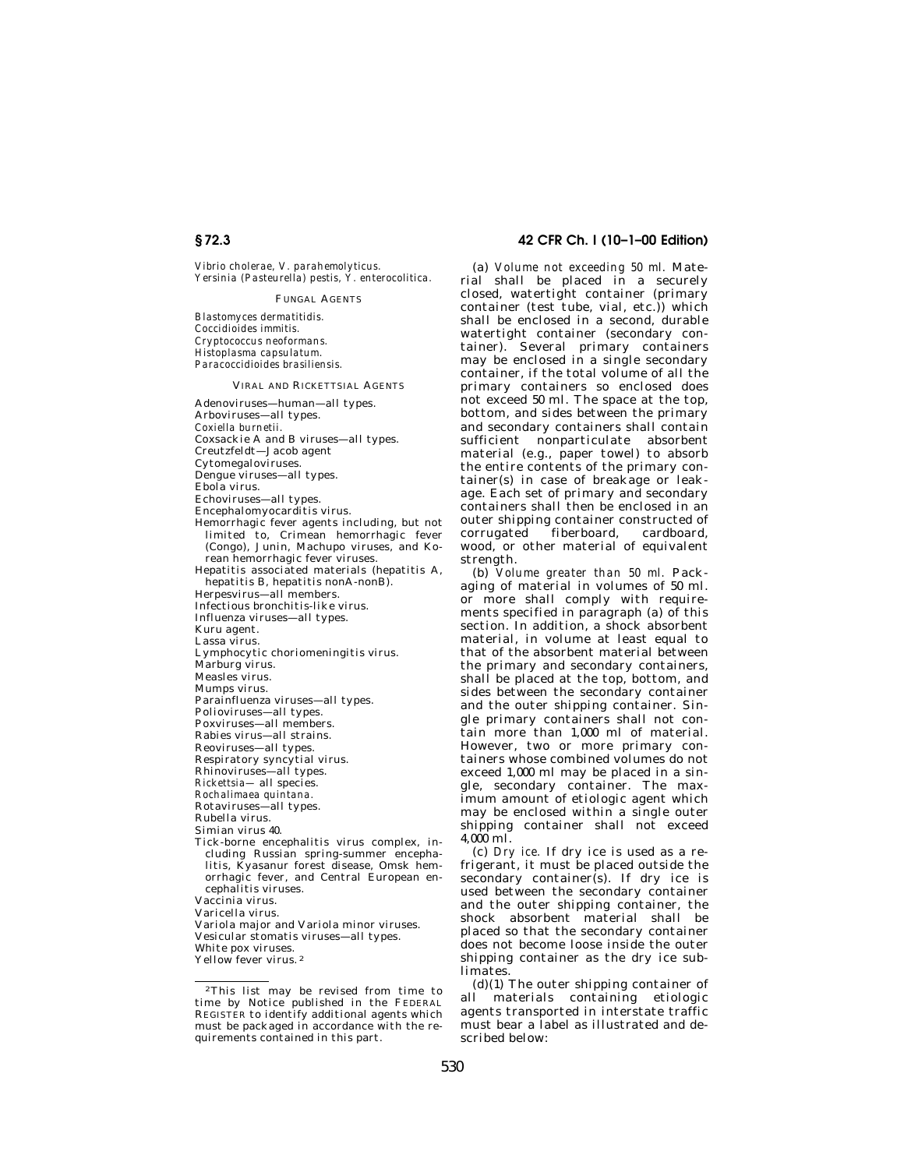*Vibrio cholerae, V. parahemolyticus. Yersinia (Pasteurella) pestis, Y. enterocolitica.*

## FUNGAL AGENTS

*Blastomyces dermatitidis. Coccidioides immitis. Cryptococcus neoformans. Histoplasma capsulatum. Paracoccidioides brasiliensis.*

## VIRAL AND RICKETTSIAL AGENTS

Adenoviruses—human—all types. Arboviruses—all types. *Coxiella burnetii.* Coxsackie A and B viruses—all types. Creutzfeldt—Jacob agent Cytomegaloviruses. Dengue viruses—all types. Ebola virus. Echoviruses—all types. Encephalomyocarditis virus. Hemorrhagic fever agents including, but not limited to, Crimean hemorrhagic fever (Congo), Junin, Machupo viruses, and Korean hemorrhagic fever viruses. Hepatitis associated materials (hepatitis A, hepatitis B, hepatitis nonA-nonB). Herpesvirus—all members. Infectious bronchitis-like virus. Influenza viruses—all types. Kuru agent. Lassa virus. Lymphocytic choriomeningitis virus. Marburg virus. Measles virus. Mumps virus. Parainfluenza viruses—all types. Polioviruses—all types. Poxviruses—all members. Rabies virus—all strains. Reoviruses—all types. Respiratory syncytial virus. Rhinoviruses—all types. *Rickettsia—* all species. *Rochalimaea quintana.* Rotaviruses—all types. Rubella virus. Simian virus 40. Tick-borne encephalitis virus complex, including Russian spring-summer encephalitis, Kyasanur forest disease, Omsk hemorrhagic fever, and Central European encephalitis viruses. Vaccinia virus. Varicella virus. Variola major and Variola minor viruses.

Vesicular stomatis viruses—all types.

# **§ 72.3 42 CFR Ch. I (10–1–00 Edition)**

(a) *Volume not exceeding 50 ml.* Material shall be placed in a securely closed, watertight container (primary container (test tube, vial, etc.)) which shall be enclosed in a second, durable watertight container (secondary container). Several primary containers may be enclosed in a single secondary container, if the total volume of all the primary containers so enclosed does not exceed 50 ml. The space at the top, bottom, and sides between the primary and secondary containers shall contain sufficient nonparticulate absorbent material (e.g., paper towel) to absorb the entire contents of the primary container(s) in case of breakage or leakage. Each set of primary and secondary containers shall then be enclosed in an outer shipping container constructed of<br>corrugated fiberboard, cardboard,  $\check{\phantom{\phi}}$ fiberboard, wood, or other material of equivalent strength.

(b) *Volume greater than 50 ml.* Packaging of material in volumes of 50 ml. or more shall comply with requirements specified in paragraph (a) of this section. In addition, a shock absorbent material, in volume at least equal to that of the absorbent material between the primary and secondary containers, shall be placed at the top, bottom, and sides between the secondary container and the outer shipping container. Single primary containers shall not contain more than 1,000 ml of material. However, two or more primary containers whose combined volumes do not exceed 1,000 ml may be placed in a single, secondary container. The maximum amount of etiologic agent which may be enclosed within a single outer shipping container shall not exceed  $4,000 \text{ ml}$ .

(c) *Dry ice.* If dry ice is used as a refrigerant, it must be placed outside the  $secondary container(s)$ . If dry ice is used between the secondary container and the outer shipping container, the shock absorbent material shall be placed so that the secondary container does not become loose inside the outer shipping container as the dry ice sublimates<sup>"</sup>

(d)(1) The outer shipping container of all materials containing etiologic agents transported in interstate traffic must bear a label as illustrated and described below:

White pox viruses.

Yellow fever virus. 2

<sup>2</sup>This list may be revised from time to time by Notice published in the FEDERAL REGISTER to identify additional agents which must be packaged in accordance with the requirements contained in this part.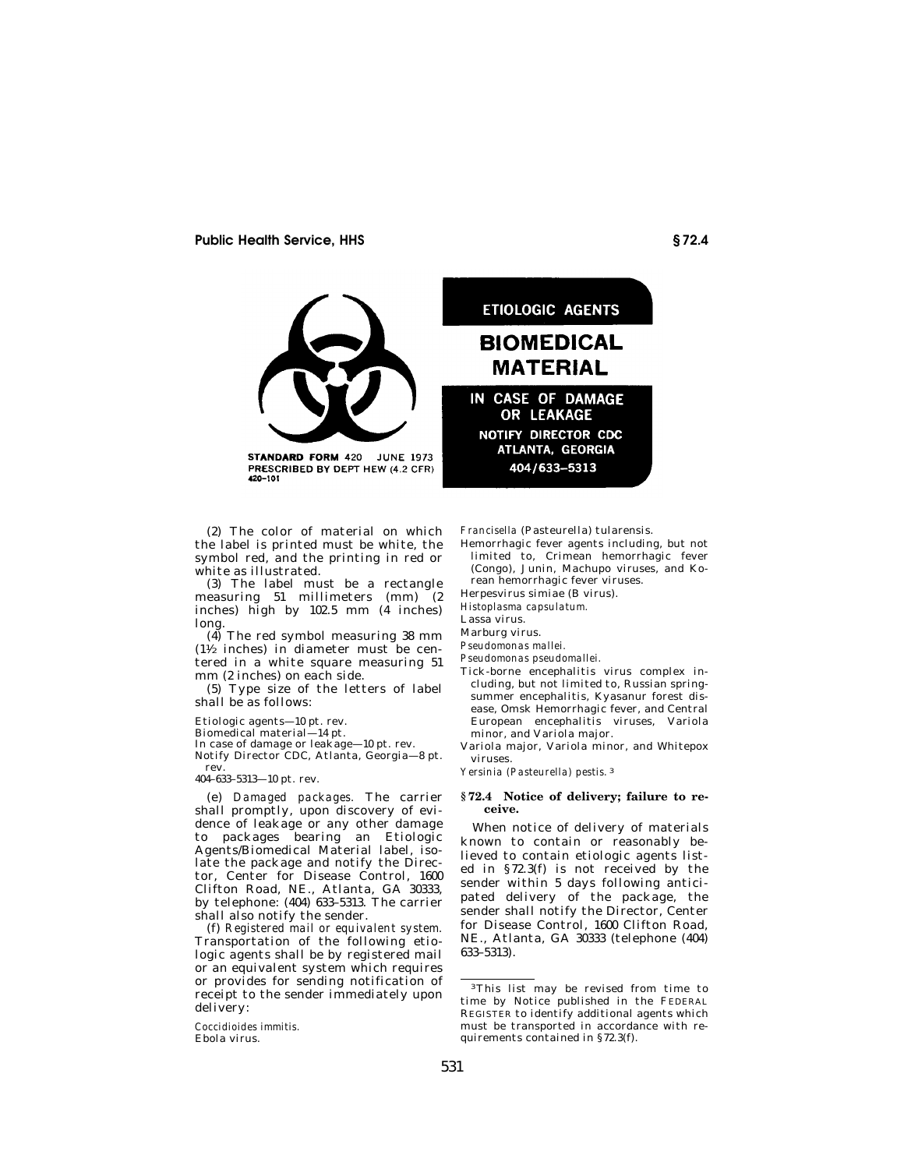## **Public Health Service, HHS § 72.4**



(2) The color of material on which the label is printed must be white, the symbol red, and the printing in red or white as illustrated.

(3) The label must be a rectangle measuring 51 millimeters (mm) (2 inches) high by 102.5 mm (4 inches) long.

(4) The red symbol measuring 38 mm  $(1<sup>1</sup>/<sub>2</sub> inches)$  in diameter must be centered in a white square measuring 51 mm (2 inches) on each side.

(5) Type size of the letters of label shall be as follows:

Etiologic agents—10 pt. rev.

Biomedical material—14 pt.

In case of damage or leakage—10 pt. rev. Notify Director CDC, Atlanta, Georgia—8 pt. rev.

404–633–5313—10 pt. rev.

(e) *Damaged packages.* The carrier shall promptly, upon discovery of evidence of leakage or any other damage to packages bearing an Etiologic Agents/Biomedical Material label, isolate the package and notify the Director, Center for Disease Control, 1600 Clifton Road, NE., Atlanta, GA 30333, by telephone: (404) 633–5313. The carrier shall also notify the sender.

(f) *Registered mail or equivalent system.* Transportation of the following etiologic agents shall be by registered mail or an equivalent system which requires or provides for sending notification of receipt to the sender immediately upon delivery:

*Coccidioides immitis.* Ebola virus.

*Francisella* (Pasteurella) tularensis.

Hemorrhagic fever agents including, but not limited to, Crimean hemorrhagic fever (Congo), Junin, Machupo viruses, and Korean hemorrhagic fever viruses.

Herpesvirus simiae (B virus).

*Histoplasma capsulatum.*

Lassa virus.

Marburg virus.

*Pseudomonas mallei.*

- *Pseudomonas pseudomallei.*
- Tick-borne encephalitis virus complex including, but not limited to, Russian springsummer encephalitis, Kyasanur forest disease, Omsk Hemorrhagic fever, and Central European encephalitis viruses, Variola minor, and Variola major.
- Variola major, Variola minor, and Whitepox viruses.

*Yersinia (Pasteurella) pestis.* 3

## **§ 72.4 Notice of delivery; failure to receive.**

When notice of delivery of materials known to contain or reasonably believed to contain etiologic agents listed in §72.3(f) is not received by the sender within 5 days following anticipated delivery of the package, the sender shall notify the Director, Center for Disease Control, 1600 Clifton Road, NE., Atlanta, GA 30333 (telephone (404) 633–5313).

<sup>3</sup>This list may be revised from time to time by Notice published in the FEDERAL REGISTER to identify additional agents which must be transported in accordance with requirements contained in §72.3(f).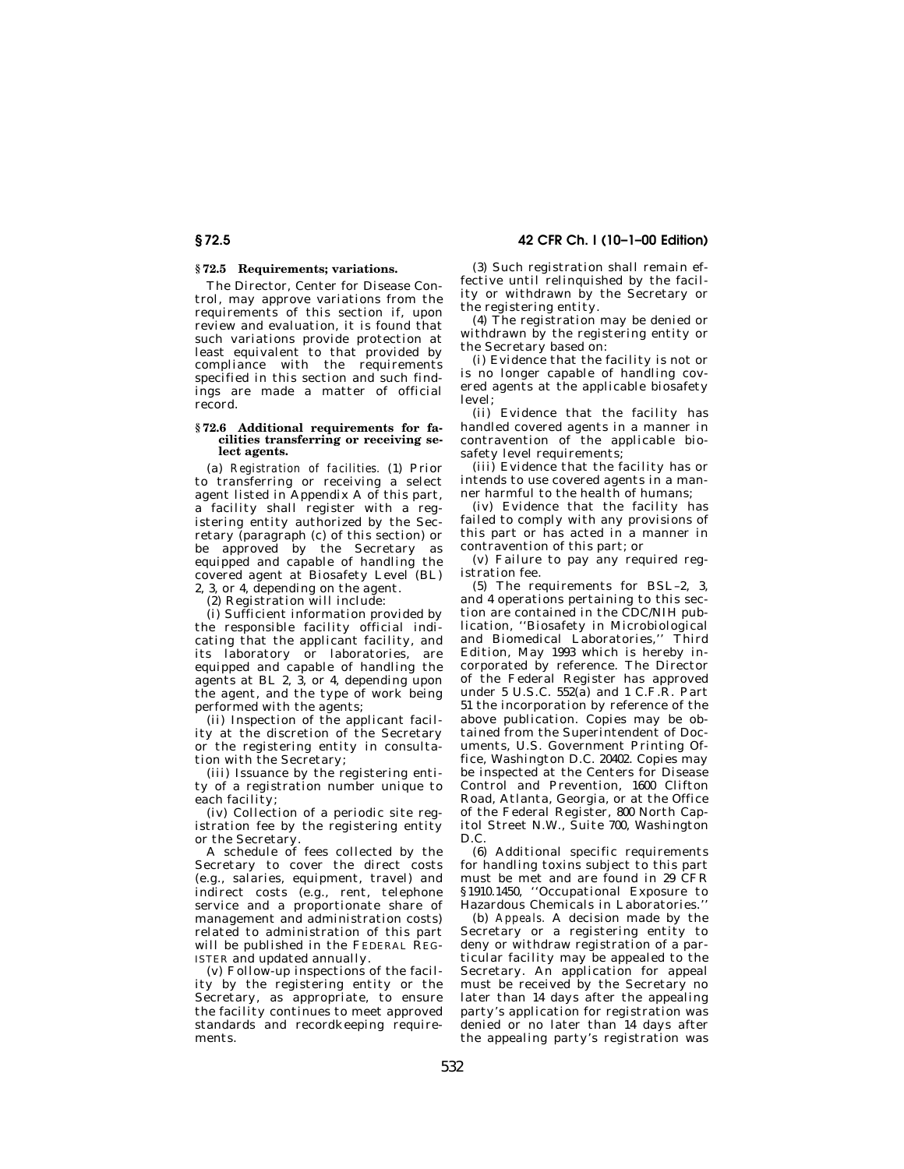# **§ 72.5 42 CFR Ch. I (10–1–00 Edition)**

## **§ 72.5 Requirements; variations.**

The Director, Center for Disease Control, may approve variations from the requirements of this section if, upon review and evaluation, it is found that such variations provide protection at least equivalent to that provided by compliance with the requirements specified in this section and such findings are made a matter of official record.

### **§ 72.6 Additional requirements for facilities transferring or receiving select agents.**

(a) *Registration of facilities.* (1) Prior to transferring or receiving a select agent listed in Appendix A of this part, a facility shall register with a registering entity authorized by the Secretary (paragraph (c) of this section) or be approved by the Secretary as equipped and capable of handling the covered agent at Biosafety Level (BL) 2, 3, or 4, depending on the agent.

(2) Registration will include:

(i) Sufficient information provided by the responsible facility official indicating that the applicant facility, and its laboratory or laboratories, are equipped and capable of handling the agents at BL 2, 3, or 4, depending upon the agent, and the type of work being performed with the agents;

(ii) Inspection of the applicant facility at the discretion of the Secretary or the registering entity in consultation with the Secretary;

(iii) Issuance by the registering entity of a registration number unique to each facility;

(iv) Collection of a periodic site registration fee by the registering entity or the Secretary.

A schedule of fees collected by the Secretary to cover the direct costs (e.g., salaries, equipment, travel) and indirect costs (e.g., rent, telephone service and a proportionate share of management and administration costs) related to administration of this part will be published in the FEDERAL REG-ISTER and updated annually.

(v) Follow-up inspections of the facility by the registering entity or the Secretary, as appropriate, to ensure the facility continues to meet approved standards and recordkeeping requirements.

(3) Such registration shall remain effective until relinquished by the facility or withdrawn by the Secretary or the registering entity.

(4) The registration may be denied or withdrawn by the registering entity or the Secretary based on:

(i) Evidence that the facility is not or is no longer capable of handling covered agents at the applicable biosafety level;

(ii) Evidence that the facility has handled covered agents in a manner in contravention of the applicable biosafety level requirements;

(iii) Evidence that the facility has or intends to use covered agents in a manner harmful to the health of humans;

(iv) Evidence that the facility has failed to comply with any provisions of this part or has acted in a manner in contravention of this part; or

(v) Failure to pay any required registration fee.

(5) The requirements for BSL–2, 3, and 4 operations pertaining to this section are contained in the CDC/NIH publication, ''Biosafety in Microbiological and Biomedical Laboratories,'' Third Edition, May 1993 which is hereby incorporated by reference. The Director of the Federal Register has approved under 5 U.S.C. 552(a) and 1 C.F.R. Part 51 the incorporation by reference of the above publication. Copies may be obtained from the Superintendent of Documents, U.S. Government Printing Office, Washington D.C. 20402. Copies may be inspected at the Centers for Disease Control and Prevention, 1600 Clifton Road, Atlanta, Georgia, or at the Office of the Federal Register, 800 North Capitol Street N.W., Suite 700, Washington D.C.

(6) Additional specific requirements for handling toxins subject to this part must be met and are found in 29 CFR §1910.1450, ''Occupational Exposure to Hazardous Chemicals in Laboratories.''

(b) *Appeals.* A decision made by the Secretary or a registering entity to deny or withdraw registration of a particular facility may be appealed to the Secretary. An application for appeal must be received by the Secretary no later than 14 days after the appealing party's application for registration was denied or no later than 14 days after the appealing party's registration was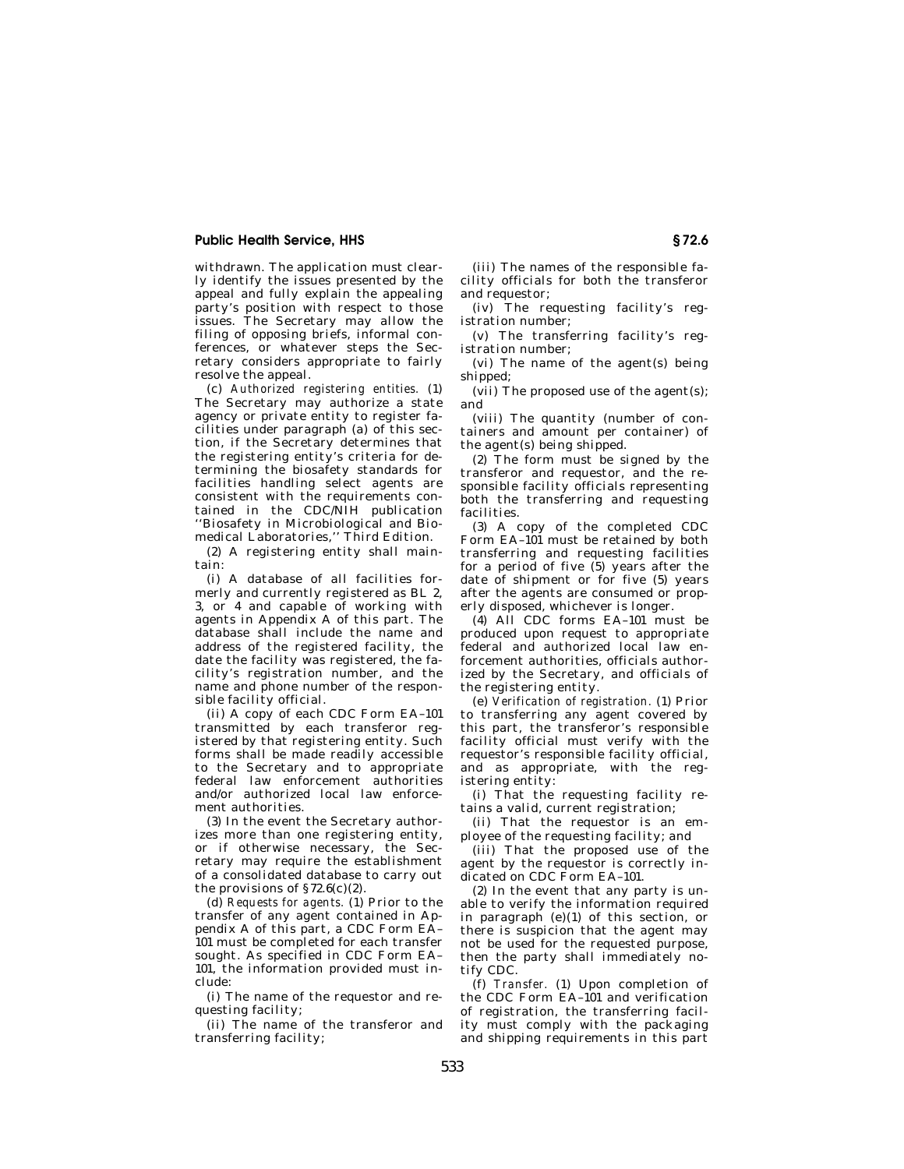## **Public Health Service, HHS § 72.6**

withdrawn. The application must clearly identify the issues presented by the appeal and fully explain the appealing party's position with respect to those issues. The Secretary may allow the filing of opposing briefs, informal conferences, or whatever steps the Secretary considers appropriate to fairly resolve the appeal.

(c) *Authorized registering entities.* (1) The Secretary may authorize a state agency or private entity to register facilities under paragraph (a) of this section, if the Secretary determines that the registering entity's criteria for determining the biosafety standards for facilities handling select agents are consistent with the requirements contained in the CDC/NIH publication ''Biosafety in Microbiological and Biomedical Laboratories,'' Third Edition.

(2) A registering entity shall maintain:

(i) A database of all facilities formerly and currently registered as BL 2, 3, or 4 and capable of working with agents in Appendix A of this part. The database shall include the name and address of the registered facility, the date the facility was registered, the facility's registration number, and the name and phone number of the responsible facility official.

(ii) A copy of each CDC Form EA–101 transmitted by each transferor registered by that registering entity. Such forms shall be made readily accessible to the Secretary and to appropriate federal law enforcement authorities and/or authorized local law enforcement authorities.

(3) In the event the Secretary authorizes more than one registering entity, or if otherwise necessary, the Secretary may require the establishment of a consolidated database to carry out the provisions of  $\S 72.6(c)(2)$ .

(d) *Requests for agents.* (1) Prior to the transfer of any agent contained in Appendix A of this part, a CDC Form EA– 101 must be completed for each transfer sought. As specified in CDC Form EA– 101, the information provided must include:

(i) The name of the requestor and requesting facility;

(ii) The name of the transferor and transferring facility;

(iii) The names of the responsible facility officials for both the transferor and requestor;

(iv) The requesting facility's registration number;

(v) The transferring facility's registration number;

(vi) The name of the agent(s) being shipped;

(vii) The proposed use of the agent(s); and

(viii) The quantity (number of containers and amount per container) of the agent(s) being shipped.

(2) The form must be signed by the transferor and requestor, and the responsible facility officials representing both the transferring and requesting facilities.

(3) A copy of the completed CDC Form EA–101 must be retained by both transferring and requesting facilities for a period of five (5) years after the date of shipment or for five (5) years after the agents are consumed or properly disposed, whichever is longer.

(4) All CDC forms EA–101 must be produced upon request to appropriate federal and authorized local law enforcement authorities, officials authorized by the Secretary, and officials of the registering entity.

(e) *Verification of registration.* (1) Prior to transferring any agent covered by this part, the transferor's responsible facility official must verify with the requestor's responsible facility official, and as appropriate, with the registering entity:

(i) That the requesting facility retains a valid, current registration;

(ii) That the requestor is an employee of the requesting facility; and

(iii) That the proposed use of the agent by the requestor is correctly indicated on CDC Form EA–101.

(2) In the event that any party is unable to verify the information required in paragraph (e)(1) of this section, or there is suspicion that the agent may not be used for the requested purpose, then the party shall immediately notify CDC.

(f) *Transfer.* (1) Upon completion of the CDC Form EA–101 and verification of registration, the transferring facility must comply with the packaging and shipping requirements in this part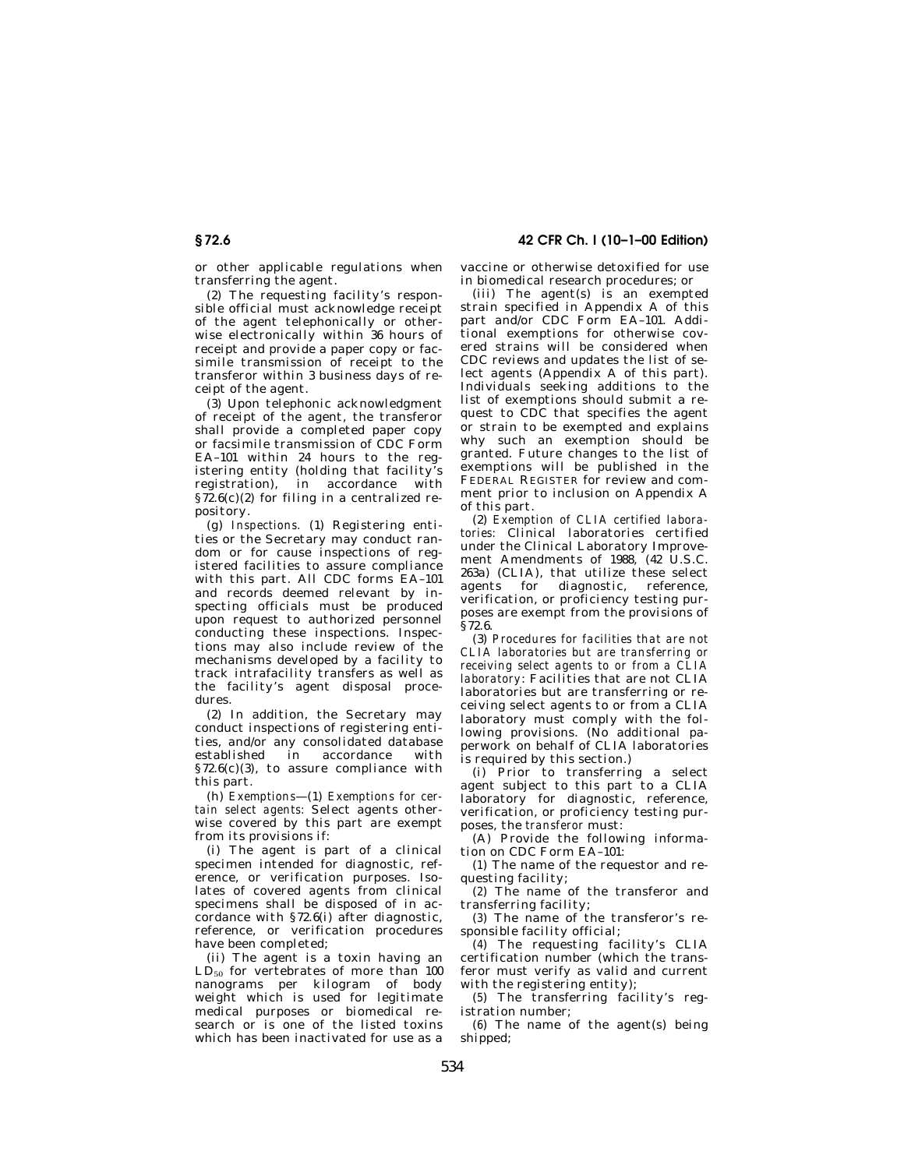or other applicable regulations when transferring the agent.

(2) The requesting facility's responsible official must acknowledge receipt of the agent telephonically or otherwise electronically within 36 hours of receipt and provide a paper copy or facsimile transmission of receipt to the transferor within 3 business days of receipt of the agent.

(3) Upon telephonic acknowledgment of receipt of the agent, the transferor shall provide a completed paper copy or facsimile transmission of CDC Form EA–101 within 24 hours to the registering entity (holding that facility's registration), in accordance with  $\S 72.6(c)(2)$  for filing in a centralized repository.

(g) *Inspections.* (1) Registering entities or the Secretary may conduct random or for cause inspections of registered facilities to assure compliance with this part. All CDC forms EA–101 and records deemed relevant by inspecting officials must be produced upon request to authorized personnel conducting these inspections. Inspections may also include review of the mechanisms developed by a facility to track intrafacility transfers as well as the facility's agent disposal procedures.

(2) In addition, the Secretary may conduct inspections of registering entities, and/or any consolidated database established in accordance with §72.6(c)(3), to assure compliance with this part.

(h) *Exemptions*—(1) *Exemptions for certain select agents:* Select agents otherwise covered by this part are exempt from its provisions if:

(i) The agent is part of a clinical specimen intended for diagnostic, reference, or verification purposes. Isolates of covered agents from clinical specimens shall be disposed of in accordance with §72.6(i) after diagnostic, reference, or verification procedures have been completed;

(ii) The agent is a toxin having an  $LD_{50}$  for vertebrates of more than 100 nanograms per kilogram of body weight which is used for legitimate medical purposes or biomedical research or is one of the listed toxins which has been inactivated for use as a

vaccine or otherwise detoxified for use in biomedical research procedures; or

(iii) The agent(s) is an exempted strain specified in Appendix A of this part and/or CDC Form EA–101. Additional exemptions for otherwise covered strains will be considered when CDC reviews and updates the list of select agents (Appendix A of this part). Individuals seeking additions to the list of exemptions should submit a request to CDC that specifies the agent or strain to be exempted and explains why such an exemption should be granted. Future changes to the list of exemptions will be published in the FEDERAL REGISTER for review and comment prior to inclusion on Appendix A of this part.

(2) *Exemption of CLIA certified laboratories:* Clinical laboratories certified under the Clinical Laboratory Improvement Amendments of 1988, (42 U.S.C. 263a) (CLIA), that utilize these select for diagnostic, reference, verification, or proficiency testing purposes are exempt from the provisions of §72.6.

(3) *Procedures for facilities that are not CLIA laboratories but are transferring or receiving select agents to or from a CLIA laboratory*: Facilities that are not CLIA laboratories but are transferring or receiving select agents to or from a CLIA laboratory must comply with the following provisions. (No additional paperwork on behalf of CLIA laboratories is required by this section.)

(i) Prior to transferring a select agent subject to this part to a CLIA laboratory for diagnostic, reference, verification, or proficiency testing purposes, the *transferor* must:

(A) Provide the following information on CDC Form EA–101:

(*1*) The name of the requestor and requesting facility;

(*2*) The name of the transferor and transferring facility;

(*3*) The name of the transferor's responsible facility official;

(*4*) The requesting facility's CLIA certification number (which the transferor must verify as valid and current with the registering entity);

(*5*) The transferring facility's registration number;

(*6*) The name of the agent(s) being shipped;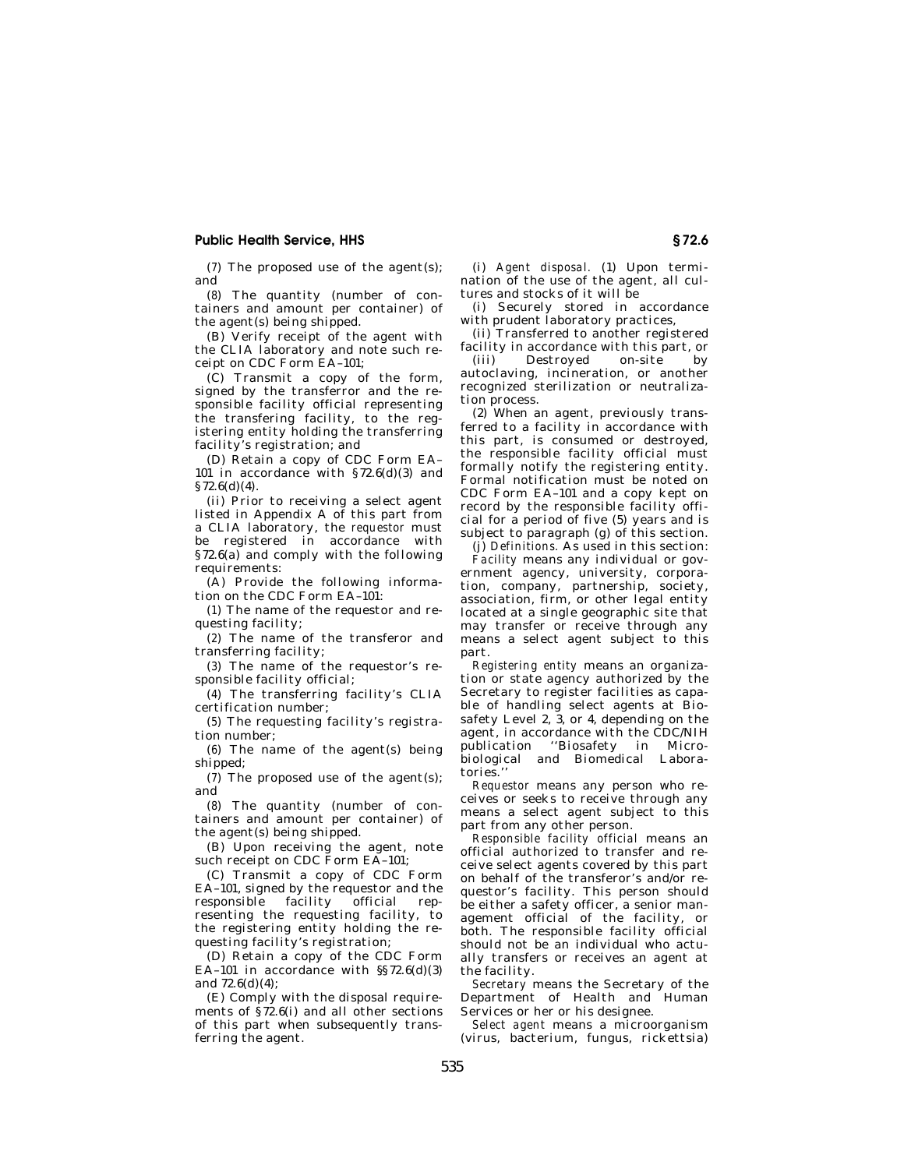## **Public Health Service, HHS § 72.6**

 $(7)$  The proposed use of the agent(s); and

(*8*) The quantity (number of containers and amount per container) of the agent(s) being shipped.

(B) Verify receipt of the agent with the CLIA laboratory and note such receipt on CDC Form EA–101;

(C) Transmit a copy of the form, signed by the transferror and the responsible facility official representing the transfering facility, to the registering entity holding the transferring facility's registration; and

(D) Retain a copy of CDC Form EA– 101 in accordance with  $$72.6(d)(3)$  and  $$72.6(d)(4)$ .

(ii) Prior to receiving a select agent listed in Appendix A of this part from a CLIA laboratory, the *requestor* must be registered in accordance with §72.6(a) and comply with the following requirements:

(A) Provide the following information on the CDC Form EA–101:

(*1*) The name of the requestor and requesting facility;

(*2*) The name of the transferor and transferring facility;

(*3*) The name of the requestor's responsible facility official;

(*4*) The transferring facility's CLIA certification number;

(*5*) The requesting facility's registration number;

(*6*) The name of the agent(s) being shipped;

 $(7)$  The proposed use of the agent(s); and

(*8*) The quantity (number of containers and amount per container) of the agent(s) being shipped.

(B) Upon receiving the agent, note such receipt on CDC Form EA-101;

(C) Transmit a copy of CDC Form EA–101, signed by the requestor and the responsible facility official representing the requesting facility, to the registering entity holding the requesting facility's registration;

(D) Retain a copy of the CDC Form EA–101 in accordance with §§72.6(d)(3) and 72.6(d)(4);

(E) Comply with the disposal requirements of §72.6(i) and all other sections of this part when subsequently transferring the agent.

(i) *Agent disposal.* (1) Upon termination of the use of the agent, all cultures and stocks of it will be

(i) Securely stored in accordance with prudent laboratory practices,

(ii) Transferred to another registered facility in accordance with this part, or

(iii) Destroyed on-site by autoclaving, incineration, or another recognized sterilization or neutralization process.

(2) When an agent, previously transferred to a facility in accordance with this part, is consumed or destroyed, the responsible facility official must formally notify the registering entity. Formal notification must be noted on CDC Form EA–101 and a copy kept on record by the responsible facility official for a period of five (5) years and is subject to paragraph (g) of this section.

(j) *Definitions.* As used in this section: *Facility* means any individual or government agency, university, corporation, company, partnership, society, association, firm, or other legal entity located at a single geographic site that may transfer or receive through any means a select agent subject to this part.

*Registering entity* means an organization or state agency authorized by the Secretary to register facilities as capable of handling select agents at Biosafety Level 2, 3, or 4, depending on the agent, in accordance with the CDC/NIH publication ''Biosafety in Microbiological and Biomedical Laboratories.''

*Requestor* means any person who receives or seeks to receive through any means a select agent subject to this part from any other person.

*Responsible facility official* means an official authorized to transfer and receive select agents covered by this part on behalf of the transferor's and/or requestor's facility. This person should be either a safety officer, a senior management official of the facility, or both. The responsible facility official should not be an individual who actually transfers or receives an agent at the facility.

*Secretary* means the Secretary of the Department of Health and Human Services or her or his designee.

*Select agent* means a microorganism (virus, bacterium, fungus, rickettsia)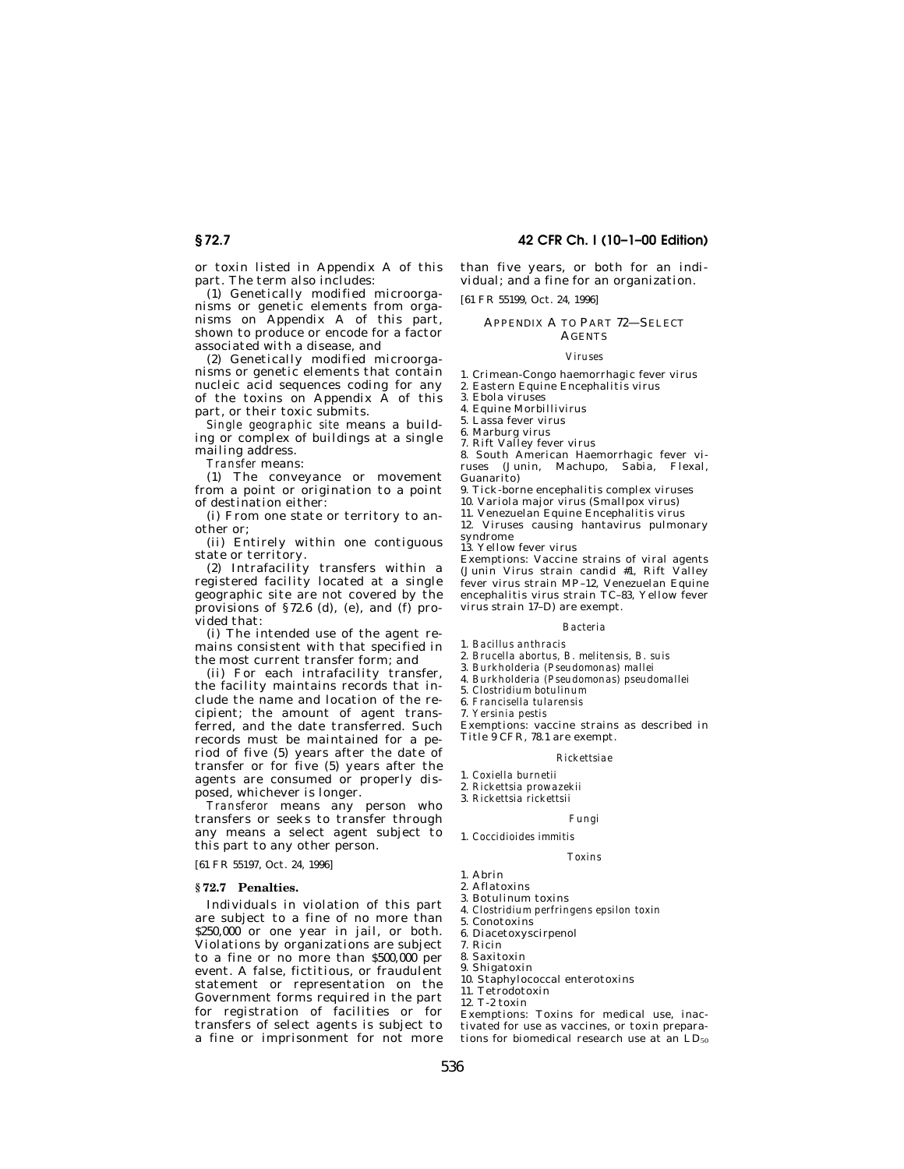or toxin listed in Appendix A of this part. The term also includes:

(1) Genetically modified microorganisms or genetic elements from organisms on Appendix A of this part, shown to produce or encode for a factor associated with a disease, and

(2) Genetically modified microorganisms or genetic elements that contain nucleic acid sequences coding for any of the toxins on Appendix A of this part, or their toxic submits.

*Single geographic site* means a building or complex of buildings at a single mailing address.

*Transfer* means:

(1) The conveyance or movement from a point or origination to a point of destination either:

(i) From one state or territory to another or;

(ii) Entirely within one contiguous state or territory.

(2) Intrafacility transfers within a registered facility located at a single geographic site are not covered by the provisions of  $$72.6$  (d), (e), and (f) provided that:

(i) The intended use of the agent remains consistent with that specified in the most current transfer form; and

(ii) For each intrafacility transfer, the facility maintains records that include the name and location of the recipient; the amount of agent transferred, and the date transferred. Such records must be maintained for a period of five (5) years after the date of transfer or for five (5) years after the agents are consumed or properly disposed, whichever is longer.

*Transferor* means any person who transfers or seeks to transfer through any means a select agent subject to this part to any other person.

[61 FR 55197, Oct. 24, 1996]

#### **§ 72.7 Penalties.**

Individuals in violation of this part are subject to a fine of no more than \$250,000 or one year in jail, or both. Violations by organizations are subject to a fine or no more than \$500,000 per event. A false, fictitious, or fraudulent statement or representation on the Government forms required in the part for registration of facilities or for transfers of select agents is subject to a fine or imprisonment for not more

than five years, or both for an individual; and a fine for an organization.

[61 FR 55199, Oct. 24, 1996]

## APPENDIX A TO PART 72—SELECT **AGENTS**

#### *Viruses*

1. Crimean-Congo haemorrhagic fever virus

2. Eastern Equine Encephalitis virus

3. Ebola viruses

4. Equine Morbillivirus

5. Lassa fever virus

- 6. Marburg virus
- 7. Rift Valley fever virus

8. South American Haemorrhagic fever viruses (Junin, Machupo, Sabia, Flexal, Guanarito)

9. Tick-borne encephalitis complex viruses

10. Variola major virus (Smallpox virus)

11. Venezuelan Equine Encephalitis virus

12. Viruses causing hantavirus pulmonary syndrome 13. Yellow fever virus

Exemptions: Vaccine strains of viral agents (Junin Virus strain candid #1, Rift Valley fever virus strain MP–12, Venezuelan Equine encephalitis virus strain TC–83, Yellow fever virus strain 17–D) are exempt.

#### *Bacteria*

1. *Bacillus anthracis*

- 2. *Brucella abortus, B. melitensis, B. suis* 3. *Burkholderia (Pseudomonas) mallei*
- 4. *Burkholderia (Pseudomonas) pseudomallei*

5. *Clostridium botulinum*

6. *Francisella tularensis*

- 7. *Yersinia pestis*
- Exemptions: vaccine strains as described in Title 9 CFR, 78.1 are exempt.

#### *Rickettsiae*

1. *Coxiella burnetii*

- 2. *Rickettsia prowazekii*
- 3. *Rickettsia rickettsii*

## *Fungi*

1. *Coccidioides immitis*

#### *Toxins*

- 1. Abrin
- 2. Aflatoxins 3. Botulinum toxins
- 4. *Clostridium perfringens epsilon toxin*
- 5. Conotoxins
- 6. Diacetoxyscirpenol
- 7. Ricin
- 8. Saxitoxin
- 9. Shigatoxin
- 10. Staphylococcal enterotoxins
- 11. Tetrodotoxin
- 12. T-2 toxin

Exemptions: Toxins for medical use, inac-

tivated for use as vaccines, or toxin preparations for biomedical research use at an  $LD_{50}$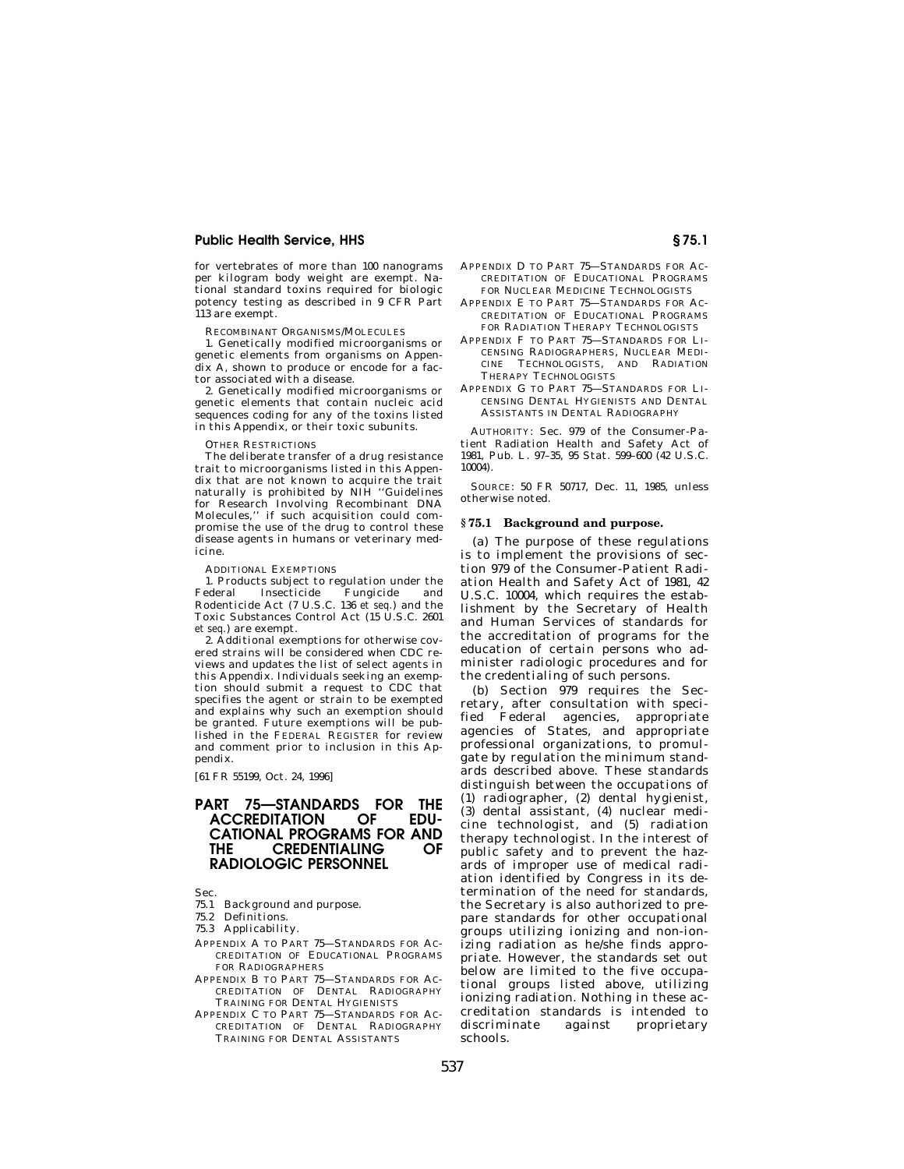## **Public Health Service, HHS § 75.1**

for vertebrates of more than 100 nanograms per kilogram body weight are exempt. National standard toxins required for biologic potency testing as described in 9 CFR Part 113 are exempt.

RECOMBINANT ORGANISMS/MOLECULES

1. Genetically modified microorganisms or genetic elements from organisms on Appendix A, shown to produce or encode for a factor associated with a disease.

2. Genetically modified microorganisms or genetic elements that contain nucleic acid sequences coding for any of the toxins listed in this Appendix, or their toxic subunits.

#### OTHER RESTRICTIONS

The deliberate transfer of a drug resistance trait to microorganisms listed in this Appendix that are not known to acquire the trait naturally is prohibited by NIH ''Guidelines for Research Involving Recombinant DNA Molecules,'' if such acquisition could compromise the use of the drug to control these disease agents in humans or veterinary medicine.

ADDITIONAL EXEMPTIONS

1. Products subject to regulation under the<br>Federal Insecticide Fungicide and Federal Insecticide Fungicide and Rodenticide Act (7 U.S.C. 136 *et seq.*) and the Toxic Substances Control Act (15 U.S.C. 2601 *et seq.*) are exempt.

2. Additional exemptions for otherwise covered strains will be considered when CDC reviews and updates the list of select agents in this Appendix. Individuals seeking an exemption should submit a request to CDC that specifies the agent or strain to be exempted and explains why such an exemption should be granted. Future exemptions will be published in the FEDERAL REGISTER for review and comment prior to inclusion in this Appendix.

[61 FR 55199, Oct. 24, 1996]

# **PART 75—STANDARDS FOR THE ACCREDITATION CATIONAL PROGRAMS FOR AND CREDENTIALING RADIOLOGIC PERSONNEL**

Sec.

- 75.1 Background and purpose.
- 75.2 Definitions.
- 75.3 Applicability.
- APPENDIX A TO PART 75—STANDARDS FOR AC-CREDITATION OF EDUCATIONAL PROGRAMS FOR RADIOGRAPHERS
- APPENDIX B TO PART 75—STANDARDS FOR AC-CREDITATION OF DENTAL RADIOGRAPHY TRAINING FOR DENTAL HYGIENISTS
- APPENDIX C TO PART 75—STANDARDS FOR AC-CREDITATION OF DENTAL RADIOGRAPHY TRAINING FOR DENTAL ASSISTANTS
- APPENDIX D TO PART 75—STANDARDS FOR AC-CREDITATION OF EDUCATIONAL PROGRAMS FOR NUCLEAR MEDICINE TECHNOLOGISTS
- APPENDIX E TO PART 75—STANDARDS FOR AC-CREDITATION OF EDUCATIONAL PROGRAMS FOR RADIATION THERAPY TECHNOLOGISTS
- APPENDIX F TO PART 75—STANDARDS FOR LI-CENSING RADIOGRAPHERS, NUCLEAR MEDI-CINE TECHNOLOGISTS, AND RADIATION THERAPY TECHNOLOGISTS
- APPENDIX G TO PART 75—STANDARDS FOR LI-CENSING DENTAL HYGIENISTS AND DENTAL ASSISTANTS IN DENTAL RADIOGRAPHY

AUTHORITY: Sec. 979 of the Consumer-Patient Radiation Health and Safety Act of 1981, Pub. L. 97–35, 95 Stat. 599–600 (42 U.S.C. 10004).

SOURCE: 50 FR 50717, Dec. 11, 1985, unless otherwise noted.

### **§ 75.1 Background and purpose.**

(a) The purpose of these regulations is to implement the provisions of section 979 of the Consumer-Patient Radiation Health and Safety Act of 1981, 42 U.S.C. 10004, which requires the establishment by the Secretary of Health and Human Services of standards for the accreditation of programs for the education of certain persons who administer radiologic procedures and for the credentialing of such persons.

(b) Section 979 requires the Secretary, after consultation with specified Federal agencies, appropriate agencies of States, and appropriate professional organizations, to promulgate by regulation the minimum standards described above. These standards distinguish between the occupations of (1) radiographer, (2) dental hygienist, (3) dental assistant, (4) nuclear medicine technologist, and (5) radiation therapy technologist. In the interest of public safety and to prevent the hazards of improper use of medical radiation identified by Congress in its determination of the need for standards, the Secretary is also authorized to prepare standards for other occupational groups utilizing ionizing and non-ionizing radiation as he/she finds appropriate. However, the standards set out below are limited to the five occupational groups listed above, utilizing ionizing radiation. Nothing in these accreditation standards is intended to against proprietary schools.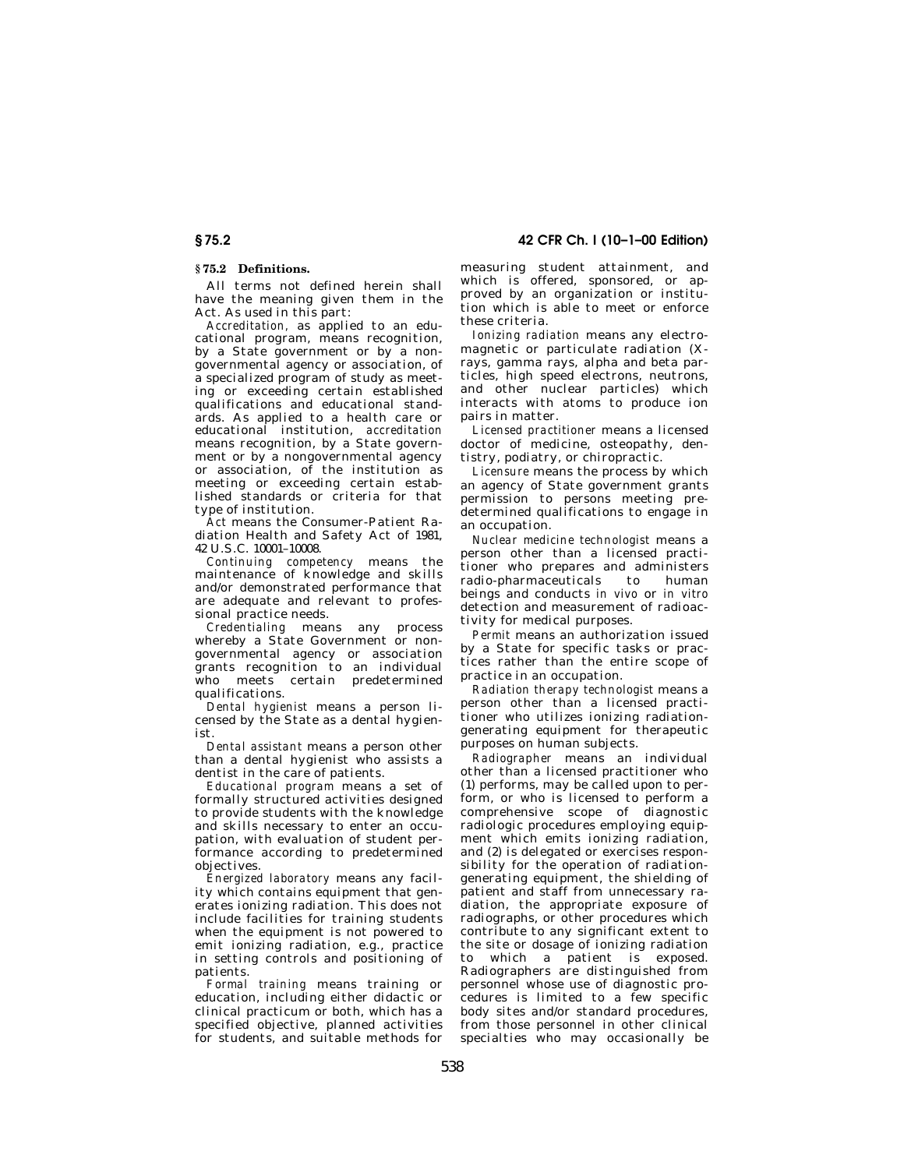# **§ 75.2 42 CFR Ch. I (10–1–00 Edition)**

# **§ 75.2 Definitions.**

All terms not defined herein shall have the meaning given them in the Act. As used in this part:

*Accreditation,* as applied to an educational program, means recognition, by a State government or by a nongovernmental agency or association, of a specialized program of study as meeting or exceeding certain established qualifications and educational standards. As applied to a health care or educational institution, *accreditation* means recognition, by a State government or by a nongovernmental agency or association, of the institution as meeting or exceeding certain established standards or criteria for that type of institution.

*Act* means the Consumer-Patient Radiation Health and Safety Act of 1981, 42 U.S.C. 10001–10008.

*Continuing competency* means the maintenance of knowledge and skills and/or demonstrated performance that are adequate and relevant to professional practice needs.

*Credentialing* means any process whereby a State Government or nongovernmental agency or association grants recognition to an individual who meets certain predetermined qualifications.

*Dental hygienist* means a person licensed by the State as a dental hygienist.

*Dental assistant* means a person other than a dental hygienist who assists a dentist in the care of patients.

*Educational program* means a set of formally structured activities designed to provide students with the knowledge and skills necessary to enter an occupation, with evaluation of student performance according to predetermined objectives.

*Energized laboratory* means any facility which contains equipment that generates ionizing radiation. This does not include facilities for training students when the equipment is not powered to emit ionizing radiation, e.g., practice in setting controls and positioning of patients.

*Formal training* means training or education, including either didactic or clinical practicum or both, which has a specified objective, planned activities for students, and suitable methods for

measuring student attainment, and which is offered, sponsored, or approved by an organization or institution which is able to meet or enforce these criteria.

*Ionizing radiation* means any electromagnetic or particulate radiation (Xrays, gamma rays, alpha and beta particles, high speed electrons, neutrons, and other nuclear particles) which interacts with atoms to produce ion pairs in matter.

*Licensed practitioner* means a licensed doctor of medicine, osteopathy, dentistry, podiatry, or chiropractic.

*Licensure* means the process by which an agency of State government grants permission to persons meeting predetermined qualifications to engage in an occupation.

*Nuclear medicine technologist* means a person other than a licensed practitioner who prepares and administers radio-pharmaceuticals to human beings and conducts *in vivo* or *in vitro* detection and measurement of radioactivity for medical purposes.

*Permit* means an authorization issued by a State for specific tasks or practices rather than the entire scope of practice in an occupation.

*Radiation therapy technologist* means a person other than a licensed practitioner who utilizes ionizing radiationgenerating equipment for therapeutic purposes on human subjects.

*Radiographer* means an individual other than a licensed practitioner who (1) performs, may be called upon to perform, or who is licensed to perform a comprehensive scope of diagnostic radiologic procedures employing equipment which emits ionizing radiation, and (2) is delegated or exercises responsibility for the operation of radiationgenerating equipment, the shielding of patient and staff from unnecessary radiation, the appropriate exposure of radiographs, or other procedures which contribute to any significant extent to the site or dosage of ionizing radiation to which a patient is exposed. Radiographers are distinguished from personnel whose use of diagnostic procedures is limited to a few specific body sites and/or standard procedures, from those personnel in other clinical specialties who may occasionally be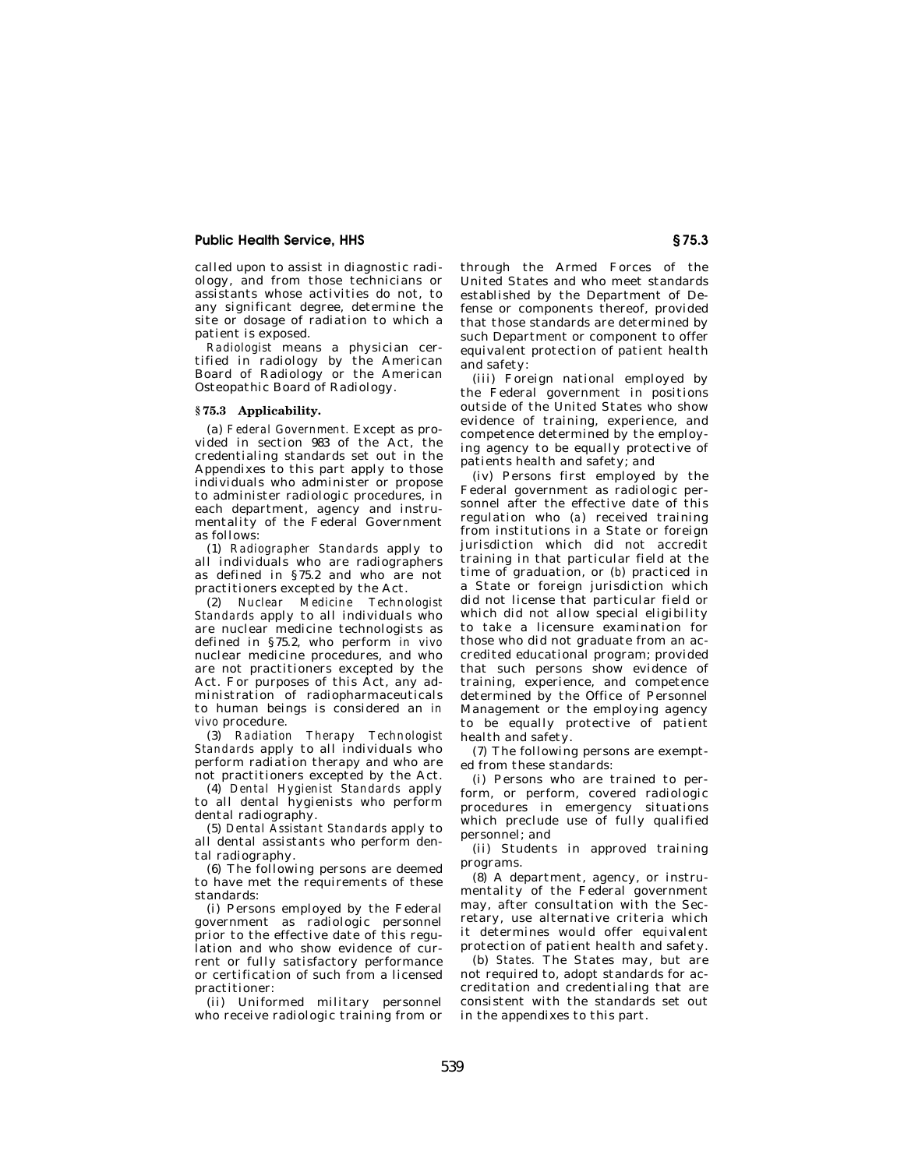## **Public Health Service, HHS § 75.3**

called upon to assist in diagnostic radiology, and from those technicians or assistants whose activities do not, to any significant degree, determine the site or dosage of radiation to which a patient is exposed.

*Radiologist* means a physician certified in radiology by the American Board of Radiology or the American Osteopathic Board of Radiology.

## **§ 75.3 Applicability.**

(a) *Federal Government.* Except as provided in section 983 of the Act, the credentialing standards set out in the Appendixes to this part apply to those individuals who administer or propose to administer radiologic procedures, in each department, agency and instrumentality of the Federal Government as follows:

(1) *Radiographer Standards* apply to all individuals who are radiographers as defined in §75.2 and who are not practitioners excepted by the Act.

(2) *Nuclear Medicine Technologist Standards* apply to all individuals who are nuclear medicine technologists as defined in §75.2, who perform *in vivo* nuclear medicine procedures, and who are not practitioners excepted by the Act. For purposes of this Act, any administration of radiopharmaceuticals to human beings is considered an *in vivo* procedure.

(3) *Radiation Therapy Technologist Standards* apply to all individuals who perform radiation therapy and who are not practitioners excepted by the Act.

(4) *Dental Hygienist Standards* apply to all dental hygienists who perform dental radiography.

(5) *Dental Assistant Standards* apply to all dental assistants who perform dental radiography.

(6) The following persons are deemed to have met the requirements of these standards:

(i) Persons employed by the Federal government as radiologic personnel prior to the effective date of this regulation and who show evidence of current or fully satisfactory performance or certification of such from a licensed practitioner:

(ii) Uniformed military personnel who receive radiologic training from or

through the Armed Forces of the United States and who meet standards established by the Department of Defense or components thereof, provided that those standards are determined by such Department or component to offer equivalent protection of patient health and safety:

(iii) Foreign national employed by the Federal government in positions outside of the United States who show evidence of training, experience, and competence determined by the employing agency to be equally protective of patients health and safety; and

(iv) Persons first employed by the Federal government as radiologic personnel after the effective date of this regulation who (*a*) received training from institutions in a State or foreign jurisdiction which did not accredit training in that particular field at the time of graduation, or (*b*) practiced in a State or foreign jurisdiction which did not license that particular field or which did not allow special eligibility to take a licensure examination for those who did not graduate from an accredited educational program; provided that such persons show evidence of training, experience, and competence determined by the Office of Personnel Management or the employing agency to be equally protective of patient health and safety.

(7) The following persons are exempted from these standards:

(i) Persons who are trained to perform, or perform, covered radiologic procedures in emergency situations which preclude use of fully qualified personnel; and

(ii) Students in approved training programs.

(8) A department, agency, or instrumentality of the Federal government may, after consultation with the Secretary, use alternative criteria which it determines would offer equivalent protection of patient health and safety.

(b) *States.* The States may, but are not required to, adopt standards for accreditation and credentialing that are consistent with the standards set out in the appendixes to this part.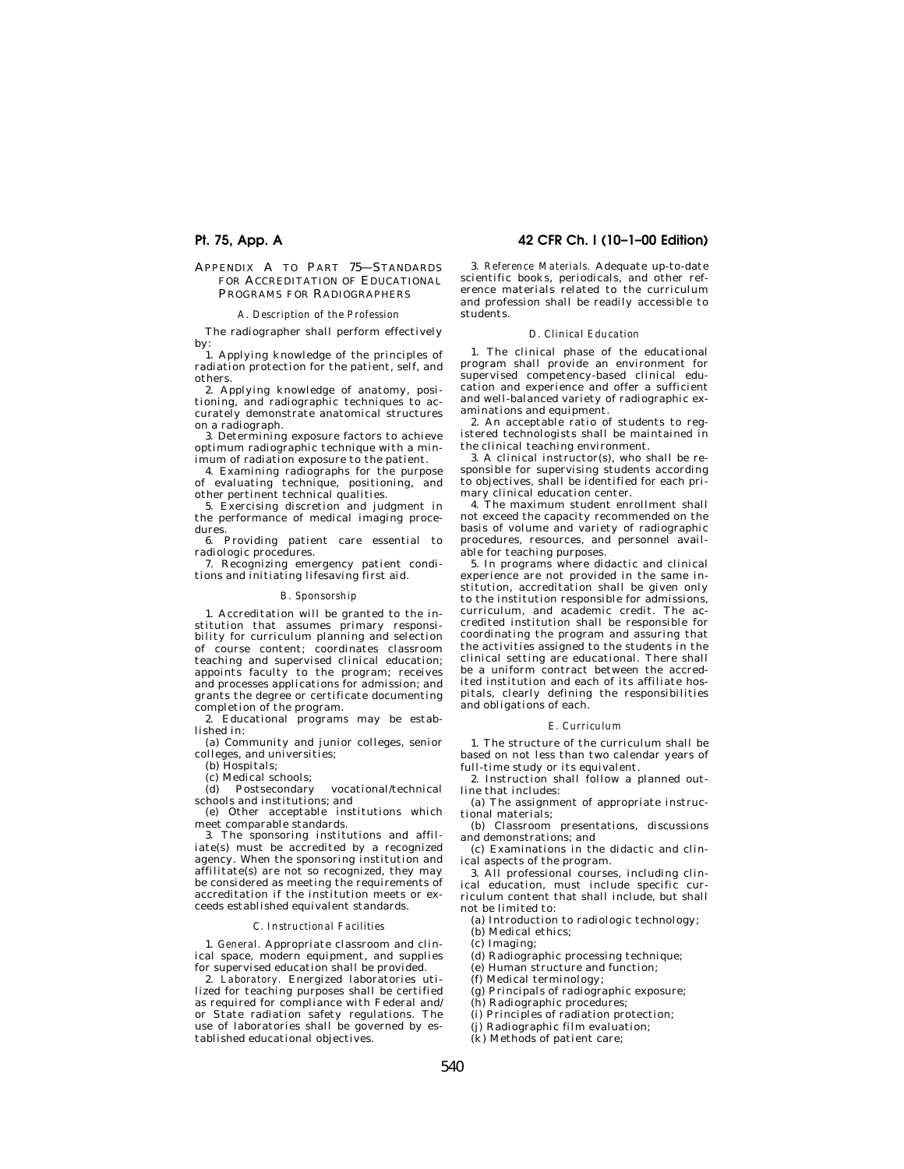### APPENDIX A TO PART 75—STANDARDS FOR ACCREDITATION OF EDUCATIONAL PROGRAMS FOR RADIOGRAPHERS

## *A. Description of the Profession*

The radiographer shall perform effectively

by: 1. Applying knowledge of the principles of radiation protection for the patient, self, and others.

2. Applying knowledge of anatomy, posi-tioning, and radiographic techniques to accurately demonstrate anatomical structures on a radiograph.

3. Determining exposure factors to achieve optimum radiographic technique with a minimum of radiation exposure to the patient.

4. Examining radiographs for the purpose of evaluating technique, positioning, and other pertinent technical qualities.

5. Exercising discretion and judgment in the performance of medical imaging procedures.

6. Providing patient care essential to radiologic procedures.

7. Recognizing emergency patient conditions and initiating lifesaving first aid.

#### *B. Sponsorship*

1. Accreditation will be granted to the institution that assumes primary responsibility for curriculum planning and selection of course content; coordinates classroom teaching and supervised clinical education; appoints faculty to the program; receives and processes applications for admission; and grants the degree or certificate documenting completion of the program.

2. Educational programs may be established in:

(a) Community and junior colleges, senior colleges, and universities;

(b) Hospitals;

(c) Medical schools;

(d) Postsecondary vocational/technical schools and institutions; and

(e) Other acceptable institutions which meet comparable standards.

3. The sponsoring institutions and affiliate(s) must be accredited by a recognized agency. When the sponsoring institution and affilitate(s) are not so recognized, they may be considered as meeting the requirements of accreditation if the institution meets or exceeds established equivalent standards.

#### *C. Instructional Facilities*

1. *General.* Appropriate classroom and clinical space, modern equipment, and supplies for supervised education shall be provided.

2. *Laboratory.* Energized laboratories utilized for teaching purposes shall be certified as required for compliance with Federal and/ or State radiation safety regulations. The use of laboratories shall be governed by established educational objectives.

## **Pt. 75, App. A 42 CFR Ch. I (10–1–00 Edition)**

3. *Reference Materials.* Adequate up-to-date scientific books, periodicals, and other reference materials related to the curriculum and profession shall be readily accessible to students.

### *D. Clinical Education*

1. The clinical phase of the educational program shall provide an environment for supervised competency-based clinical edu-cation and experience and offer a sufficient and well-balanced variety of radiographic examinations and equipment.

2. An acceptable ratio of students to registered technologists shall be maintained in the clinical teaching environment.

3. A clinical instructor(s), who shall be responsible for supervising students according to objectives, shall be identified for each primary clinical education center.

4. The maximum student enrollment shall not exceed the capacity recommended on the basis of volume and variety of radiographic procedures, resources, and personnel available for teaching purposes.

5. In programs where didactic and clinical experience are not provided in the same institution, accreditation shall be given only to the institution responsible for admissions, curriculum, and academic credit. The accredited institution shall be responsible for coordinating the program and assuring that the activities assigned to the students in the clinical setting are educational. There shall be a uniform contract between the accredited institution and each of its affiliate hospitals, clearly defining the responsibilities and obligations of each.

#### *E. Curriculum*

1. The structure of the curriculum shall be based on not less than two calendar years of full-time study or its equivalent.

2. Instruction shall follow a planned outline that includes:

(a) The assignment of appropriate instructional materials;

(b) Classroom presentations, discussions and demonstrations; and

(c) Examinations in the didactic and clinical aspects of the program.

3. All professional courses, including clinical education, must include specific curriculum content that shall include, but shall not be limited to:

(a) Introduction to radiologic technology;

(b) Medical ethics;

(c) Imaging;

(d) Radiographic processing technique;

(e) Human structure and function;

(f) Medical terminology;

(g) Principals of radiographic exposure;

(h) Radiographic procedures;

(i) Principles of radiation protection;

(j) Radiographic film evaluation;

(k) Methods of patient care;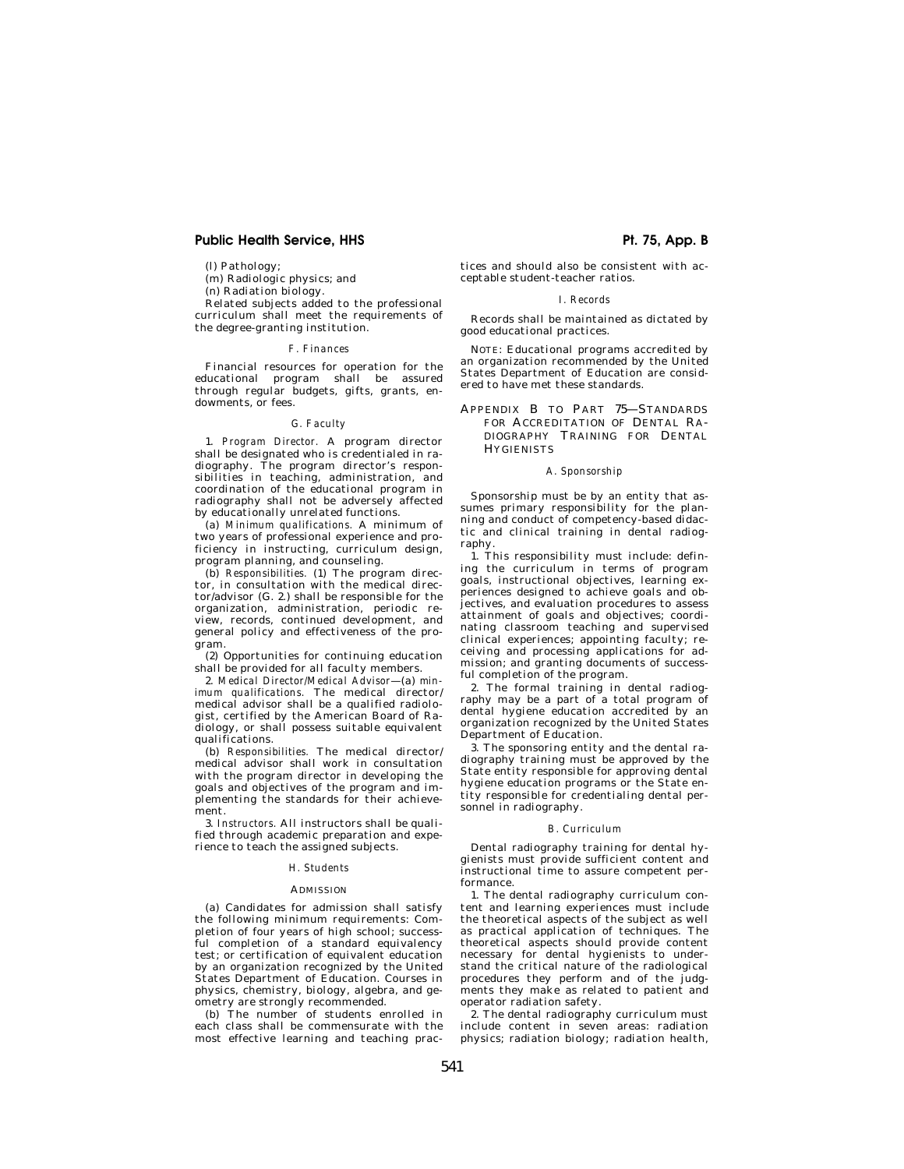## Public Health Service, HHS **Public Health Service, HHS Pt. 75, App. B**

(l) Pathology;

(m) Radiologic physics; and

(n) Radiation biology.

Related subjects added to the professional curriculum shall meet the requirements of the degree-granting institution.

## *F. Finances*

Financial resources for operation for the educational program shall be assured through regular budgets, gifts, grants, endowments, or fees.

### *G. Faculty*

1. *Program Director.* A program director shall be designated who is credentialed in radiography. The program director's responsibilities in teaching, administration, and coordination of the educational program in radiography shall not be adversely affected by educationally unrelated functions.

(a) *Minimum qualifications.* A minimum of two years of professional experience and proficiency in instructing, curriculum design, program planning, and counseling.

(b) *Responsibilities.* (1) The program director, in consultation with the medical director/advisor (G. 2.) shall be responsible for the organization, administration, periodic review, records, continued development, and general policy and effectiveness of the program.

(2) Opportunities for continuing education shall be provided for all faculty members.

2. *Medical Director/Medical Advisor*—(a) *minimum qualifications.* The medical director/ medical advisor shall be a qualified radiologist, certified by the American Board of Radiology, or shall possess suitable equivalent qualifications.

(b) *Responsibilities.* The medical director/ medical advisor shall work in consultation with the program director in developing the goals and objectives of the program and implementing the standards for their achievement.

3. *Instructors.* All instructors shall be qualified through academic preparation and experience to teach the assigned subjects.

#### *H. Students*

#### **ADMISSION**

(a) Candidates for admission shall satisfy the following minimum requirements: Completion of four years of high school; successful completion of a standard equivalency test; or certification of equivalent education by an organization recognized by the United States Department of Education. Courses in physics, chemistry, biology, algebra, and geometry are strongly recommended.

(b) The number of students enrolled in each class shall be commensurate with the most effective learning and teaching prac-

tices and should also be consistent with acceptable student-teacher ratios.

#### *I. Records*

Records shall be maintained as dictated by good educational practices.

NOTE: Educational programs accredited by an organization recommended by the United States Department of Education are considered to have met these standards.

APPENDIX B TO PART 75—STANDARDS FOR ACCREDITATION OF DENTAL RA-DIOGRAPHY TRAINING FOR DENTAL **HYGIENISTS** 

#### *A. Sponsorship*

Sponsorship must be by an entity that assumes primary responsibility for the planning and conduct of competency-based didactic and clinical training in dental radiography.

1. This responsibility must include: defining the curriculum in terms of program goals, instructional objectives, learning experiences designed to achieve goals and objectives, and evaluation procedures to assess attainment of goals and objectives; coordinating classroom teaching and supervised clinical experiences; appointing faculty; receiving and processing applications for admission; and granting documents of successful completion of the program.

2. The formal training in dental radiography may be a part of a total program of dental hygiene education accredited by an organization recognized by the United States Department of Education.

3. The sponsoring entity and the dental radiography training must be approved by the State entity responsible for approving dental hygiene education programs or the State entity responsible for credentialing dental personnel in radiography.

#### *B. Curriculum*

Dental radiography training for dental hygienists must provide sufficient content and instructional time to assure competent performance.

1. The dental radiography curriculum content and learning experiences must include the theoretical aspects of the subject as well as practical application of techniques. The theoretical aspects should provide content necessary for dental hygienists to understand the critical nature of the radiological procedures they perform and of the judgments they make as related to patient and operator radiation safety.

2. The dental radiography curriculum must include content in seven areas: radiation physics; radiation biology; radiation health,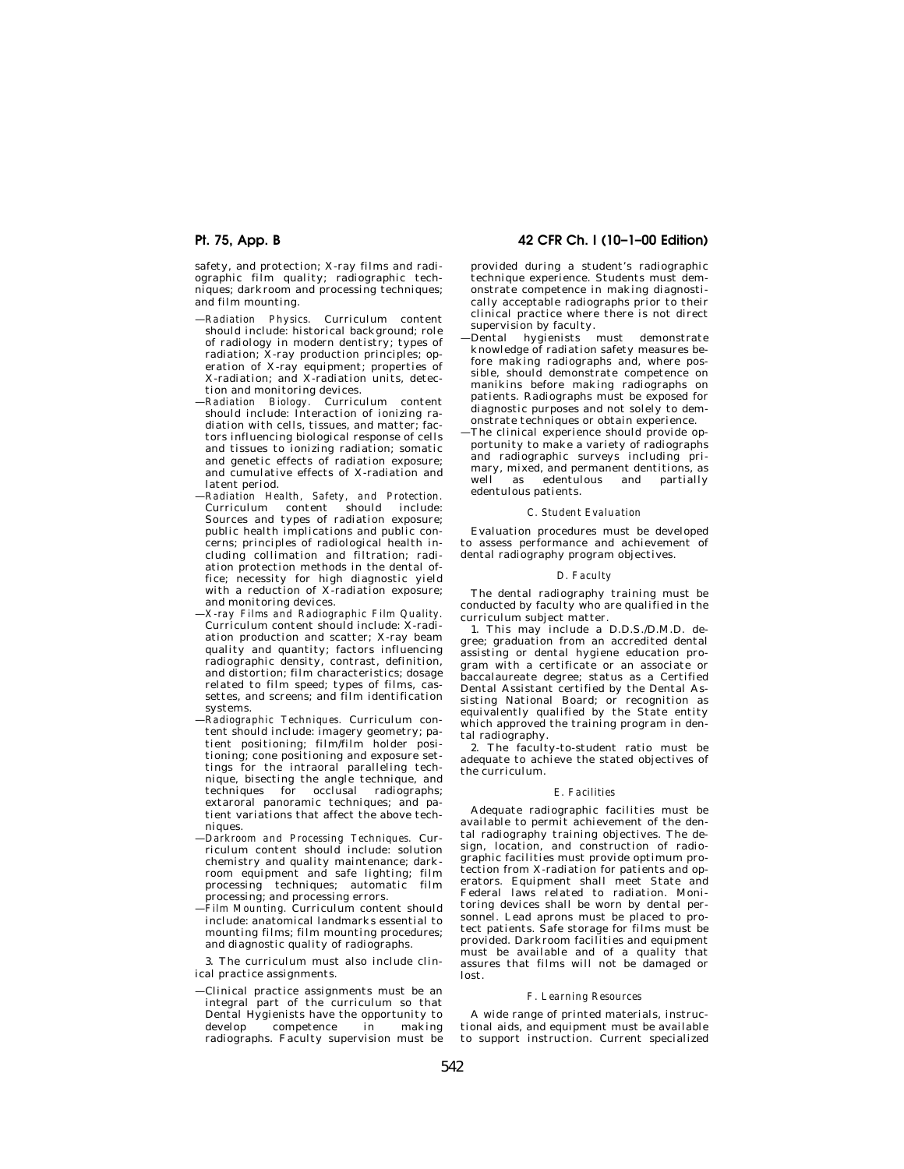safety, and protection; X-ray films and radiographic film quality; radiographic techniques; darkroom and processing techniques; and film mounting.

- —*Radiation Physics.* Curriculum content should include: historical background; role of radiology in modern dentistry; types of radiation; X-ray production principles; operation of X-ray equipment; properties of X-radiation; and X-radiation units, detection and monitoring devices.
- —*Radiation Biology.* Curriculum content should include: Interaction of ionizing radiation with cells, tissues, and matter; factors influencing biological response of cells and tissues to ionizing radiation; somatic and genetic effects of radiation exposure; and cumulative effects of X-radiation and latent period.
- —*Radiation Health, Safety, and Protection.* Curriculum content should include: Sources and types of radiation exposure; public health implications and public concerns; principles of radiological health including collimation and filtration; radiation protection methods in the dental office; necessity for high diagnostic yield with a reduction of X-radiation exposure; and monitoring devices.
- —*X-ray Films and Radiographic Film Quality.* Curriculum content should include: X-radiation production and scatter; X-ray beam quality and quantity; factors influencing radiographic density, contrast, definition, and distortion; film characteristics; dosage related to film speed; types of films, cassettes, and screens; and film identification systems.
- —*Radiographic Techniques.* Curriculum content should include: imagery geometry; patient positioning; film/film holder positioning; cone positioning and exposure settings for the intraoral paralleling technique, bisecting the angle technique, and techniques for occlusal radiographs; extaroral panoramic techniques; and patient variations that affect the above techniques.
- —*Darkroom and Processing Techniques.* Curriculum content should include: solution chemistry and quality maintenance; darkroom equipment and safe lighting; film processing techniques; automatic film
- processing; and processing errors. —*Film Mounting.* Curriculum content should include: anatomical landmarks essential to mounting films; film mounting procedures; and diagnostic quality of radiographs.

3. The curriculum must also include clinical practice assignments.

—Clinical practice assignments must be an integral part of the curriculum so that Dental Hygienists have the opportunity to<br>develop competence in making develop competence in radiographs. Faculty supervision must be

# **Pt. 75, App. B 42 CFR Ch. I (10–1–00 Edition)**

provided during a student's radiographic technique experience. Students must demonstrate competence in making diagnostically acceptable radiographs prior to their clinical practice where there is not direct supervision by faculty.

- —Dental hygienists must demonstrate knowledge of radiation safety measures before making radiographs and, where possible, should demonstrate competence on manikins before making radiographs on patients. Radiographs must be exposed for diagnostic purposes and not solely to demonstrate techniques or obtain experience.
- —The clinical experience should provide opportunity to make a variety of radiographs and radiographic surveys including primary, mixed, and permanent dentitions, as<br>well as edentulous and partially well as edentulous edentulous patients.

#### *C. Student Evaluation*

Evaluation procedures must be developed to assess performance and achievement of dental radiography program objectives.

#### *D. Faculty*

The dental radiography training must be conducted by faculty who are qualified in the curriculum subject matter.

1. This may include a D.D.S./D.M.D. degree; graduation from an accredited dental assisting or dental hygiene education program with a certificate or an associate or baccalaureate degree; status as a Certified Dental Assistant certified by the Dental Assisting National Board; or recognition as equivalently qualified by the State entity which approved the training program in dental radiography.

2. The faculty-to-student ratio must be adequate to achieve the stated objectives of the curriculum.

## *E. Facilities*

Adequate radiographic facilities must be available to permit achievement of the dental radiography training objectives. The design, location, and construction of radiographic facilities must provide optimum protection from X-radiation for patients and operators. Equipment shall meet State and Federal laws related to radiation. Monitoring devices shall be worn by dental personnel. Lead aprons must be placed to protect patients. Safe storage for films must be provided. Darkroom facilities and equipment must be available and of a quality that assures that films will not be damaged or lost.

## *F. Learning Resources*

A wide range of printed materials, instructional aids, and equipment must be available to support instruction. Current specialized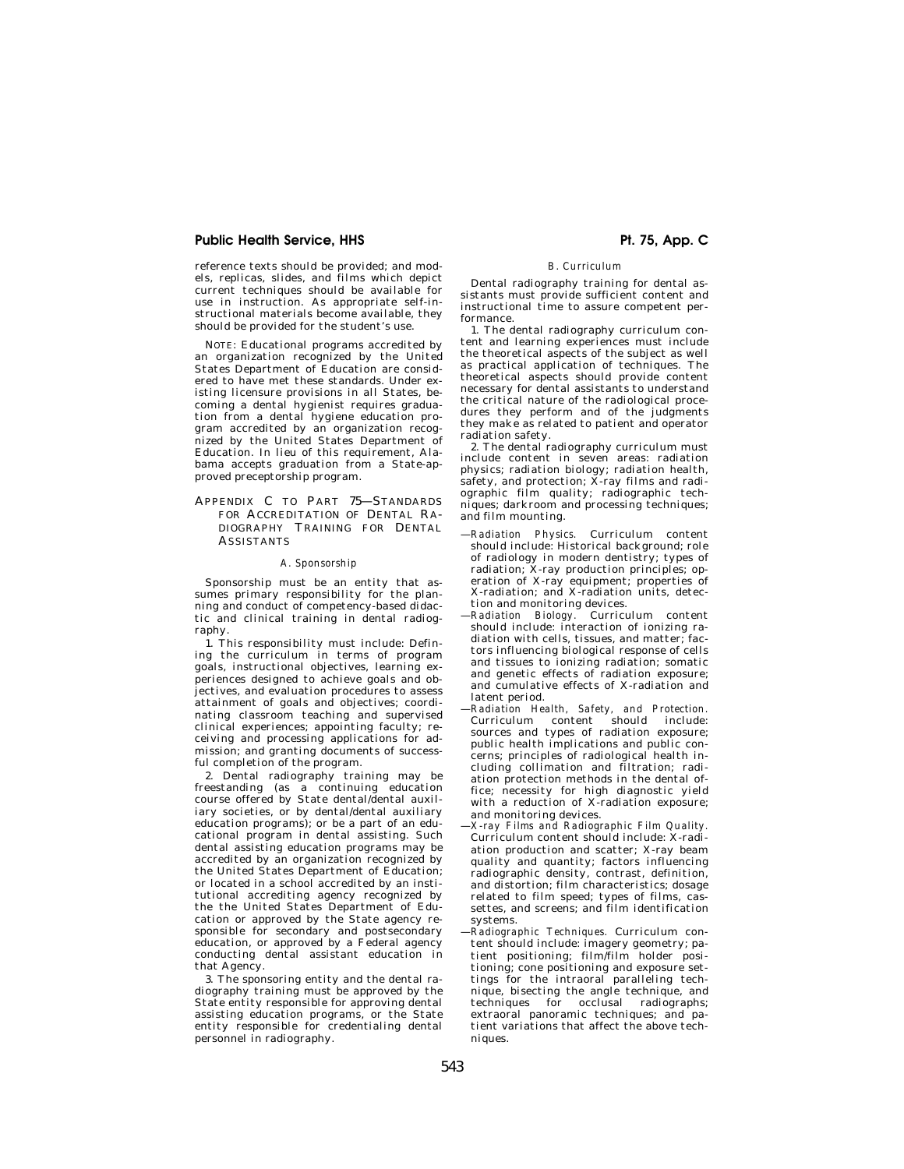## **Public Health Service, HHS Public Health Service, HHS** Pt. 75, App. C

reference texts should be provided; and models, replicas, slides, and films which depict current techniques should be available for use in instruction. As appropriate self-instructional materials become available, they should be provided for the student's use.

NOTE: Educational programs accredited by an organization recognized by the United States Department of Education are considered to have met these standards. Under existing licensure provisions in all States, becoming a dental hygienist requires graduation from a dental hygiene education program accredited by an organization recognized by the United States Department of Education. In lieu of this requirement, Alabama accepts graduation from a State-approved preceptorship program.

## APPENDIX C TO PART 75—STANDARDS FOR ACCREDITATION OF DENTAL RA-DIOGRAPHY TRAINING FOR DENTAL **ASSISTANTS**

#### *A. Sponsorship*

Sponsorship must be an entity that assumes primary responsibility for the planning and conduct of competency-based didactic and clinical training in dental radiography.

1. This responsibility must include: Defining the curriculum in terms of program goals, instructional objectives, learning experiences designed to achieve goals and objectives, and evaluation procedures to assess attainment of goals and objectives; coordinating classroom teaching and supervised clinical experiences; appointing faculty; receiving and processing applications for admission; and granting documents of successful completion of the program.

2. Dental radiography training may be freestanding (as a continuing education course offered by State dental/dental auxiliary societies, or by dental/dental auxiliary education programs); or be a part of an educational program in dental assisting. Such dental assisting education programs may be accredited by an organization recognized by the United States Department of Education; or located in a school accredited by an institutional accrediting agency recognized by the the United States Department of Education or approved by the State agency responsible for secondary and postsecondary education, or approved by a Federal agency conducting dental assistant education in that Agency.

3. The sponsoring entity and the dental radiography training must be approved by the State entity responsible for approving dental assisting education programs, or the State entity responsible for credentialing dental personnel in radiography.

## *B. Curriculum*

Dental radiography training for dental assistants must provide sufficient content and instructional time to assure competent performance.

1. The dental radiography curriculum content and learning experiences must include the theoretical aspects of the subject as well as practical application of techniques. The theoretical aspects should provide content necessary for dental assistants to understand the critical nature of the radiological procedures they perform and of the judgments they make as related to patient and operator radiation safety.

2. The dental radiography curriculum must include content in seven areas: radiation physics; radiation biology; radiation health, safety, and protection;  $\bar{X}$ -ray films and radiographic film quality; radiographic techniques; darkroom and processing techniques; and film mounting.

- —*Radiation Physics.* Curriculum content should include: Historical background; role of radiology in modern dentistry; types of radiation; X-ray production principles; operation of X-ray equipment; properties of X-radiation; and X-radiation units, detection and monitoring devices.
- —*Radiation Biology.* Curriculum content should include: interaction of ionizing radiation with cells, tissues, and matter; factors influencing biological response of cells and tissues to ionizing radiation; somatic and genetic effects of radiation exposure; and cumulative effects of X-radiation and latent period.
- —*Radiation Health, Safety, and Protection.* Curriculum content should include: sources and types of radiation exposure; public health implications and public concerns; principles of radiological health including collimation and filtration; radiation protection methods in the dental office; necessity for high diagnostic yield with a reduction of X-radiation exposure; and monitoring devices.
- —*X-ray Films and Radiographic Film Quality.* Curriculum content should include: X-radiation production and scatter; X-ray beam quality and quantity; factors influencing radiographic density, contrast, definition, and distortion; film characteristics; dosage related to film speed; types of films, cassettes, and screens; and film identification systems.
- —*Radiographic Techniques.* Curriculum content should include: imagery geometry; patient positioning; film/film holder positioning; cone positioning and exposure settings for the intraoral paralleling technique, bisecting the angle technique, and techniques for occlusal radiographs; extraoral panoramic techniques; and patient variations that affect the above techniques.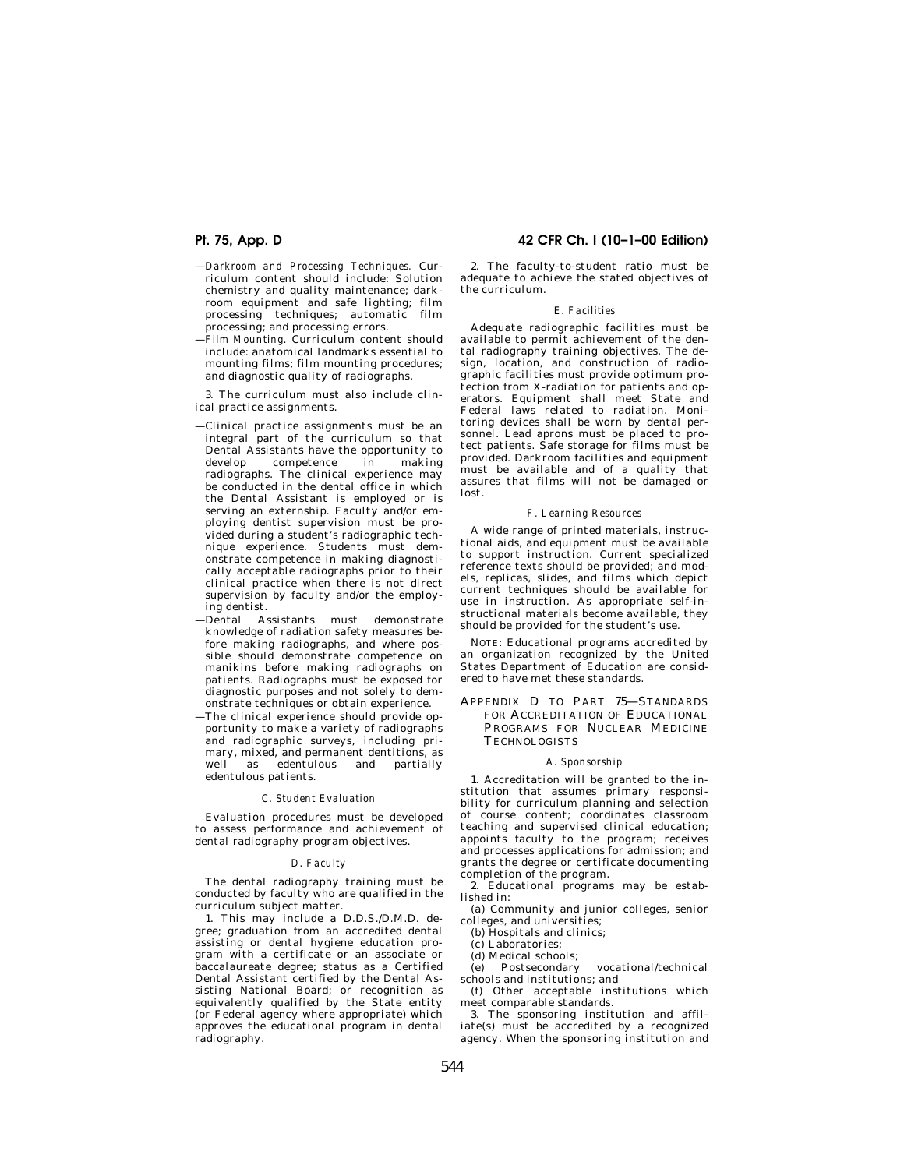- —*Darkroom and Processing Techniques.* Curriculum content should include: Solution chemistry and quality maintenance; darkroom equipment and safe lighting; film processing techniques; automatic film processing; and processing errors.
- —*Film Mounting.* Curriculum content should include: anatomical landmarks essential to mounting films; film mounting procedures; and diagnostic quality of radiographs.

3. The curriculum must also include clinical practice assignments.

- —Clinical practice assignments must be an integral part of the curriculum so that Dental Assistants have the opportunity to<br>develop competence in making competence radiographs. The clinical experience may be conducted in the dental office in which the Dental Assistant is employed or is serving an externship. Faculty and/or employing dentist supervision must be provided during a student's radiographic technique experience. Students must demonstrate competence in making diagnostically acceptable radiographs prior to their clinical practice when there is not direct supervision by faculty and/or the employing dentist.
- —Dental Assistants must demonstrate knowledge of radiation safety measures before making radiographs, and where possible should demonstrate competence on manikins before making radiographs on patients. Radiographs must be exposed for diagnostic purposes and not solely to demonstrate techniques or obtain experience.
- —The clinical experience should provide opportunity to make a variety of radiographs and radiographic surveys, including primary, mixed, and permanent dentitions, as<br>well as edentulous and partially as edentulous and edentulous patients.

#### *C. Student Evaluation*

Evaluation procedures must be developed to assess performance and achievement of dental radiography program objectives.

#### *D. Faculty*

The dental radiography training must be conducted by faculty who are qualified in the curriculum subject matter.

1. This may include a D.D.S./D.M.D. degree; graduation from an accredited dental assisting or dental hygiene education program with a certificate or an associate or baccalaureate degree; status as a Certified Dental Assistant certified by the Dental Assisting National Board; or recognition as equivalently qualified by the State entity (or Federal agency where appropriate) which approves the educational program in dental radiography.

# **Pt. 75, App. D 42 CFR Ch. I (10–1–00 Edition)**

2. The faculty-to-student ratio must be adequate to achieve the stated objectives of the curriculum.

#### *E. Facilities*

Adequate radiographic facilities must be available to permit achievement of the dental radiography training objectives. The design, location, and construction of radiographic facilities must provide optimum protection from X-radiation for patients and operators. Equipment shall meet State and Federal laws related to radiation. Monitoring devices shall be worn by dental personnel. Lead aprons must be placed to protect patients. Safe storage for films must be provided. Darkroom facilities and equipment must be available and of a quality that assures that films will not be damaged or lost.

#### *F. Learning Resources*

A wide range of printed materials, instructional aids, and equipment must be available to support instruction. Current specialized reference texts should be provided; and models, replicas, slides, and films which depict current techniques should be available for use in instruction. As appropriate self-instructional materials become available, they should be provided for the student's use.

NOTE: Educational programs accredited by an organization recognized by the United States Department of Education are considered to have met these standards.

## APPENDIX D TO PART 75—STANDARDS FOR ACCREDITATION OF EDUCATIONAL PROGRAMS FOR NUCLEAR MEDICINE **TECHNOLOGISTS**

#### *A. Sponsorship*

1. Accreditation will be granted to the institution that assumes primary responsibility for curriculum planning and selection of course content; coordinates classroom teaching and supervised clinical education; appoints faculty to the program; receives and processes applications for admission; and grants the degree or certificate documenting completion of the program.

2. Educational programs may be established in:

(a) Community and junior colleges, senior colleges, and universities;

(b) Hospitals and clinics;

(c) Laboratories;

(d) Medical schools;<br>(e) Postsecondary vocational/technical

schools and institutions; and (f) Other acceptable institutions which meet comparable standards.

3. The sponsoring institution and affiliate(s) must be accredited by a recognized agency. When the sponsoring institution and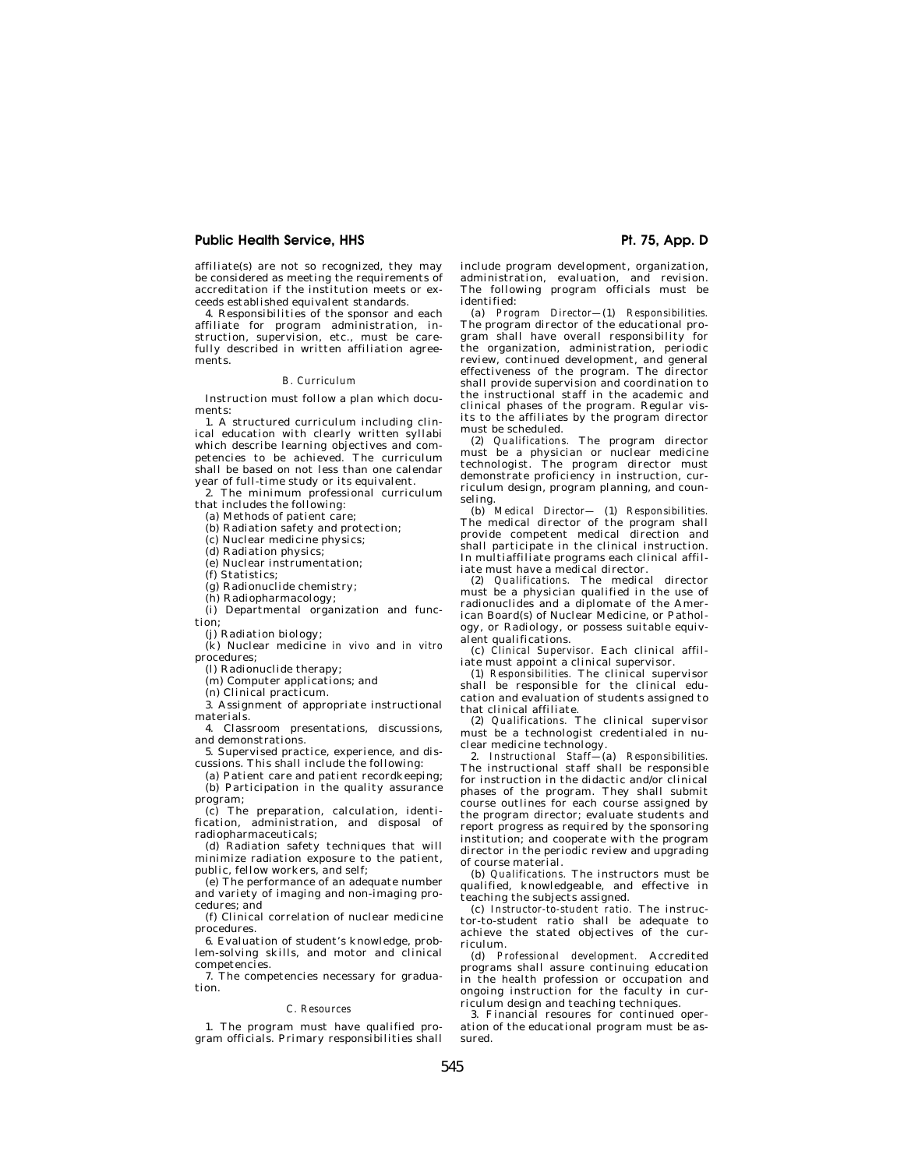## **Public Health Service, HHS Public Health Service, HHS**

affiliate(s) are not so recognized, they may be considered as meeting the requirements of accreditation if the institution meets or exceeds established equivalent standards.

4. Responsibilities of the sponsor and each affiliate for program administration, instruction, supervision, etc., must be carefully described in written affiliation agreements.

#### *B. Curriculum*

Instruction must follow a plan which documents:

1. A structured curriculum including clinical education with clearly written syllabi which describe learning objectives and competencies to be achieved. The curriculum shall be based on not less than one calendar year of full-time study or its equivalent.

2. The minimum professional curriculum that includes the following:

(a) Methods of patient care;

(b) Radiation safety and protection;

(c) Nuclear medicine physics;

(d) Radiation physics;

(e) Nuclear instrumentation;

(f) Statistics;

(g) Radionuclide chemistry;

(h) Radiopharmacology;

(i) Departmental organization and function;

(j) Radiation biology;

(k) Nuclear medicine *in vivo* and *in vitro* procedures;

(l) Radionuclide therapy;

(m) Computer applications; and

(n) Clinical practicum.

3. Assignment of appropriate instructional materials.

4. Classroom presentations, discussions, and demonstrations.

5. Supervised practice, experience, and discussions. This shall include the following:

(a) Patient care and patient recordkeeping; (b) Participation in the quality assurance program;

(c) The preparation, calculation, identification, administration, and disposal of radiopharmaceuticals;

(d) Radiation safety techniques that will minimize radiation exposure to the patient, public, fellow workers, and self;

(e) The performance of an adequate number and variety of imaging and non-imaging procedures; and

(f) Clinical correlation of nuclear medicine procedures.

6. Evaluation of student's knowledge, problem-solving skills, and motor and clinical competencies.

7. The competencies necessary for graduation.

#### *C. Resources*

1. The program must have qualified program officials. Primary responsibilities shall include program development, organization, administration, evaluation, and revision. The following program officials must be identified:

(a) *Program Director—*(1) *Responsibilities.* The program director of the educational program shall have overall responsibility for the organization, administration, periodic review, continued development, and general effectiveness of the program. The director shall provide supervision and coordination to the instructional staff in the academic and clinical phases of the program. Regular visits to the affiliates by the program director must be scheduled.

(2) *Qualifications.* The program director must be a physician or nuclear medicine technologist. The program director must demonstrate proficiency in instruction, curriculum design, program planning, and counseling.

(b) *Medical Director—* (1) *Responsibilities.* The medical director of the program shall provide competent medical direction and shall participate in the clinical instruction. In multiaffiliate programs each clinical affiliate must have a medical director.

(2) *Qualifications.* The medical director must be a physician qualified in the use of radionuclides and a diplomate of the American Board(s) of Nuclear Medicine, or Pathology, or Radiology, or possess suitable equivalent qualifications.

(c) *Clinical Supervisor.* Each clinical affiliate must appoint a clinical supervisor.

(1) *Responsibilities.* The clinical supervisor shall be responsible for the clinical education and evaluation of students assigned to that clinical affiliate.

(2) *Qualifications.* The clinical supervisor must be a technologist credentialed in nu-

clear medicine technology. 2. *Instructional Staff—*(a) *Responsibilities.* The instructional staff shall be responsible for instruction in the didactic and/or clinical phases of the program. They shall submit course outlines for each course assigned by the program director; evaluate students and report progress as required by the sponsoring institution; and cooperate with the program director in the periodic review and upgrading of course material.

(b) *Qualifications.* The instructors must be qualified, knowledgeable, and effective in teaching the subjects assigned.

(c) *Instructor-to-student ratio.* The instructor-to-student ratio shall be adequate to achieve the stated objectives of the curriculum.

(d) *Professional development.* Accredited programs shall assure continuing education in the health profession or occupation and ongoing instruction for the faculty in curriculum design and teaching techniques.

3. Financial resoures for continued operation of the educational program must be assured.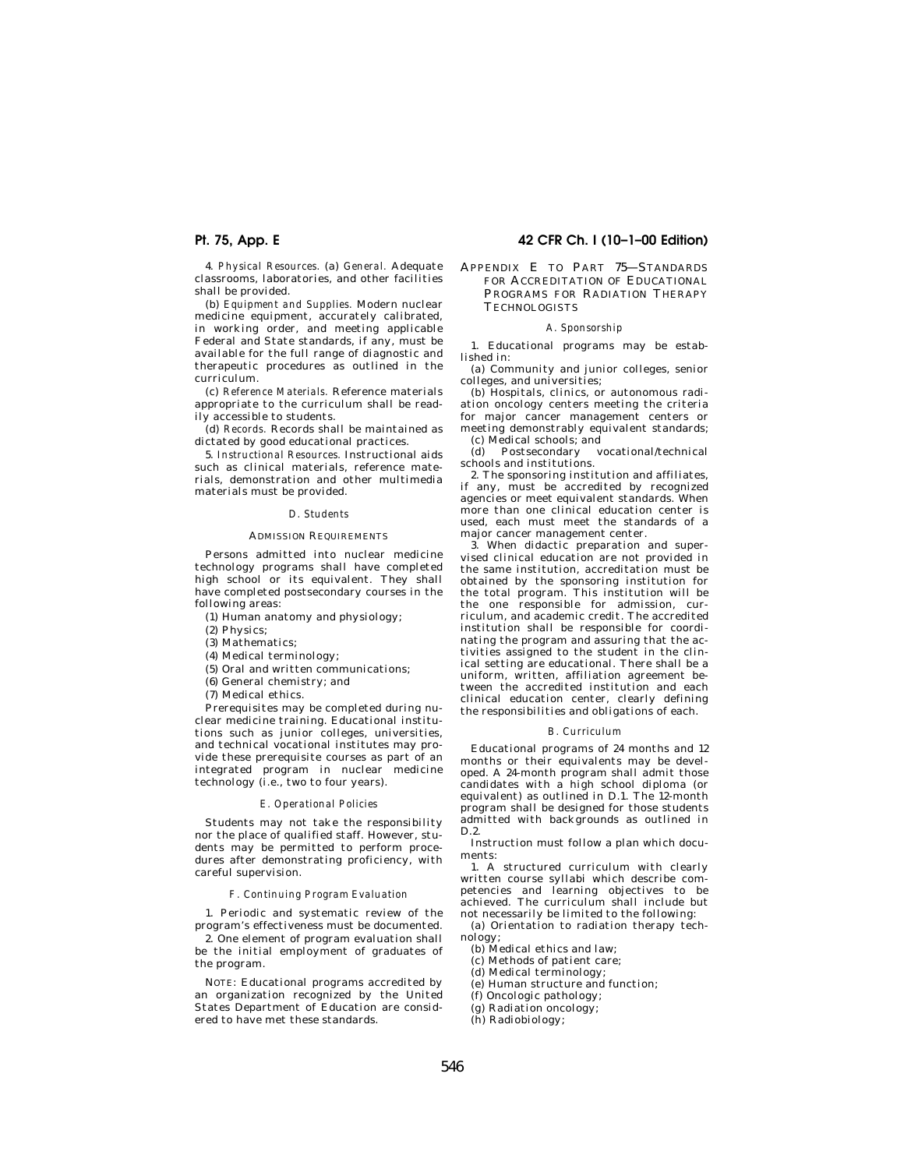4. *Physical Resources.* (a) *General.* Adequate classrooms, laboratories, and other facilities shall be provided.

(b) *Equipment and Supplies.* Modern nuclear medicine equipment, accurately calibrated, in working order, and meeting applicable Federal and State standards, if any, must be available for the full range of diagnostic and therapeutic procedures as outlined in the curriculum.

(c) *Reference Materials.* Reference materials appropriate to the curriculum shall be readily accessible to students.

(d) *Records.* Records shall be maintained as dictated by good educational practices.

5. *Instructional Resources.* Instructional aids such as clinical materials, reference materials, demonstration and other multimedia materials must be provided.

#### *D. Students*

#### ADMISSION REQUIREMENTS

Persons admitted into nuclear medicine technology programs shall have completed high school or its equivalent. They shall have completed postsecondary courses in the following areas:

- (1) Human anatomy and physiology;
- (2) Physics;
- (3) Mathematics;
- (4) Medical terminology;
- (5) Oral and written communications;
- (6) General chemistry; and

(7) Medical ethics.

Prerequisites may be completed during nuclear medicine training. Educational institutions such as junior colleges, universities, and technical vocational institutes may provide these prerequisite courses as part of an integrated program in nuclear medicine technology (i.e., two to four years).

#### *E. Operational Policies*

Students may not take the responsibility nor the place of qualified staff. However, students may be permitted to perform procedures after demonstrating proficiency, with careful supervision.

## *F. Continuing Program Evaluation*

1. Periodic and systematic review of the program's effectiveness must be documented. 2. One element of program evaluation shall

be the initial employment of graduates of the program.

NOTE: Educational programs accredited by an organization recognized by the United States Department of Education are considered to have met these standards.

## **Pt. 75, App. E 42 CFR Ch. I (10–1–00 Edition)**

APPENDIX E TO PART 75—STANDARDS FOR ACCREDITATION OF EDUCATIONAL PROGRAMS FOR RADIATION THERAPY **TECHNOLOGISTS** 

## *A. Sponsorship*

1. Educational programs may be established in:

(a) Community and junior colleges, senior colleges, and universities;

(b) Hospitals, clinics, or autonomous radiation oncology centers meeting the criteria for major cancer management centers or meeting demonstrably equivalent standards; (c) Medical schools; and

(d) Postsecondary vocational/technical schools and institutions.

2. The sponsoring institution and affiliates, if any, must be accredited by recognized agencies or meet equivalent standards. When more than one clinical education center is used, each must meet the standards of a major cancer management center.

3. When didactic preparation and supervised clinical education are not provided in the same institution, accreditation must be obtained by the sponsoring institution for the total program. This institution will be the one responsible for admission, curriculum, and academic credit. The accredited institution shall be responsible for coordinating the program and assuring that the activities assigned to the student in the clinical setting are educational. There shall be a uniform, written, affiliation agreement between the accredited institution and each clinical education center, clearly defining the responsibilities and obligations of each.

### *B. Curriculum*

Educational programs of 24 months and 12 months or their equivalents may be developed. A 24-month program shall admit those candidates with a high school diploma (or equivalent) as outlined in D.1. The 12-month program shall be designed for those students admitted with backgrounds as outlined in D.2.

Instruction must follow a plan which documents:

1. A structured curriculum with clearly written course syllabi which describe competencies and learning objectives to be achieved. The curriculum shall include but not necessarily be limited to the following:

(a) Orientation to radiation therapy technology;

(b) Medical ethics and law;

(c) Methods of patient care;

- (d) Medical terminology;
- (e) Human structure and function;

(f) Oncologic pathology;

(g) Radiation oncology;

(h) Radiobiology;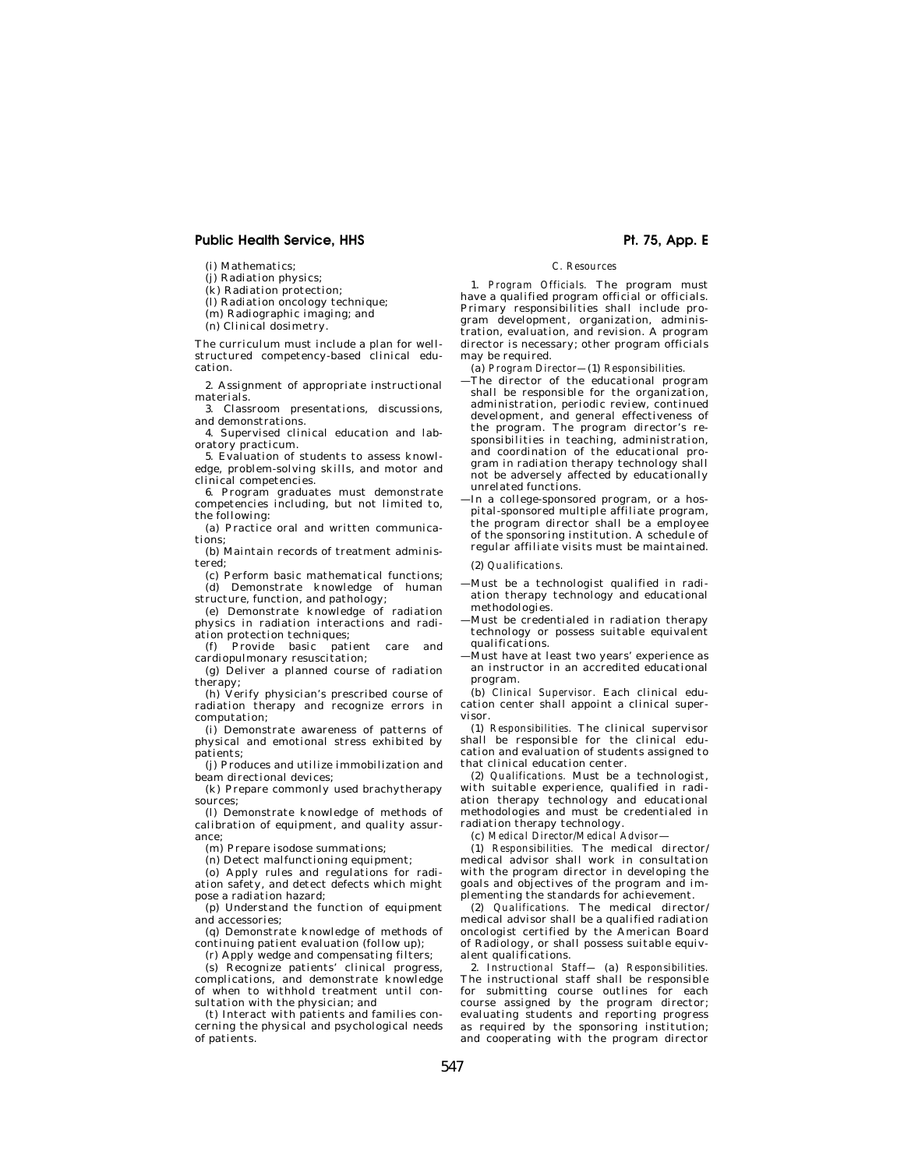## **Public Health Service, HHS Public Health Service, HHS**

(i) Mathematics;

(j) Radiation physics;

(k) Radiation protection;

(l) Radiation oncology technique;

(m) Radiographic imaging; and

(n) Clinical dosimetry.

The curriculum must include a plan for wellstructured competency-based clinical education.

2. Assignment of appropriate instructional materials.

3. Classroom presentations, discussions, and demonstrations.

4. Supervised clinical education and laboratory practicum.

5. Evaluation of students to assess knowledge, problem-solving skills, and motor and clinical competencies.

6. Program graduates must demonstrate competencies including, but not limited to, the following:

(a) Practice oral and written communications;

(b) Maintain records of treatment administered;

(c) Perform basic mathematical functions; (d) Demonstrate knowledge of human

structure, function, and pathology; (e) Demonstrate knowledge of radiation physics in radiation interactions and radiation protection techniques;

(f) Provide basic patient care and cardiopulmonary resuscitation;

(g) Deliver a planned course of radiation therapy;

(h) Verify physician's prescribed course of radiation therapy and recognize errors in computation;

(i) Demonstrate awareness of patterns of physical and emotional stress exhibited by patients;

(j) Produces and utilize immobilization and beam directional devices;

(k) Prepare commonly used brachytherapy sources;

(l) Demonstrate knowledge of methods of calibration of equipment, and quality assurance;

(m) Prepare isodose summations;

(n) Detect malfunctioning equipment;

(o) Apply rules and regulations for radiation safety, and detect defects which might pose a radiation hazard;

(p) Understand the function of equipment and accessories;

(q) Demonstrate knowledge of methods of continuing patient evaluation (follow up);

(r) Apply wedge and compensating filters;

(s) Recognize patients' clinical progress, complications, and demonstrate knowledge of when to withhold treatment until consultation with the physician; and

(t) Interact with patients and families concerning the physical and psychological needs of patients.

#### *C. Resources*

1. *Program Officials.* The program must have a qualified program official or officials. Primary responsibilities shall include program development, organization, administration, evaluation, and revision. A program director is necessary; other program officials may be required.

(a) *Program Director—*(1) *Responsibilities.*

- —The director of the educational program shall be responsible for the organization, administration, periodic review, continued development, and general effectiveness of the program. The program director's responsibilities in teaching, administration, and coordination of the educational program in radiation therapy technology shall not be adversely affected by educationally unrelated functions.
- —In a college-sponsored program, or a hospital-sponsored multiple affiliate program, the program director shall be a employee of the sponsoring institution. A schedule of regular affiliate visits must be maintained.

(2) *Qualifications.*

—Must be a technologist qualified in radiation therapy technology and educational methodologies.

—Must be credentialed in radiation therapy technology or possess suitable equivalent qualifications.

—Must have at least two years' experience as an instructor in an accredited educational program.

(b) *Clinical Supervisor.* Each clinical education center shall appoint a clinical supervisor.

(1) *Responsibilities.* The clinical supervisor shall be responsible for the clinical education and evaluation of students assigned to that clinical education center.

(2) *Qualifications.* Must be a technologist, with suitable experience, qualified in radiation therapy technology and educational methodologies and must be credentialed in radiation therapy technology.

(c) *Medical Director/Medical Advisor*—

(1) *Responsibilities.* The medical director/ medical advisor shall work in consultation with the program director in developing the goals and objectives of the program and implementing the standards for achievement.

(2) *Qualifications.* The medical director/ medical advisor shall be a qualified radiation oncologist certified by the American Board of Radiology, or shall possess suitable equivalent qualifications.

2. *Instructional Staff—* (a) *Responsibilities.* The instructional staff shall be responsible for submitting course outlines for each course assigned by the program director; evaluating students and reporting progress as required by the sponsoring institution; and cooperating with the program director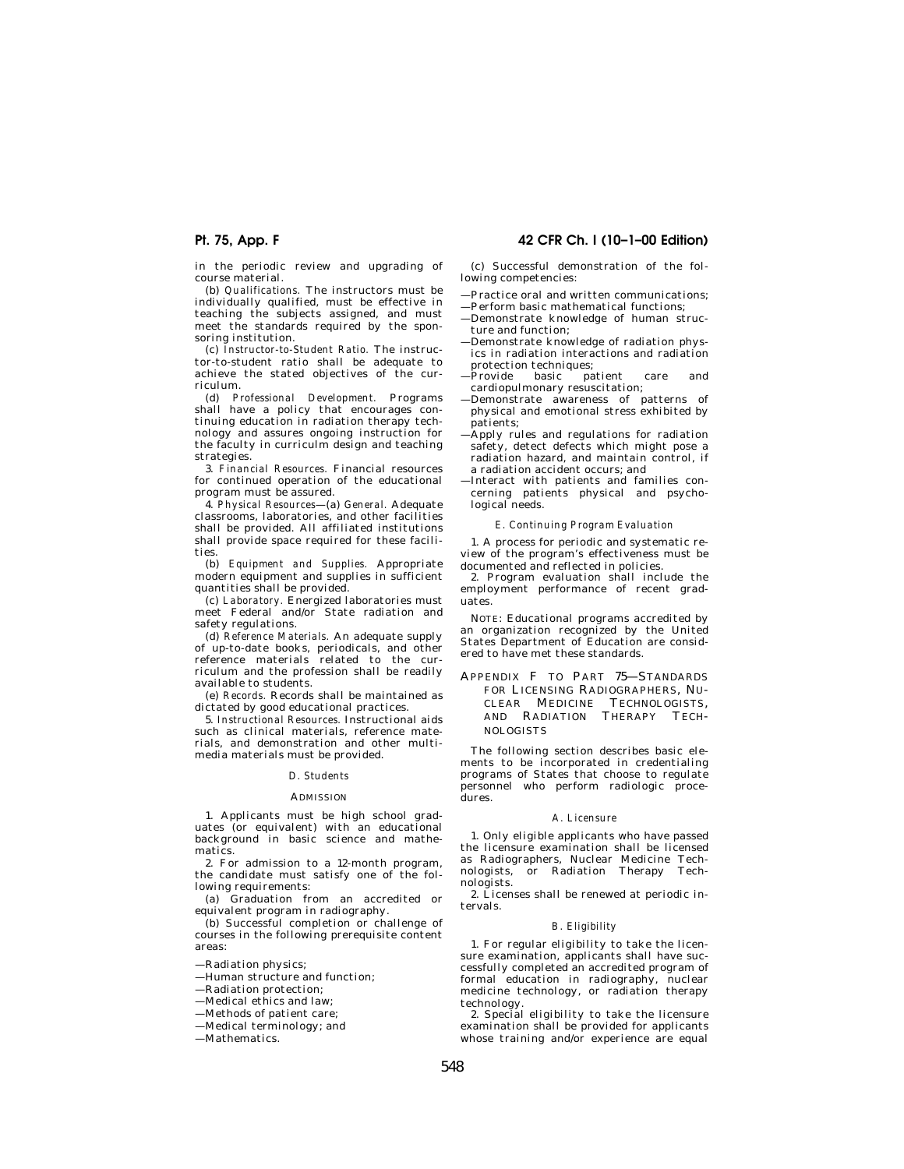**Pt. 75, App. F 42 CFR Ch. I (10–1–00 Edition)**

in the periodic review and upgrading of course material.

(b) *Qualifications.* The instructors must be individually qualified, must be effective in teaching the subjects assigned, and must meet the standards required by the sponsoring institution.

(c) *Instructor-to-Student Ratio.* The instructor-to-student ratio shall be adequate to achieve the stated objectives of the curriculum.

(d) *Professional Development.* Programs shall have a policy that encourages continuing education in radiation therapy technology and assures ongoing instruction for the faculty in curriculm design and teaching strategies.

3. *Financial Resources.* Financial resources for continued operation of the educational program must be assured.

4. *Physical Resources*—(a) *General.* Adequate classrooms, laboratories, and other facilities shall be provided. All affiliated institutions shall provide space required for these facilities.

(b) *Equipment and Supplies.* Appropriate modern equipment and supplies in sufficient quantities shall be provided.

(c) *Laboratory.* Energized laboratories must meet Federal and/or State radiation and safety regulations.

(d) *Reference Materials.* An adequate supply of up-to-date books, periodicals, and other reference materials related to the curriculum and the profession shall be readily available to students.

(e) *Records.* Records shall be maintained as dictated by good educational practices.

5. *Instructional Resources.* Instructional aids such as clinical materials, reference materials, and demonstration and other multimedia materials must be provided.

#### *D. Students*

#### ADMISSION

1. Applicants must be high school graduates (or equivalent) with an educational background in basic science and mathematics.

2. For admission to a 12-month program, the candidate must satisfy one of the following requirements:

(a) Graduation from an accredited or equivalent program in radiography.

(b) Successful completion or challenge of courses in the following prerequisite content areas:

—Radiation physics;

—Human structure and function;

—Radiation protection;

—Medical ethics and law;

—Methods of patient care;

—Medical terminology; and

—Mathematics.

(c) Successful demonstration of the following competencies:

—Practice oral and written communications;

- —Perform basic mathematical functions; —Demonstrate knowledge of human structure and function;
- —Demonstrate knowledge of radiation physics in radiation interactions and radiation protection techniques;
- —Provide basic patient care and cardiopulmonary resuscitation;
- —Demonstrate awareness of patterns of physical and emotional stress exhibited by patients;
- —Apply rules and regulations for radiation safety, detect defects which might pose a radiation hazard, and maintain control, if a radiation accident occurs; and
- —Interact with patients and families concerning patients physical and psychological needs.

## *E. Continuing Program Evaluation*

1. A process for periodic and systematic review of the program's effectiveness must be documented and reflected in policies.

2. Program evaluation shall include the employment performance of recent graduates.

NOTE: Educational programs accredited by an organization recognized by the United States Department of Education are considered to have met these standards.

APPENDIX F TO PART 75—STANDARDS FOR LICENSING RADIOGRAPHERS, NU-CLEAR MEDICINE TECHNOLOGISTS, AND RADIATION THERAPY TECH-NOLOGISTS

The following section describes basic elements to be incorporated in credentialing programs of States that choose to regulate personnel who perform radiologic procedures.

## *A. Licensure*

1. Only eligible applicants who have passed the licensure examination shall be licensed as Radiographers, Nuclear Medicine Technologists, or Radiation Therapy Technologists.

2. Licenses shall be renewed at periodic intervals.

#### *B. Eligibility*

1. For regular eligibility to take the licensure examination, applicants shall have successfully completed an accredited program of formal education in radiography, nuclear medicine technology, or radiation therapy technology.

2. Special eligibility to take the licensure examination shall be provided for applicants whose training and/or experience are equal